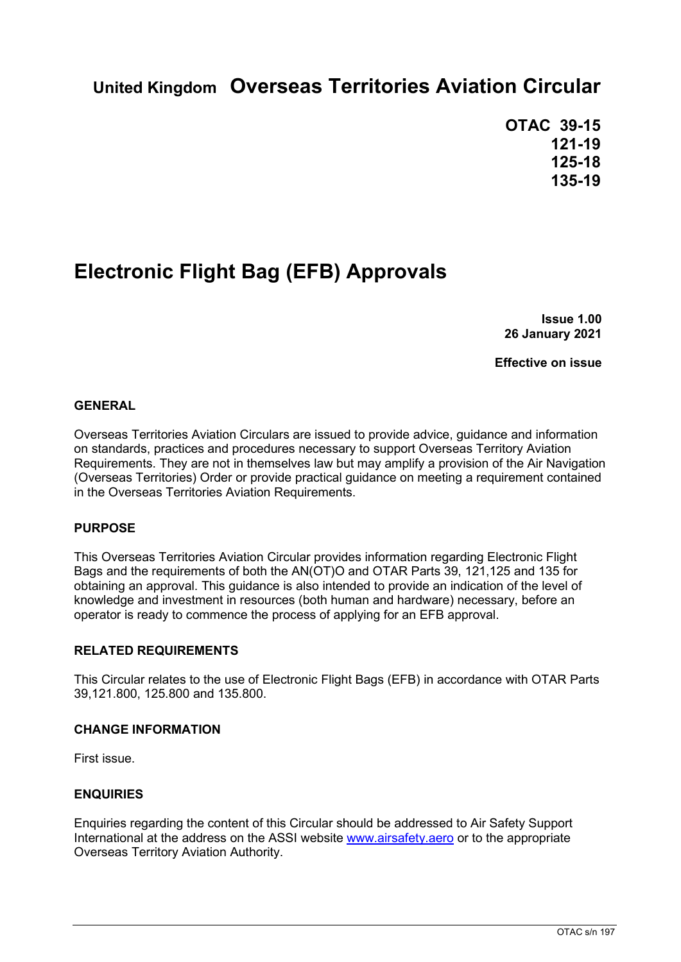# **United Kingdom Overseas Territories Aviation Circular**

**OTAC 39-15 121-19 125-18 135-19**

# **Electronic Flight Bag (EFB) Approvals**

**Issue 1.00 26 January 2021**

**Effective on issue**

## **GENERAL**

Overseas Territories Aviation Circulars are issued to provide advice, guidance and information on standards, practices and procedures necessary to support Overseas Territory Aviation Requirements. They are not in themselves law but may amplify a provision of the Air Navigation (Overseas Territories) Order or provide practical guidance on meeting a requirement contained in the Overseas Territories Aviation Requirements.

#### **PURPOSE**

This Overseas Territories Aviation Circular provides information regarding Electronic Flight Bags and the requirements of both the AN(OT)O and OTAR Parts 39, 121,125 and 135 for obtaining an approval. This guidance is also intended to provide an indication of the level of knowledge and investment in resources (both human and hardware) necessary, before an operator is ready to commence the process of applying for an EFB approval.

#### **RELATED REQUIREMENTS**

This Circular relates to the use of Electronic Flight Bags (EFB) in accordance with OTAR Parts 39,121.800, 125.800 and 135.800.

#### **CHANGE INFORMATION**

First issue.

## **ENQUIRIES**

Enquiries regarding the content of this Circular should be addressed to Air Safety Support International at the address on the ASSI website [www.airsafety.aero](http://www.airsafety.aero/) or to the appropriate Overseas Territory Aviation Authority.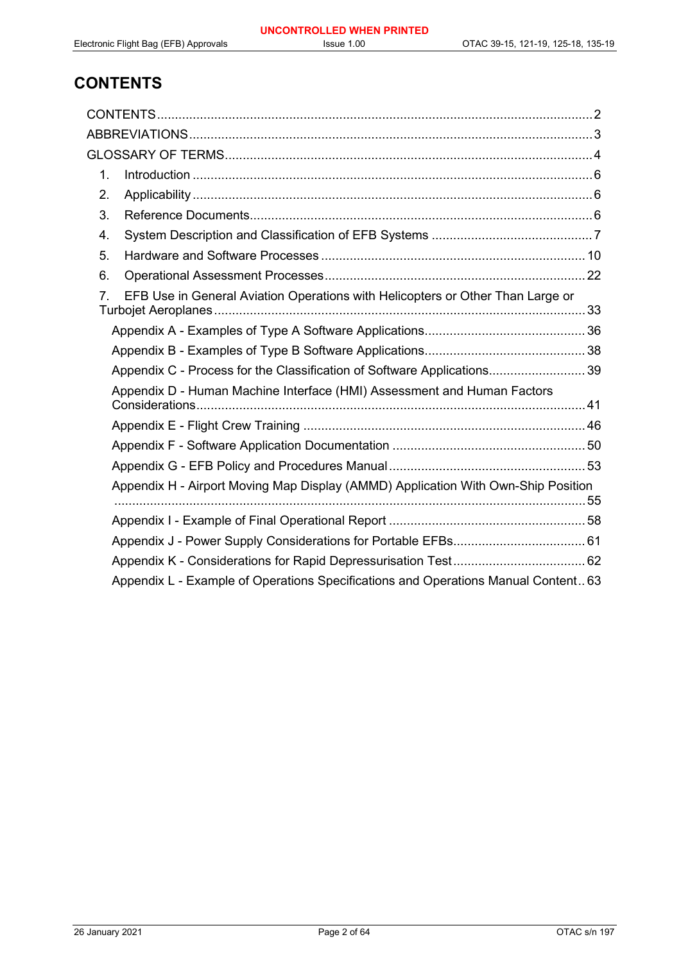## **CONTENTS**

| 1. |                                                                                    |  |
|----|------------------------------------------------------------------------------------|--|
| 2. |                                                                                    |  |
| 3. |                                                                                    |  |
| 4. |                                                                                    |  |
| 5. |                                                                                    |  |
| 6. |                                                                                    |  |
| 7. | EFB Use in General Aviation Operations with Helicopters or Other Than Large or     |  |
|    |                                                                                    |  |
|    |                                                                                    |  |
|    | Appendix C - Process for the Classification of Software Applications 39            |  |
|    | Appendix D - Human Machine Interface (HMI) Assessment and Human Factors            |  |
|    |                                                                                    |  |
|    |                                                                                    |  |
|    |                                                                                    |  |
|    | Appendix H - Airport Moving Map Display (AMMD) Application With Own-Ship Position  |  |
|    |                                                                                    |  |
|    |                                                                                    |  |
|    |                                                                                    |  |
|    | Appendix L - Example of Operations Specifications and Operations Manual Content 63 |  |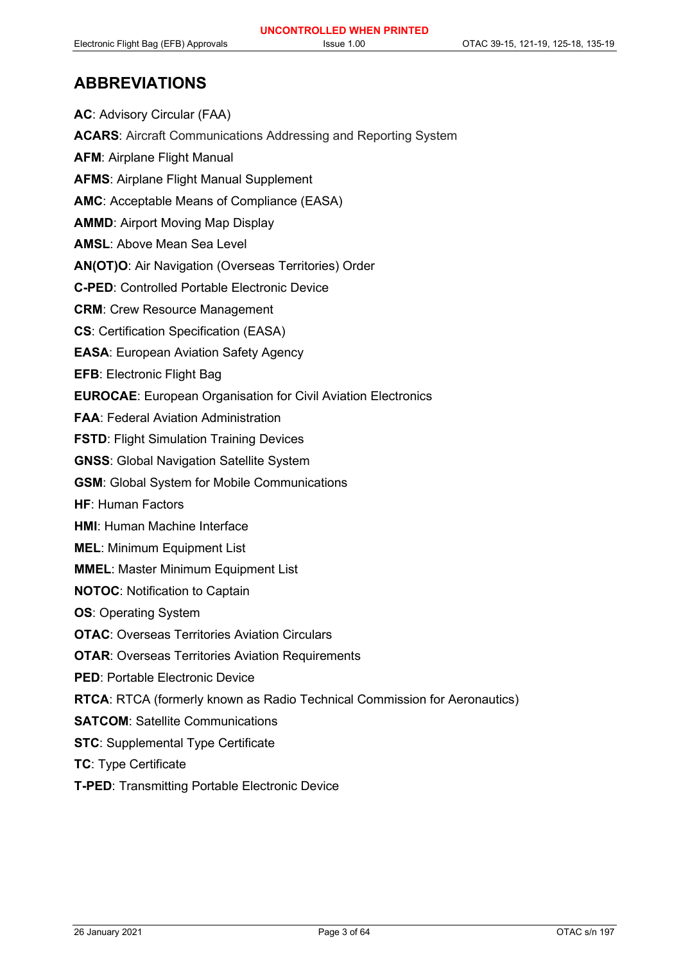## **ABBREVIATIONS**

**AC**: Advisory Circular (FAA) **ACARS**: Aircraft Communications Addressing and Reporting System **AFM**: Airplane Flight Manual **AFMS**: Airplane Flight Manual Supplement **AMC**: Acceptable Means of Compliance (EASA) **AMMD**: Airport Moving Map Display **AMSL**: Above Mean Sea Level **AN(OT)O**: Air Navigation (Overseas Territories) Order **C-PED**: Controlled Portable Electronic Device **CRM**: Crew Resource Management **CS**: Certification Specification (EASA) **EASA**: European Aviation Safety Agency **EFB**: Electronic Flight Bag **EUROCAE**: European Organisation for Civil Aviation Electronics **FAA**: Federal Aviation Administration **FSTD: Flight Simulation Training Devices GNSS**: Global Navigation Satellite System **GSM**: Global System for Mobile Communications **HF**: Human Factors **HMI**: Human Machine Interface **MEL**: Minimum Equipment List **MMEL**: Master Minimum Equipment List **NOTOC**: Notification to Captain **OS**: Operating System **OTAC**: Overseas Territories Aviation Circulars **OTAR**: Overseas Territories Aviation Requirements **PED**: Portable Electronic Device **RTCA**: RTCA (formerly known as Radio Technical Commission for Aeronautics) **SATCOM**: Satellite Communications **STC**: Supplemental Type Certificate **TC**: Type Certificate

**T-PED**: Transmitting Portable Electronic Device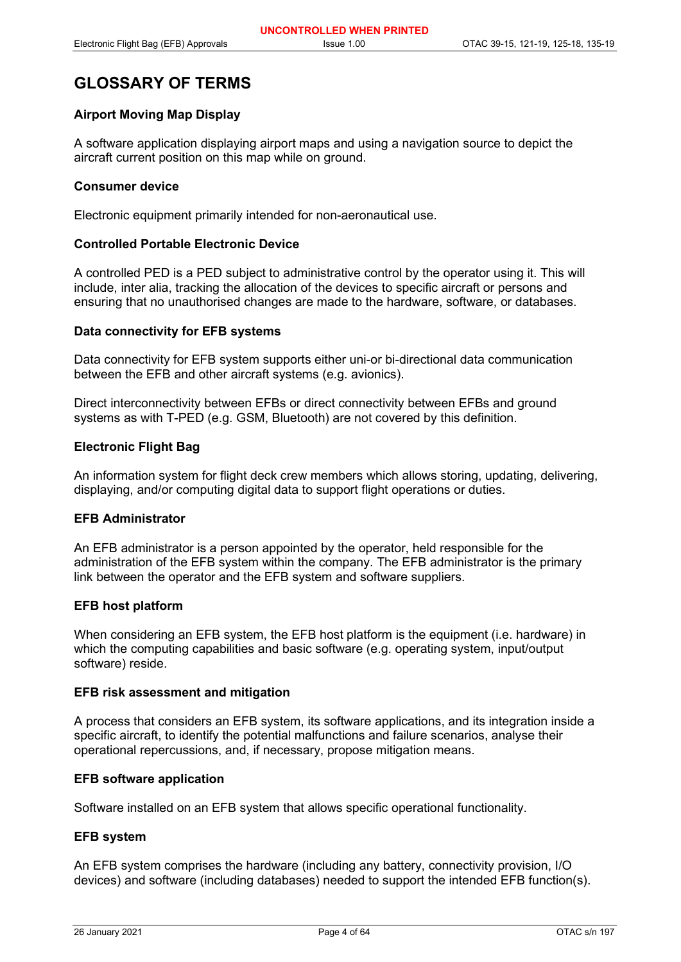## **GLOSSARY OF TERMS**

## **Airport Moving Map Display**

A software application displaying airport maps and using a navigation source to depict the aircraft current position on this map while on ground.

#### **Consumer device**

Electronic equipment primarily intended for non-aeronautical use.

## **Controlled Portable Electronic Device**

A controlled PED is a PED subject to administrative control by the operator using it. This will include, inter alia, tracking the allocation of the devices to specific aircraft or persons and ensuring that no unauthorised changes are made to the hardware, software, or databases.

#### **Data connectivity for EFB systems**

Data connectivity for EFB system supports either uni-or bi-directional data communication between the EFB and other aircraft systems (e.g. avionics).

Direct interconnectivity between EFBs or direct connectivity between EFBs and ground systems as with T-PED (e.g. GSM, Bluetooth) are not covered by this definition.

#### **Electronic Flight Bag**

An information system for flight deck crew members which allows storing, updating, delivering, displaying, and/or computing digital data to support flight operations or duties.

## **EFB Administrator**

An EFB administrator is a person appointed by the operator, held responsible for the administration of the EFB system within the company. The EFB administrator is the primary link between the operator and the EFB system and software suppliers.

#### **EFB host platform**

When considering an EFB system, the EFB host platform is the equipment (i.e. hardware) in which the computing capabilities and basic software (e.g. operating system, input/output software) reside.

#### **EFB risk assessment and mitigation**

A process that considers an EFB system, its software applications, and its integration inside a specific aircraft, to identify the potential malfunctions and failure scenarios, analyse their operational repercussions, and, if necessary, propose mitigation means.

#### **EFB software application**

Software installed on an EFB system that allows specific operational functionality.

#### **EFB system**

An EFB system comprises the hardware (including any battery, connectivity provision, I/O devices) and software (including databases) needed to support the intended EFB function(s).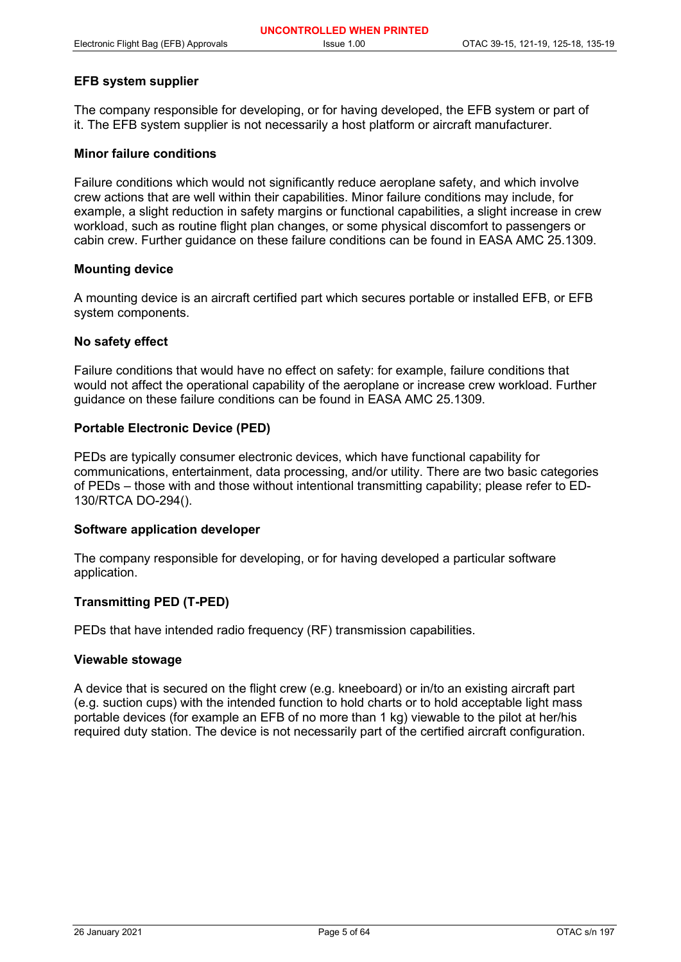## **EFB system supplier**

The company responsible for developing, or for having developed, the EFB system or part of it. The EFB system supplier is not necessarily a host platform or aircraft manufacturer.

#### **Minor failure conditions**

Failure conditions which would not significantly reduce aeroplane safety, and which involve crew actions that are well within their capabilities. Minor failure conditions may include, for example, a slight reduction in safety margins or functional capabilities, a slight increase in crew workload, such as routine flight plan changes, or some physical discomfort to passengers or cabin crew. Further guidance on these failure conditions can be found in EASA AMC 25.1309.

#### **Mounting device**

A mounting device is an aircraft certified part which secures portable or installed EFB, or EFB system components.

#### **No safety effect**

Failure conditions that would have no effect on safety: for example, failure conditions that would not affect the operational capability of the aeroplane or increase crew workload. Further guidance on these failure conditions can be found in EASA AMC 25.1309.

#### **Portable Electronic Device (PED)**

PEDs are typically consumer electronic devices, which have functional capability for communications, entertainment, data processing, and/or utility. There are two basic categories of PEDs – those with and those without intentional transmitting capability; please refer to ED-130/RTCA DO-294().

#### **Software application developer**

The company responsible for developing, or for having developed a particular software application.

#### **Transmitting PED (T-PED)**

PEDs that have intended radio frequency (RF) transmission capabilities.

#### **Viewable stowage**

A device that is secured on the flight crew (e.g. kneeboard) or in/to an existing aircraft part (e.g. suction cups) with the intended function to hold charts or to hold acceptable light mass portable devices (for example an EFB of no more than 1 kg) viewable to the pilot at her/his required duty station. The device is not necessarily part of the certified aircraft configuration.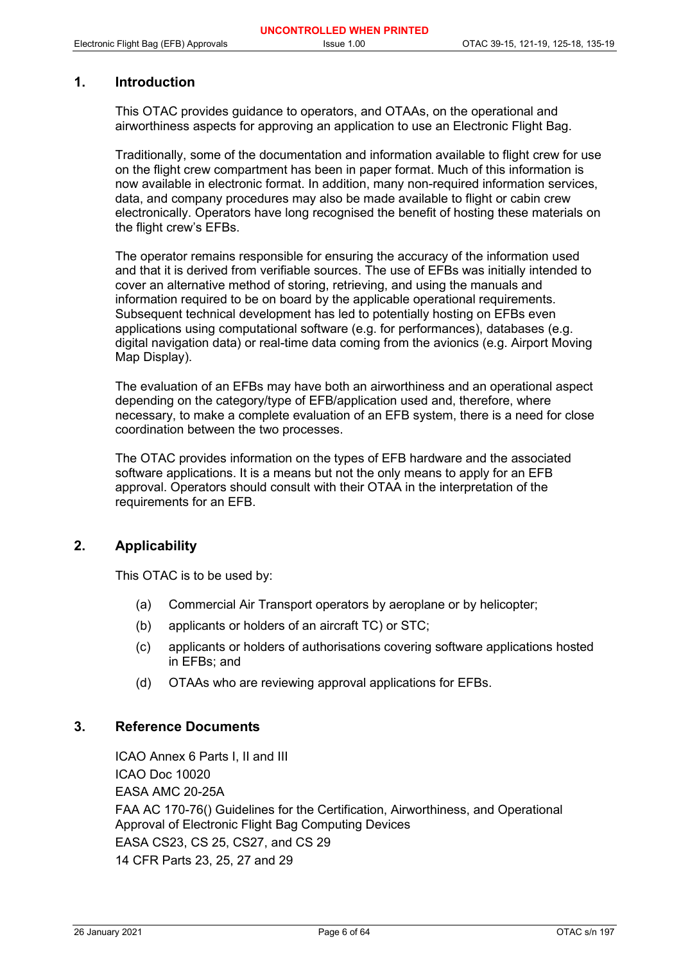## **1. Introduction**

This OTAC provides guidance to operators, and OTAAs, on the operational and airworthiness aspects for approving an application to use an Electronic Flight Bag.

Traditionally, some of the documentation and information available to flight crew for use on the flight crew compartment has been in paper format. Much of this information is now available in electronic format. In addition, many non-required information services, data, and company procedures may also be made available to flight or cabin crew electronically. Operators have long recognised the benefit of hosting these materials on the flight crew's EFBs.

The operator remains responsible for ensuring the accuracy of the information used and that it is derived from verifiable sources. The use of EFBs was initially intended to cover an alternative method of storing, retrieving, and using the manuals and information required to be on board by the applicable operational requirements. Subsequent technical development has led to potentially hosting on EFBs even applications using computational software (e.g. for performances), databases (e.g. digital navigation data) or real-time data coming from the avionics (e.g. Airport Moving Map Display).

The evaluation of an EFBs may have both an airworthiness and an operational aspect depending on the category/type of EFB/application used and, therefore, where necessary, to make a complete evaluation of an EFB system, there is a need for close coordination between the two processes.

The OTAC provides information on the types of EFB hardware and the associated software applications. It is a means but not the only means to apply for an EFB approval. Operators should consult with their OTAA in the interpretation of the requirements for an EFB.

## **2. Applicability**

This OTAC is to be used by:

- (a) Commercial Air Transport operators by aeroplane or by helicopter;
- (b) applicants or holders of an aircraft TC) or STC;
- (c) applicants or holders of authorisations covering software applications hosted in EFBs; and
- (d) OTAAs who are reviewing approval applications for EFBs.

## **3. Reference Documents**

ICAO Annex 6 Parts I, II and III ICAO Doc 10020 EASA AMC 20-25A FAA AC 170-76() Guidelines for the Certification, Airworthiness, and Operational Approval of Electronic Flight Bag Computing Devices EASA CS23, CS 25, CS27, and CS 29 14 CFR Parts 23, 25, 27 and 29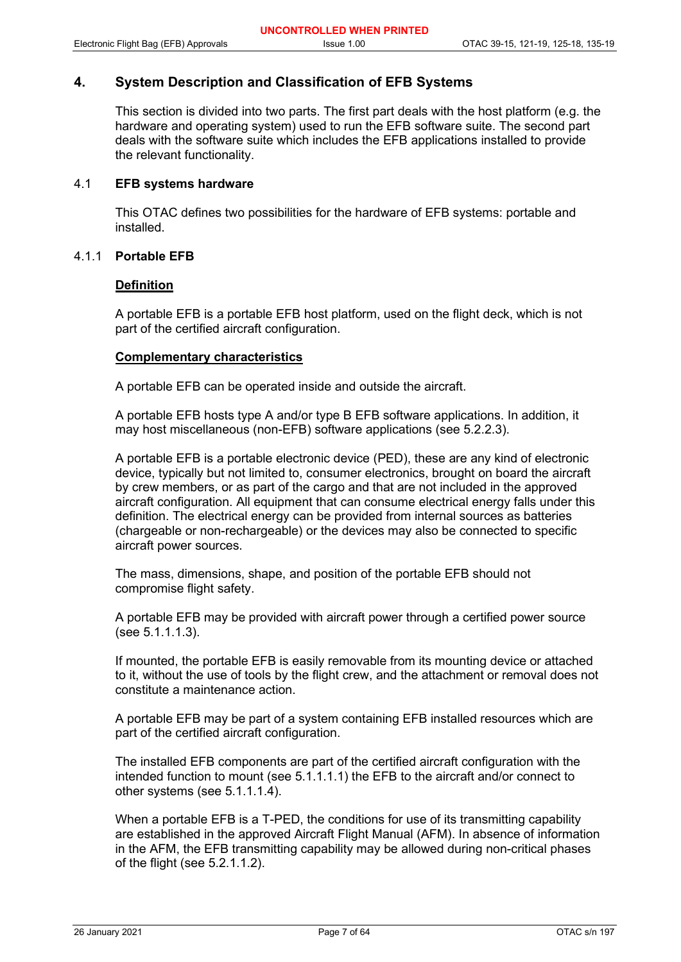## **4. System Description and Classification of EFB Systems**

This section is divided into two parts. The first part deals with the host platform (e.g. the hardware and operating system) used to run the EFB software suite. The second part deals with the software suite which includes the EFB applications installed to provide the relevant functionality.

## 4.1 **EFB systems hardware**

This OTAC defines two possibilities for the hardware of EFB systems: portable and installed.

## 4.1.1 **Portable EFB**

## **Definition**

A portable EFB is a portable EFB host platform, used on the flight deck, which is not part of the certified aircraft configuration.

#### **Complementary characteristics**

A portable EFB can be operated inside and outside the aircraft.

A portable EFB hosts type A and/or type B EFB software applications. In addition, it may host miscellaneous (non-EFB) software applications (see 5.2.2.3).

A portable EFB is a portable electronic device (PED), these are any kind of electronic device, typically but not limited to, consumer electronics, brought on board the aircraft by crew members, or as part of the cargo and that are not included in the approved aircraft configuration. All equipment that can consume electrical energy falls under this definition. The electrical energy can be provided from internal sources as batteries (chargeable or non-rechargeable) or the devices may also be connected to specific aircraft power sources.

The mass, dimensions, shape, and position of the portable EFB should not compromise flight safety.

A portable EFB may be provided with aircraft power through a certified power source (see 5.1.1.1.3).

If mounted, the portable EFB is easily removable from its mounting device or attached to it, without the use of tools by the flight crew, and the attachment or removal does not constitute a maintenance action.

A portable EFB may be part of a system containing EFB installed resources which are part of the certified aircraft configuration.

The installed EFB components are part of the certified aircraft configuration with the intended function to mount (see 5.1.1.1.1) the EFB to the aircraft and/or connect to other systems (see 5.1.1.1.4).

When a portable EFB is a T-PED, the conditions for use of its transmitting capability are established in the approved Aircraft Flight Manual (AFM). In absence of information in the AFM, the EFB transmitting capability may be allowed during non-critical phases of the flight (see 5.2.1.1.2).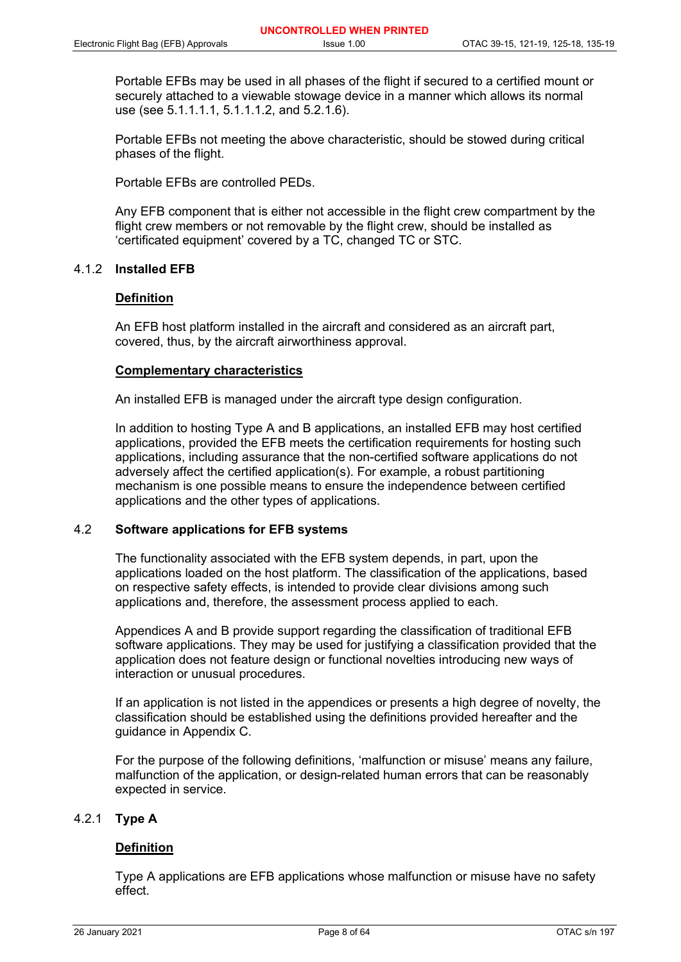Portable EFBs may be used in all phases of the flight if secured to a certified mount or securely attached to a viewable stowage device in a manner which allows its normal use (see 5.1.1.1.1, 5.1.1.1.2, and 5.2.1.6).

Portable EFBs not meeting the above characteristic, should be stowed during critical phases of the flight.

Portable EFBs are controlled PEDs.

Any EFB component that is either not accessible in the flight crew compartment by the flight crew members or not removable by the flight crew, should be installed as 'certificated equipment' covered by a TC, changed TC or STC.

## 4.1.2 **Installed EFB**

## **Definition**

An EFB host platform installed in the aircraft and considered as an aircraft part, covered, thus, by the aircraft airworthiness approval.

#### **Complementary characteristics**

An installed EFB is managed under the aircraft type design configuration.

In addition to hosting Type A and B applications, an installed EFB may host certified applications, provided the EFB meets the certification requirements for hosting such applications, including assurance that the non-certified software applications do not adversely affect the certified application(s). For example, a robust partitioning mechanism is one possible means to ensure the independence between certified applications and the other types of applications.

#### 4.2 **Software applications for EFB systems**

The functionality associated with the EFB system depends, in part, upon the applications loaded on the host platform. The classification of the applications, based on respective safety effects, is intended to provide clear divisions among such applications and, therefore, the assessment process applied to each.

Appendices A and B provide support regarding the classification of traditional EFB software applications. They may be used for justifying a classification provided that the application does not feature design or functional novelties introducing new ways of interaction or unusual procedures.

If an application is not listed in the appendices or presents a high degree of novelty, the classification should be established using the definitions provided hereafter and the guidance in Appendix C.

For the purpose of the following definitions, 'malfunction or misuse' means any failure, malfunction of the application, or design-related human errors that can be reasonably expected in service.

#### 4.2.1 **Type A**

## **Definition**

Type A applications are EFB applications whose malfunction or misuse have no safety effect.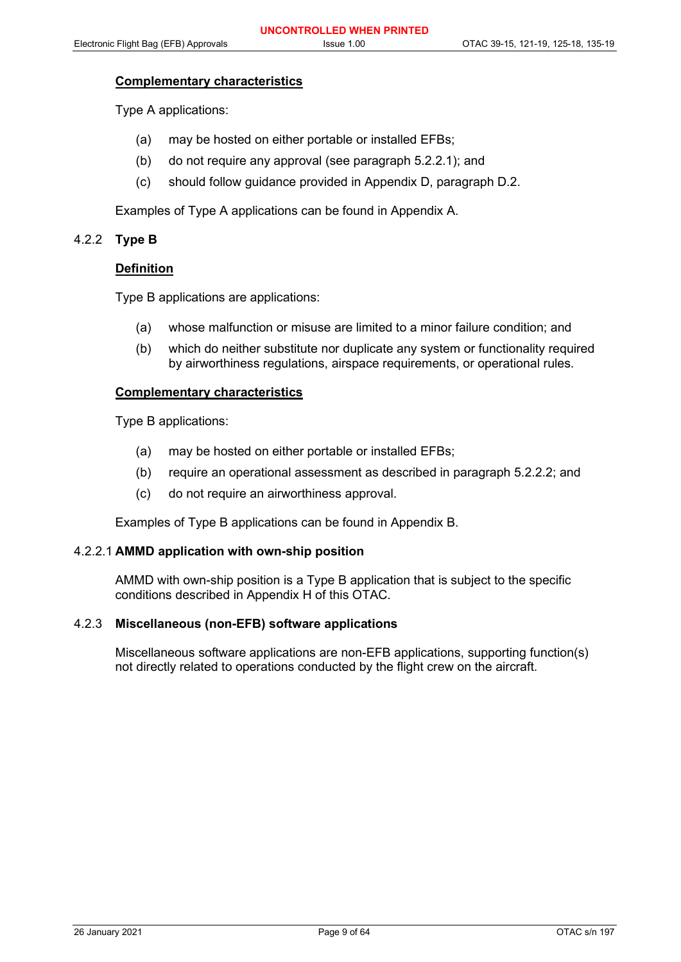#### **Complementary characteristics**

Type A applications:

- (a) may be hosted on either portable or installed EFBs;
- (b) do not require any approval (see paragraph 5.2.2.1); and
- (c) should follow guidance provided in Appendix D, paragraph D.2.

Examples of Type A applications can be found in Appendix A.

## 4.2.2 **Type B**

## **Definition**

Type B applications are applications:

- (a) whose malfunction or misuse are limited to a minor failure condition; and
- (b) which do neither substitute nor duplicate any system or functionality required by airworthiness regulations, airspace requirements, or operational rules.

#### **Complementary characteristics**

Type B applications:

- (a) may be hosted on either portable or installed EFBs;
- (b) require an operational assessment as described in paragraph 5.2.2.2; and
- (c) do not require an airworthiness approval.

Examples of Type B applications can be found in Appendix B.

#### 4.2.2.1 **AMMD application with own-ship position**

AMMD with own-ship position is a Type B application that is subject to the specific conditions described in Appendix H of this OTAC.

## 4.2.3 **Miscellaneous (non-EFB) software applications**

Miscellaneous software applications are non-EFB applications, supporting function(s) not directly related to operations conducted by the flight crew on the aircraft.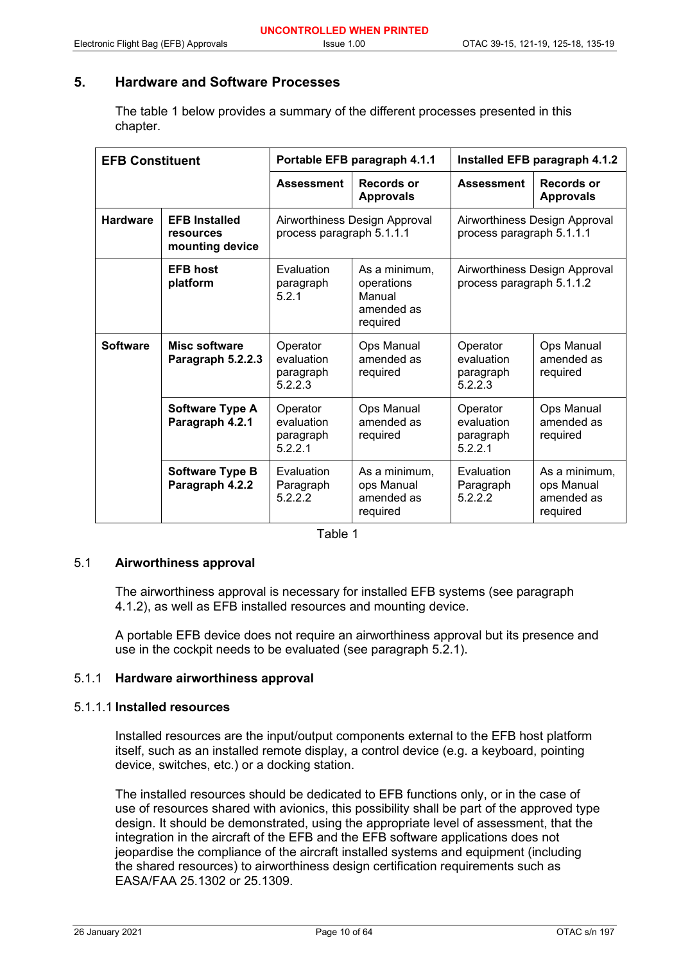## **5. Hardware and Software Processes**

The table 1 below provides a summary of the different processes presented in this chapter.

| <b>EFB Constituent</b> |                                                      | Portable EFB paragraph 4.1.1                               |                                                                 | Installed EFB paragraph 4.1.2                              |                                                       |
|------------------------|------------------------------------------------------|------------------------------------------------------------|-----------------------------------------------------------------|------------------------------------------------------------|-------------------------------------------------------|
|                        |                                                      | <b>Assessment</b>                                          | <b>Records or</b><br><b>Approvals</b>                           | <b>Assessment</b>                                          | <b>Records or</b><br><b>Approvals</b>                 |
| <b>Hardware</b>        | <b>EFB Installed</b><br>resources<br>mounting device | Airworthiness Design Approval<br>process paragraph 5.1.1.1 |                                                                 | Airworthiness Design Approval<br>process paragraph 5.1.1.1 |                                                       |
|                        | <b>EFB host</b><br>platform                          | Evaluation<br>paragraph<br>5.2.1                           | As a minimum.<br>operations<br>Manual<br>amended as<br>required | Airworthiness Design Approval<br>process paragraph 5.1.1.2 |                                                       |
| <b>Software</b>        | Misc software<br>Paragraph 5.2.2.3                   | Operator<br>evaluation<br>paragraph<br>5.2.2.3             | Ops Manual<br>amended as<br>required                            | Operator<br>evaluation<br>paragraph<br>5.2.2.3             | Ops Manual<br>amended as<br>required                  |
|                        | Software Type A<br>Paragraph 4.2.1                   | Operator<br>evaluation<br>paragraph<br>5.2.2.1             | Ops Manual<br>amended as<br>required                            | Operator<br>evaluation<br>paragraph<br>5.2.2.1             | Ops Manual<br>amended as<br>required                  |
|                        | <b>Software Type B</b><br>Paragraph 4.2.2            | Evaluation<br>Paragraph<br>5.2.2.2                         | As a minimum,<br>ops Manual<br>amended as<br>required           | Evaluation<br>Paragraph<br>5.2.2.2                         | As a minimum,<br>ops Manual<br>amended as<br>required |

Table 1

#### 5.1 **Airworthiness approval**

The airworthiness approval is necessary for installed EFB systems (see paragraph 4.1.2), as well as EFB installed resources and mounting device.

A portable EFB device does not require an airworthiness approval but its presence and use in the cockpit needs to be evaluated (see paragraph 5.2.1).

#### 5.1.1 **Hardware airworthiness approval**

## 5.1.1.1 **Installed resources**

Installed resources are the input/output components external to the EFB host platform itself, such as an installed remote display, a control device (e.g. a keyboard, pointing device, switches, etc.) or a docking station.

The installed resources should be dedicated to EFB functions only, or in the case of use of resources shared with avionics, this possibility shall be part of the approved type design. It should be demonstrated, using the appropriate level of assessment, that the integration in the aircraft of the EFB and the EFB software applications does not jeopardise the compliance of the aircraft installed systems and equipment (including the shared resources) to airworthiness design certification requirements such as EASA/FAA 25.1302 or 25.1309.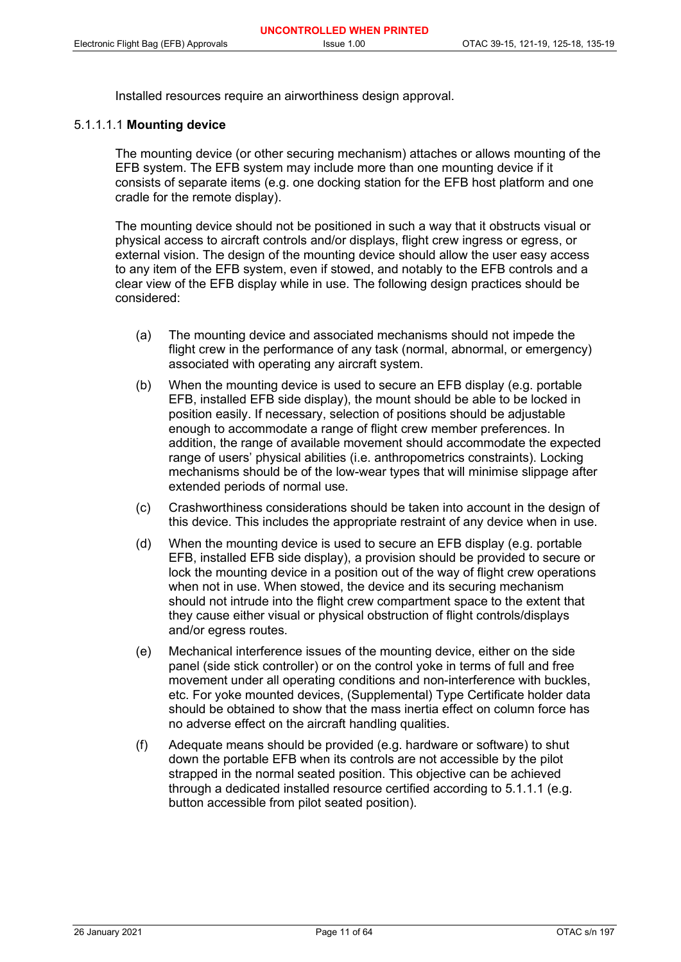Installed resources require an airworthiness design approval.

## 5.1.1.1.1 **Mounting device**

The mounting device (or other securing mechanism) attaches or allows mounting of the EFB system. The EFB system may include more than one mounting device if it consists of separate items (e.g. one docking station for the EFB host platform and one cradle for the remote display).

The mounting device should not be positioned in such a way that it obstructs visual or physical access to aircraft controls and/or displays, flight crew ingress or egress, or external vision. The design of the mounting device should allow the user easy access to any item of the EFB system, even if stowed, and notably to the EFB controls and a clear view of the EFB display while in use. The following design practices should be considered:

- (a) The mounting device and associated mechanisms should not impede the flight crew in the performance of any task (normal, abnormal, or emergency) associated with operating any aircraft system.
- (b) When the mounting device is used to secure an EFB display (e.g. portable EFB, installed EFB side display), the mount should be able to be locked in position easily. If necessary, selection of positions should be adjustable enough to accommodate a range of flight crew member preferences. In addition, the range of available movement should accommodate the expected range of users' physical abilities (i.e. anthropometrics constraints). Locking mechanisms should be of the low-wear types that will minimise slippage after extended periods of normal use.
- (c) Crashworthiness considerations should be taken into account in the design of this device. This includes the appropriate restraint of any device when in use.
- (d) When the mounting device is used to secure an EFB display (e.g. portable EFB, installed EFB side display), a provision should be provided to secure or lock the mounting device in a position out of the way of flight crew operations when not in use. When stowed, the device and its securing mechanism should not intrude into the flight crew compartment space to the extent that they cause either visual or physical obstruction of flight controls/displays and/or egress routes.
- (e) Mechanical interference issues of the mounting device, either on the side panel (side stick controller) or on the control yoke in terms of full and free movement under all operating conditions and non-interference with buckles, etc. For yoke mounted devices, (Supplemental) Type Certificate holder data should be obtained to show that the mass inertia effect on column force has no adverse effect on the aircraft handling qualities.
- (f) Adequate means should be provided (e.g. hardware or software) to shut down the portable EFB when its controls are not accessible by the pilot strapped in the normal seated position. This objective can be achieved through a dedicated installed resource certified according to 5.1.1.1 (e.g. button accessible from pilot seated position).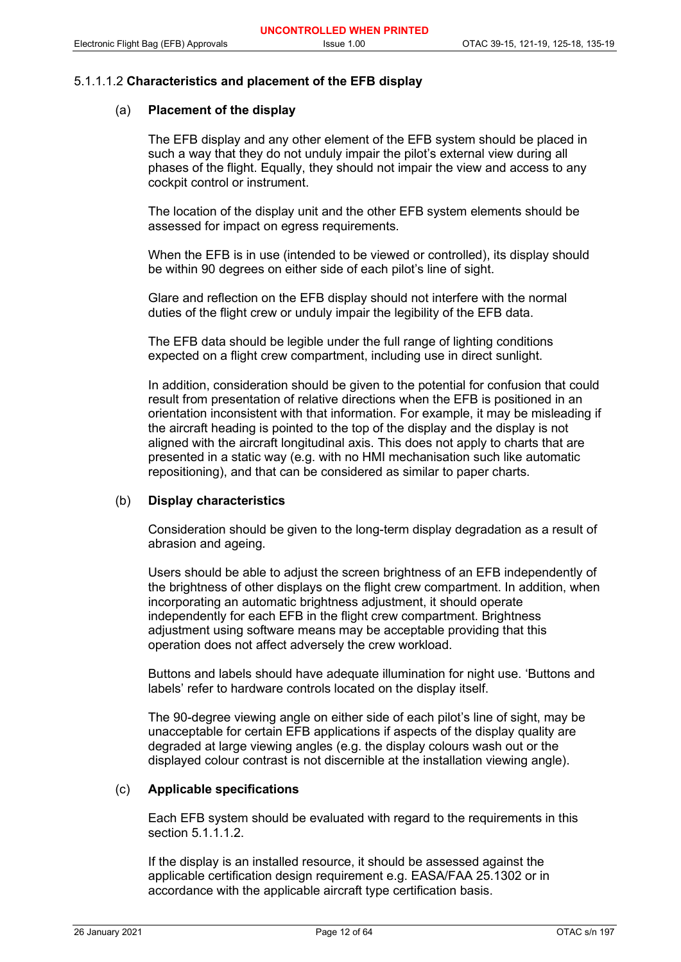#### 5.1.1.1.2 **Characteristics and placement of the EFB display**

## (a) **Placement of the display**

The EFB display and any other element of the EFB system should be placed in such a way that they do not unduly impair the pilot's external view during all phases of the flight. Equally, they should not impair the view and access to any cockpit control or instrument.

The location of the display unit and the other EFB system elements should be assessed for impact on egress requirements.

When the EFB is in use (intended to be viewed or controlled), its display should be within 90 degrees on either side of each pilot's line of sight.

Glare and reflection on the EFB display should not interfere with the normal duties of the flight crew or unduly impair the legibility of the EFB data.

The EFB data should be legible under the full range of lighting conditions expected on a flight crew compartment, including use in direct sunlight.

In addition, consideration should be given to the potential for confusion that could result from presentation of relative directions when the EFB is positioned in an orientation inconsistent with that information. For example, it may be misleading if the aircraft heading is pointed to the top of the display and the display is not aligned with the aircraft longitudinal axis. This does not apply to charts that are presented in a static way (e.g. with no HMI mechanisation such like automatic repositioning), and that can be considered as similar to paper charts.

#### (b) **Display characteristics**

Consideration should be given to the long-term display degradation as a result of abrasion and ageing.

Users should be able to adjust the screen brightness of an EFB independently of the brightness of other displays on the flight crew compartment. In addition, when incorporating an automatic brightness adjustment, it should operate independently for each EFB in the flight crew compartment. Brightness adjustment using software means may be acceptable providing that this operation does not affect adversely the crew workload.

Buttons and labels should have adequate illumination for night use. 'Buttons and labels' refer to hardware controls located on the display itself.

The 90-degree viewing angle on either side of each pilot's line of sight, may be unacceptable for certain EFB applications if aspects of the display quality are degraded at large viewing angles (e.g. the display colours wash out or the displayed colour contrast is not discernible at the installation viewing angle).

## (c) **Applicable specifications**

Each EFB system should be evaluated with regard to the requirements in this section 5.1.1.1.2.

If the display is an installed resource, it should be assessed against the applicable certification design requirement e.g. EASA/FAA 25.1302 or in accordance with the applicable aircraft type certification basis.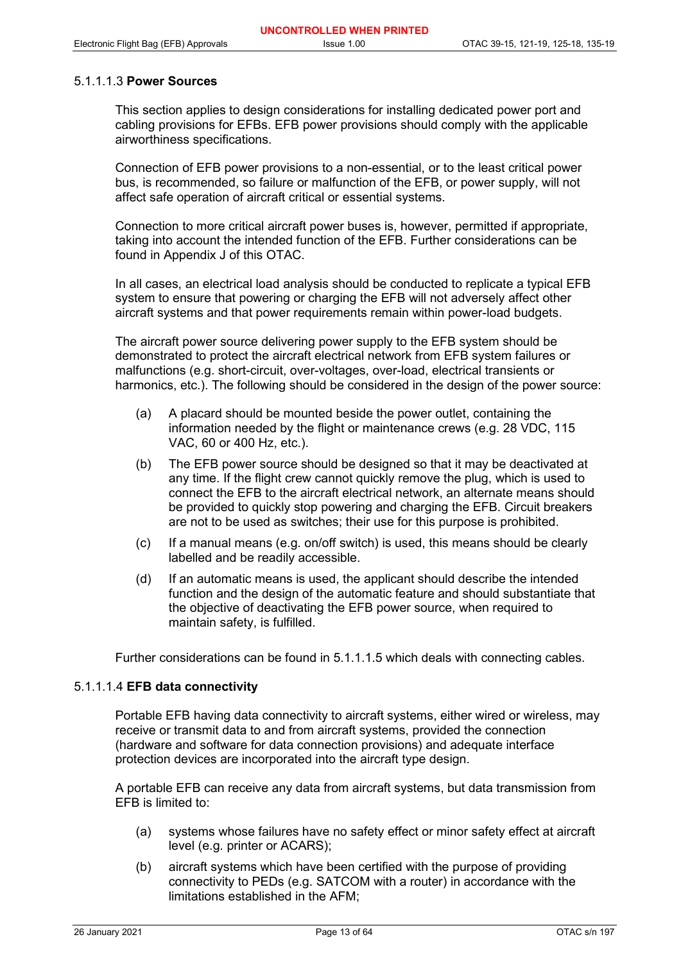## 5.1.1.1.3 **Power Sources**

This section applies to design considerations for installing dedicated power port and cabling provisions for EFBs. EFB power provisions should comply with the applicable airworthiness specifications.

Connection of EFB power provisions to a non-essential, or to the least critical power bus, is recommended, so failure or malfunction of the EFB, or power supply, will not affect safe operation of aircraft critical or essential systems.

Connection to more critical aircraft power buses is, however, permitted if appropriate, taking into account the intended function of the EFB. Further considerations can be found in Appendix J of this OTAC.

In all cases, an electrical load analysis should be conducted to replicate a typical EFB system to ensure that powering or charging the EFB will not adversely affect other aircraft systems and that power requirements remain within power-load budgets.

The aircraft power source delivering power supply to the EFB system should be demonstrated to protect the aircraft electrical network from EFB system failures or malfunctions (e.g. short-circuit, over-voltages, over-load, electrical transients or harmonics, etc.). The following should be considered in the design of the power source:

- (a) A placard should be mounted beside the power outlet, containing the information needed by the flight or maintenance crews (e.g. 28 VDC, 115 VAC, 60 or 400 Hz, etc.).
- (b) The EFB power source should be designed so that it may be deactivated at any time. If the flight crew cannot quickly remove the plug, which is used to connect the EFB to the aircraft electrical network, an alternate means should be provided to quickly stop powering and charging the EFB. Circuit breakers are not to be used as switches; their use for this purpose is prohibited.
- (c) If a manual means (e.g. on/off switch) is used, this means should be clearly labelled and be readily accessible.
- (d) If an automatic means is used, the applicant should describe the intended function and the design of the automatic feature and should substantiate that the objective of deactivating the EFB power source, when required to maintain safety, is fulfilled.

Further considerations can be found in 5.1.1.1.5 which deals with connecting cables.

#### 5.1.1.1.4 **EFB data connectivity**

Portable EFB having data connectivity to aircraft systems, either wired or wireless, may receive or transmit data to and from aircraft systems, provided the connection (hardware and software for data connection provisions) and adequate interface protection devices are incorporated into the aircraft type design.

A portable EFB can receive any data from aircraft systems, but data transmission from EFB is limited to:

- (a) systems whose failures have no safety effect or minor safety effect at aircraft level (e.g. printer or ACARS);
- (b) aircraft systems which have been certified with the purpose of providing connectivity to PEDs (e.g. SATCOM with a router) in accordance with the limitations established in the AFM;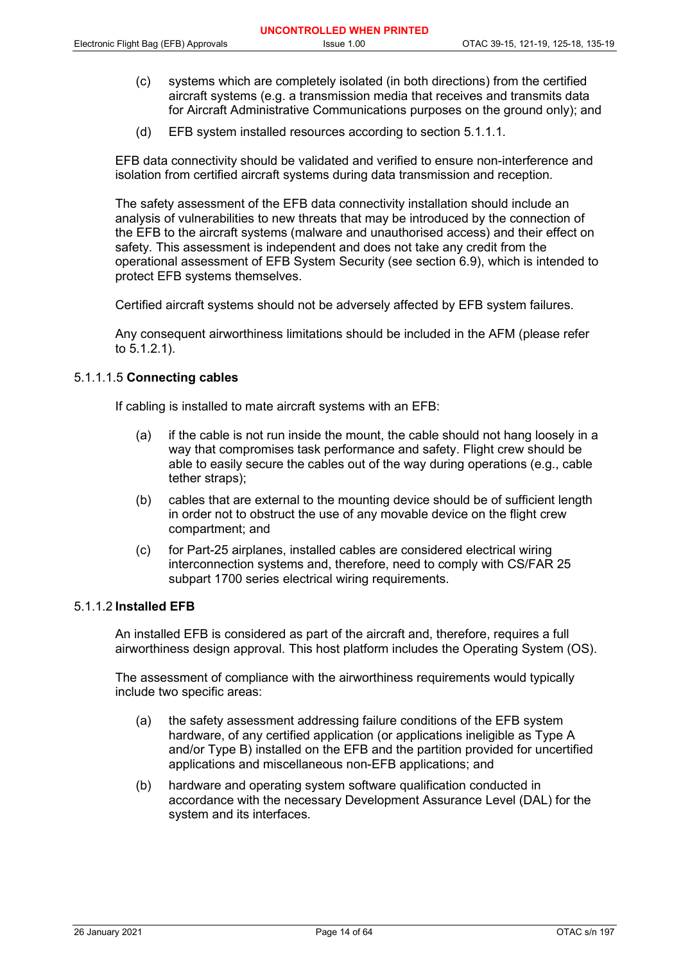- (c) systems which are completely isolated (in both directions) from the certified aircraft systems (e.g. a transmission media that receives and transmits data for Aircraft Administrative Communications purposes on the ground only); and
- (d) EFB system installed resources according to section 5.1.1.1.

EFB data connectivity should be validated and verified to ensure non-interference and isolation from certified aircraft systems during data transmission and reception.

The safety assessment of the EFB data connectivity installation should include an analysis of vulnerabilities to new threats that may be introduced by the connection of the EFB to the aircraft systems (malware and unauthorised access) and their effect on safety. This assessment is independent and does not take any credit from the operational assessment of EFB System Security (see section 6.9), which is intended to protect EFB systems themselves.

Certified aircraft systems should not be adversely affected by EFB system failures.

Any consequent airworthiness limitations should be included in the AFM (please refer to 5.1.2.1).

## 5.1.1.1.5 **Connecting cables**

If cabling is installed to mate aircraft systems with an EFB:

- (a) if the cable is not run inside the mount, the cable should not hang loosely in a way that compromises task performance and safety. Flight crew should be able to easily secure the cables out of the way during operations (e.g., cable tether straps);
- (b) cables that are external to the mounting device should be of sufficient length in order not to obstruct the use of any movable device on the flight crew compartment; and
- (c) for Part-25 airplanes, installed cables are considered electrical wiring interconnection systems and, therefore, need to comply with CS/FAR 25 subpart 1700 series electrical wiring requirements.

#### 5.1.1.2 **Installed EFB**

An installed EFB is considered as part of the aircraft and, therefore, requires a full airworthiness design approval. This host platform includes the Operating System (OS).

The assessment of compliance with the airworthiness requirements would typically include two specific areas:

- (a) the safety assessment addressing failure conditions of the EFB system hardware, of any certified application (or applications ineligible as Type A and/or Type B) installed on the EFB and the partition provided for uncertified applications and miscellaneous non-EFB applications; and
- (b) hardware and operating system software qualification conducted in accordance with the necessary Development Assurance Level (DAL) for the system and its interfaces.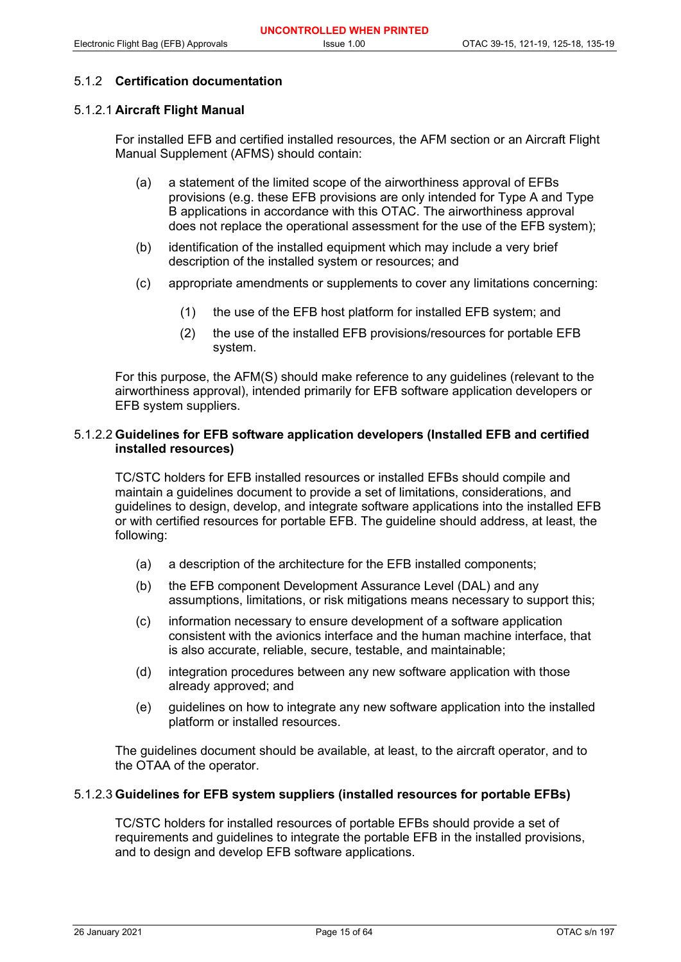## 5.1.2 **Certification documentation**

## 5.1.2.1 **Aircraft Flight Manual**

For installed EFB and certified installed resources, the AFM section or an Aircraft Flight Manual Supplement (AFMS) should contain:

- (a) a statement of the limited scope of the airworthiness approval of EFBs provisions (e.g. these EFB provisions are only intended for Type A and Type B applications in accordance with this OTAC. The airworthiness approval does not replace the operational assessment for the use of the EFB system);
- (b) identification of the installed equipment which may include a very brief description of the installed system or resources; and
- (c) appropriate amendments or supplements to cover any limitations concerning:
	- (1) the use of the EFB host platform for installed EFB system; and
	- (2) the use of the installed EFB provisions/resources for portable EFB system.

For this purpose, the AFM(S) should make reference to any guidelines (relevant to the airworthiness approval), intended primarily for EFB software application developers or EFB system suppliers.

## 5.1.2.2 **Guidelines for EFB software application developers (Installed EFB and certified installed resources)**

TC/STC holders for EFB installed resources or installed EFBs should compile and maintain a guidelines document to provide a set of limitations, considerations, and guidelines to design, develop, and integrate software applications into the installed EFB or with certified resources for portable EFB. The guideline should address, at least, the following:

- (a) a description of the architecture for the EFB installed components;
- (b) the EFB component Development Assurance Level (DAL) and any assumptions, limitations, or risk mitigations means necessary to support this;
- (c) information necessary to ensure development of a software application consistent with the avionics interface and the human machine interface, that is also accurate, reliable, secure, testable, and maintainable;
- (d) integration procedures between any new software application with those already approved; and
- (e) guidelines on how to integrate any new software application into the installed platform or installed resources.

The guidelines document should be available, at least, to the aircraft operator, and to the OTAA of the operator.

#### 5.1.2.3 **Guidelines for EFB system suppliers (installed resources for portable EFBs)**

TC/STC holders for installed resources of portable EFBs should provide a set of requirements and guidelines to integrate the portable EFB in the installed provisions, and to design and develop EFB software applications.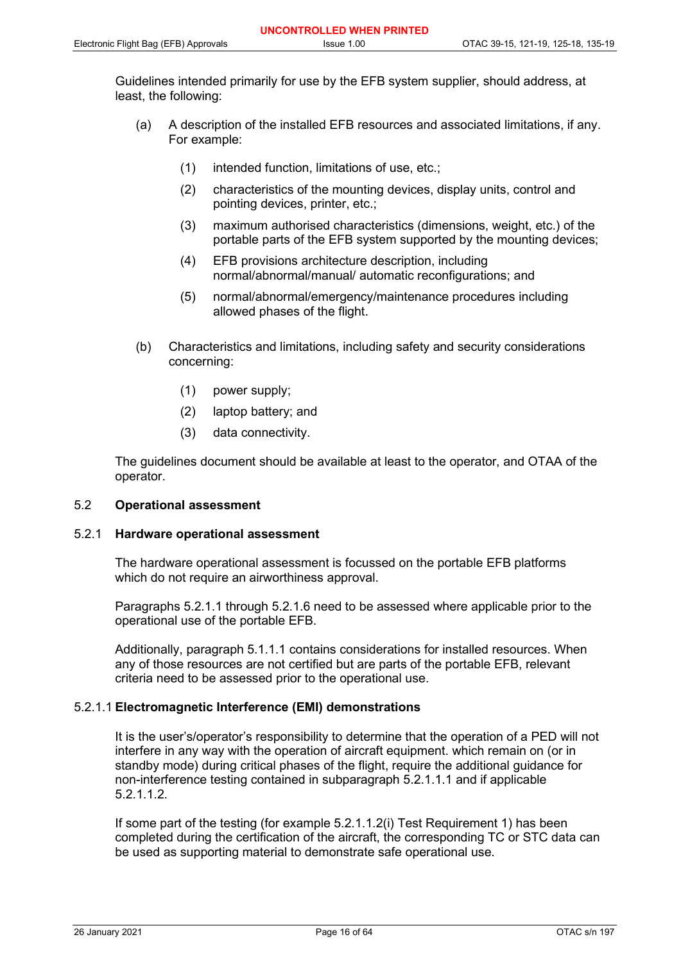Guidelines intended primarily for use by the EFB system supplier, should address, at least, the following:

- (a) A description of the installed EFB resources and associated limitations, if any. For example:
	- (1) intended function, limitations of use, etc.;
	- (2) characteristics of the mounting devices, display units, control and pointing devices, printer, etc.;
	- (3) maximum authorised characteristics (dimensions, weight, etc.) of the portable parts of the EFB system supported by the mounting devices;
	- (4) EFB provisions architecture description, including normal/abnormal/manual/ automatic reconfigurations; and
	- (5) normal/abnormal/emergency/maintenance procedures including allowed phases of the flight.
- (b) Characteristics and limitations, including safety and security considerations concerning:
	- (1) power supply;
	- (2) laptop battery; and
	- (3) data connectivity.

The guidelines document should be available at least to the operator, and OTAA of the operator.

## 5.2 **Operational assessment**

#### 5.2.1 **Hardware operational assessment**

The hardware operational assessment is focussed on the portable EFB platforms which do not require an airworthiness approval.

Paragraphs 5.2.1.1 through 5.2.1.6 need to be assessed where applicable prior to the operational use of the portable EFB.

Additionally, paragraph 5.1.1.1 contains considerations for installed resources. When any of those resources are not certified but are parts of the portable EFB, relevant criteria need to be assessed prior to the operational use.

#### 5.2.1.1 **Electromagnetic Interference (EMI) demonstrations**

It is the user's/operator's responsibility to determine that the operation of a PED will not interfere in any way with the operation of aircraft equipment. which remain on (or in standby mode) during critical phases of the flight, require the additional guidance for non-interference testing contained in subparagraph 5.2.1.1.1 and if applicable 5.2.1.1.2.

If some part of the testing (for example 5.2.1.1.2(i) Test Requirement 1) has been completed during the certification of the aircraft, the corresponding TC or STC data can be used as supporting material to demonstrate safe operational use.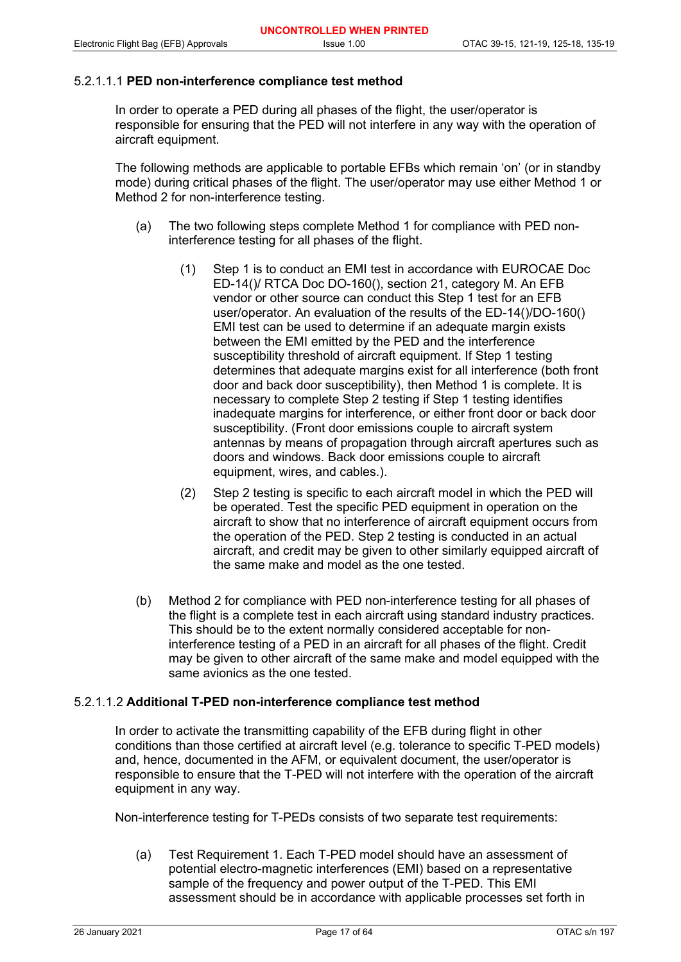## 5.2.1.1.1 **PED non-interference compliance test method**

In order to operate a PED during all phases of the flight, the user/operator is responsible for ensuring that the PED will not interfere in any way with the operation of aircraft equipment.

The following methods are applicable to portable EFBs which remain 'on' (or in standby mode) during critical phases of the flight. The user/operator may use either Method 1 or Method 2 for non-interference testing.

- (a) The two following steps complete Method 1 for compliance with PED noninterference testing for all phases of the flight.
	- (1) Step 1 is to conduct an EMI test in accordance with EUROCAE Doc ED-14()/ RTCA Doc DO-160(), section 21, category M. An EFB vendor or other source can conduct this Step 1 test for an EFB user/operator. An evaluation of the results of the ED-14()/DO-160() EMI test can be used to determine if an adequate margin exists between the EMI emitted by the PED and the interference susceptibility threshold of aircraft equipment. If Step 1 testing determines that adequate margins exist for all interference (both front door and back door susceptibility), then Method 1 is complete. It is necessary to complete Step 2 testing if Step 1 testing identifies inadequate margins for interference, or either front door or back door susceptibility. (Front door emissions couple to aircraft system antennas by means of propagation through aircraft apertures such as doors and windows. Back door emissions couple to aircraft equipment, wires, and cables.).
	- (2) Step 2 testing is specific to each aircraft model in which the PED will be operated. Test the specific PED equipment in operation on the aircraft to show that no interference of aircraft equipment occurs from the operation of the PED. Step 2 testing is conducted in an actual aircraft, and credit may be given to other similarly equipped aircraft of the same make and model as the one tested.
- (b) Method 2 for compliance with PED non-interference testing for all phases of the flight is a complete test in each aircraft using standard industry practices. This should be to the extent normally considered acceptable for noninterference testing of a PED in an aircraft for all phases of the flight. Credit may be given to other aircraft of the same make and model equipped with the same avionics as the one tested.

#### 5.2.1.1.2 **Additional T-PED non-interference compliance test method**

In order to activate the transmitting capability of the EFB during flight in other conditions than those certified at aircraft level (e.g. tolerance to specific T-PED models) and, hence, documented in the AFM, or equivalent document, the user/operator is responsible to ensure that the T-PED will not interfere with the operation of the aircraft equipment in any way.

Non-interference testing for T-PEDs consists of two separate test requirements:

(a) Test Requirement 1. Each T-PED model should have an assessment of potential electro-magnetic interferences (EMI) based on a representative sample of the frequency and power output of the T-PED. This EMI assessment should be in accordance with applicable processes set forth in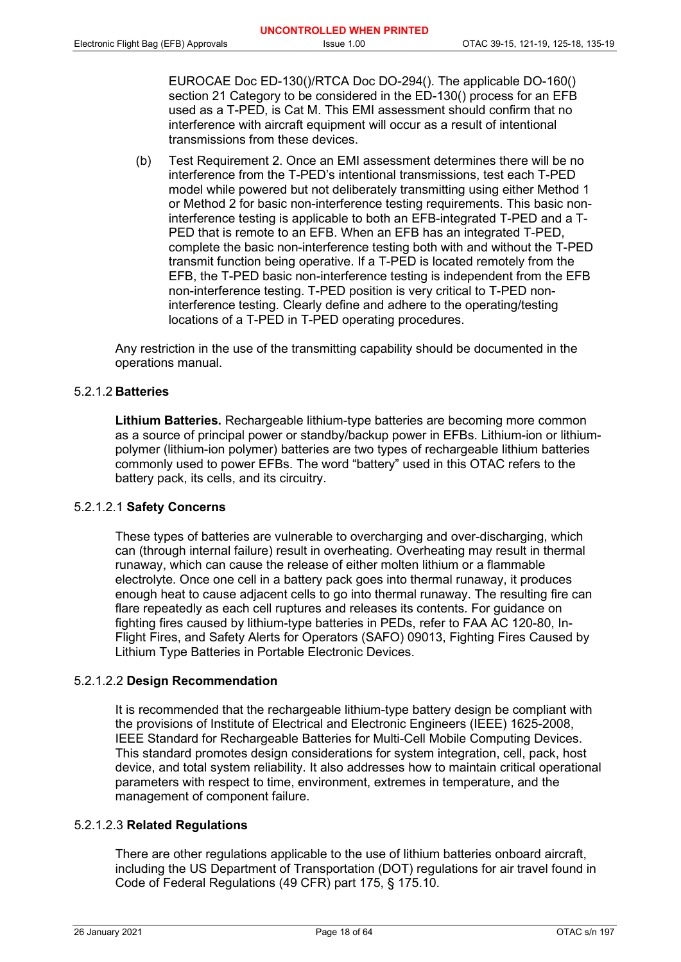EUROCAE Doc ED-130()/RTCA Doc DO-294(). The applicable DO-160() section 21 Category to be considered in the ED-130() process for an EFB used as a T-PED, is Cat M. This EMI assessment should confirm that no interference with aircraft equipment will occur as a result of intentional transmissions from these devices.

(b) Test Requirement 2. Once an EMI assessment determines there will be no interference from the T-PED's intentional transmissions, test each T-PED model while powered but not deliberately transmitting using either Method 1 or Method 2 for basic non-interference testing requirements. This basic noninterference testing is applicable to both an EFB-integrated T-PED and a T-PED that is remote to an EFB. When an EFB has an integrated T-PED, complete the basic non-interference testing both with and without the T-PED transmit function being operative. If a T-PED is located remotely from the EFB, the T-PED basic non-interference testing is independent from the EFB non-interference testing. T-PED position is very critical to T-PED noninterference testing. Clearly define and adhere to the operating/testing locations of a T-PED in T-PED operating procedures.

Any restriction in the use of the transmitting capability should be documented in the operations manual.

## 5.2.1.2 **Batteries**

**Lithium Batteries.** Rechargeable lithium-type batteries are becoming more common as a source of principal power or standby/backup power in EFBs. Lithium-ion or lithiumpolymer (lithium-ion polymer) batteries are two types of rechargeable lithium batteries commonly used to power EFBs. The word "battery" used in this OTAC refers to the battery pack, its cells, and its circuitry.

#### 5.2.1.2.1 **Safety Concerns**

These types of batteries are vulnerable to overcharging and over-discharging, which can (through internal failure) result in overheating. Overheating may result in thermal runaway, which can cause the release of either molten lithium or a flammable electrolyte. Once one cell in a battery pack goes into thermal runaway, it produces enough heat to cause adjacent cells to go into thermal runaway. The resulting fire can flare repeatedly as each cell ruptures and releases its contents. For guidance on fighting fires caused by lithium-type batteries in PEDs, refer to FAA AC 120-80, In-Flight Fires, and Safety Alerts for Operators (SAFO) 09013, Fighting Fires Caused by Lithium Type Batteries in Portable Electronic Devices.

## 5.2.1.2.2 **Design Recommendation**

It is recommended that the rechargeable lithium-type battery design be compliant with the provisions of Institute of Electrical and Electronic Engineers (IEEE) 1625-2008, IEEE Standard for Rechargeable Batteries for Multi-Cell Mobile Computing Devices. This standard promotes design considerations for system integration, cell, pack, host device, and total system reliability. It also addresses how to maintain critical operational parameters with respect to time, environment, extremes in temperature, and the management of component failure.

## 5.2.1.2.3 **Related Regulations**

There are other regulations applicable to the use of lithium batteries onboard aircraft, including the US Department of Transportation (DOT) regulations for air travel found in Code of Federal Regulations (49 CFR) part 175, § 175.10.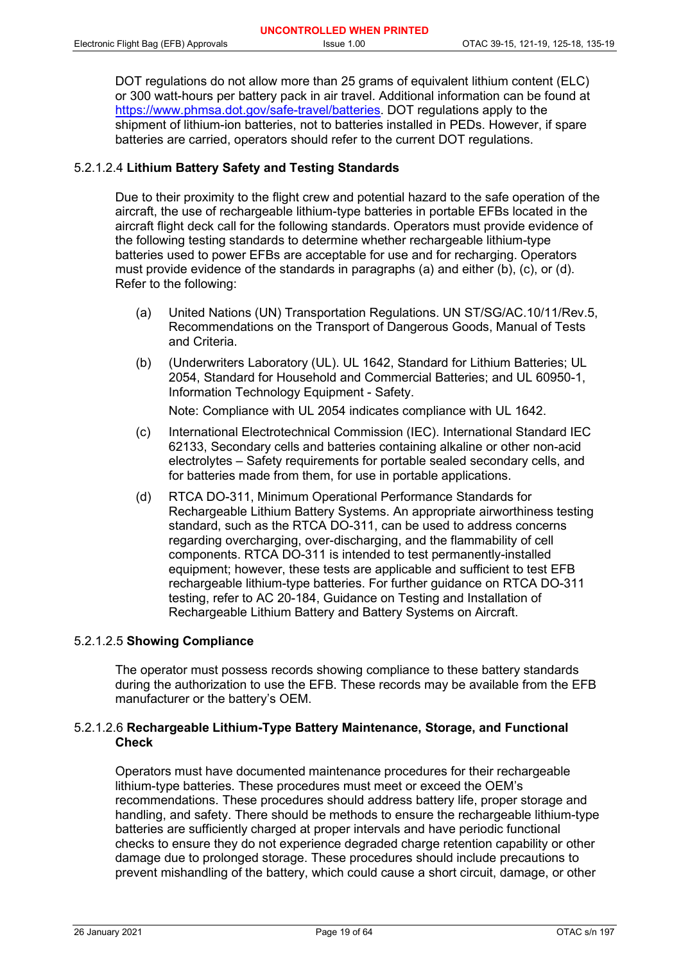DOT regulations do not allow more than 25 grams of equivalent lithium content (ELC) or 300 watt-hours per battery pack in air travel. Additional information can be found at [https://www.phmsa.dot.gov/safe-travel/batteries.](https://www.phmsa.dot.gov/safe-travel/batteries) DOT regulations apply to the shipment of lithium-ion batteries, not to batteries installed in PEDs. However, if spare batteries are carried, operators should refer to the current DOT regulations.

## 5.2.1.2.4 **Lithium Battery Safety and Testing Standards**

Due to their proximity to the flight crew and potential hazard to the safe operation of the aircraft, the use of rechargeable lithium-type batteries in portable EFBs located in the aircraft flight deck call for the following standards. Operators must provide evidence of the following testing standards to determine whether rechargeable lithium-type batteries used to power EFBs are acceptable for use and for recharging. Operators must provide evidence of the standards in paragraphs (a) and either (b), (c), or (d). Refer to the following:

- (a) United Nations (UN) Transportation Regulations. UN ST/SG/AC.10/11/Rev.5, Recommendations on the Transport of Dangerous Goods, Manual of Tests and Criteria.
- (b) (Underwriters Laboratory (UL). UL 1642, Standard for Lithium Batteries; UL 2054, Standard for Household and Commercial Batteries; and UL 60950-1, Information Technology Equipment - Safety.

Note: Compliance with UL 2054 indicates compliance with UL 1642.

- (c) International Electrotechnical Commission (IEC). International Standard IEC 62133, Secondary cells and batteries containing alkaline or other non-acid electrolytes – Safety requirements for portable sealed secondary cells, and for batteries made from them, for use in portable applications.
- (d) RTCA DO-311, Minimum Operational Performance Standards for Rechargeable Lithium Battery Systems. An appropriate airworthiness testing standard, such as the RTCA DO-311, can be used to address concerns regarding overcharging, over-discharging, and the flammability of cell components. RTCA DO-311 is intended to test permanently-installed equipment; however, these tests are applicable and sufficient to test EFB rechargeable lithium-type batteries. For further guidance on RTCA DO-311 testing, refer to AC 20-184, Guidance on Testing and Installation of Rechargeable Lithium Battery and Battery Systems on Aircraft.

## 5.2.1.2.5 **Showing Compliance**

The operator must possess records showing compliance to these battery standards during the authorization to use the EFB. These records may be available from the EFB manufacturer or the battery's OEM.

## 5.2.1.2.6 **Rechargeable Lithium-Type Battery Maintenance, Storage, and Functional Check**

Operators must have documented maintenance procedures for their rechargeable lithium-type batteries. These procedures must meet or exceed the OEM's recommendations. These procedures should address battery life, proper storage and handling, and safety. There should be methods to ensure the rechargeable lithium-type batteries are sufficiently charged at proper intervals and have periodic functional checks to ensure they do not experience degraded charge retention capability or other damage due to prolonged storage. These procedures should include precautions to prevent mishandling of the battery, which could cause a short circuit, damage, or other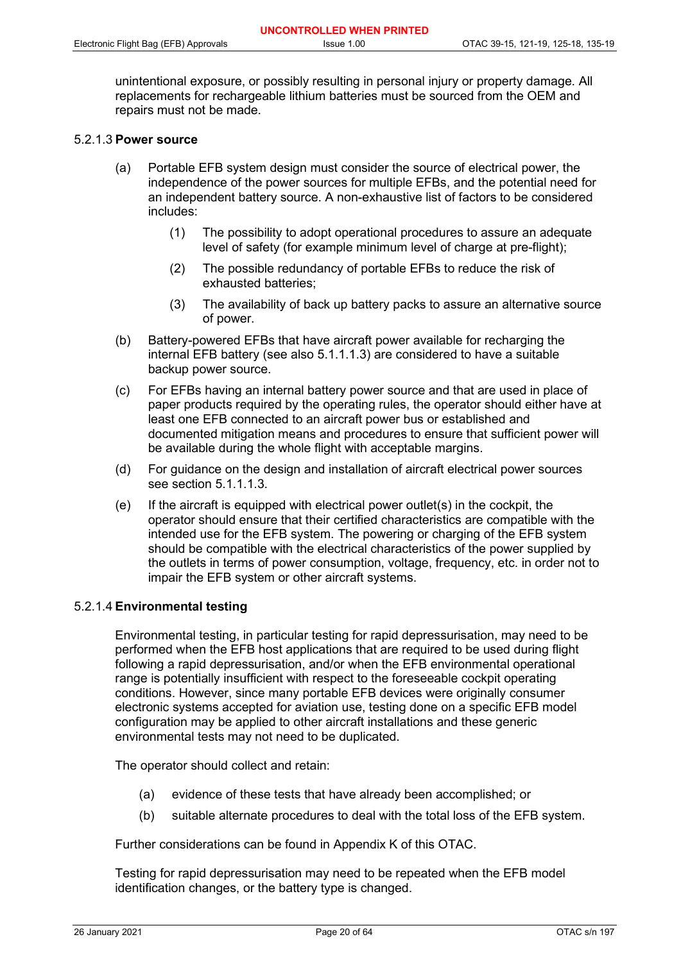unintentional exposure, or possibly resulting in personal injury or property damage. All replacements for rechargeable lithium batteries must be sourced from the OEM and repairs must not be made.

## 5.2.1.3 **Power source**

- (a) Portable EFB system design must consider the source of electrical power, the independence of the power sources for multiple EFBs, and the potential need for an independent battery source. A non-exhaustive list of factors to be considered includes:
	- (1) The possibility to adopt operational procedures to assure an adequate level of safety (for example minimum level of charge at pre-flight);
	- (2) The possible redundancy of portable EFBs to reduce the risk of exhausted batteries;
	- (3) The availability of back up battery packs to assure an alternative source of power.
- (b) Battery-powered EFBs that have aircraft power available for recharging the internal EFB battery (see also 5.1.1.1.3) are considered to have a suitable backup power source.
- (c) For EFBs having an internal battery power source and that are used in place of paper products required by the operating rules, the operator should either have at least one EFB connected to an aircraft power bus or established and documented mitigation means and procedures to ensure that sufficient power will be available during the whole flight with acceptable margins.
- (d) For guidance on the design and installation of aircraft electrical power sources see section 5.1.1.1.3.
- (e) If the aircraft is equipped with electrical power outlet(s) in the cockpit, the operator should ensure that their certified characteristics are compatible with the intended use for the EFB system. The powering or charging of the EFB system should be compatible with the electrical characteristics of the power supplied by the outlets in terms of power consumption, voltage, frequency, etc. in order not to impair the EFB system or other aircraft systems.

## 5.2.1.4 **Environmental testing**

Environmental testing, in particular testing for rapid depressurisation, may need to be performed when the EFB host applications that are required to be used during flight following a rapid depressurisation, and/or when the EFB environmental operational range is potentially insufficient with respect to the foreseeable cockpit operating conditions. However, since many portable EFB devices were originally consumer electronic systems accepted for aviation use, testing done on a specific EFB model configuration may be applied to other aircraft installations and these generic environmental tests may not need to be duplicated.

The operator should collect and retain:

- (a) evidence of these tests that have already been accomplished; or
- (b) suitable alternate procedures to deal with the total loss of the EFB system.

Further considerations can be found in Appendix K of this OTAC.

Testing for rapid depressurisation may need to be repeated when the EFB model identification changes, or the battery type is changed.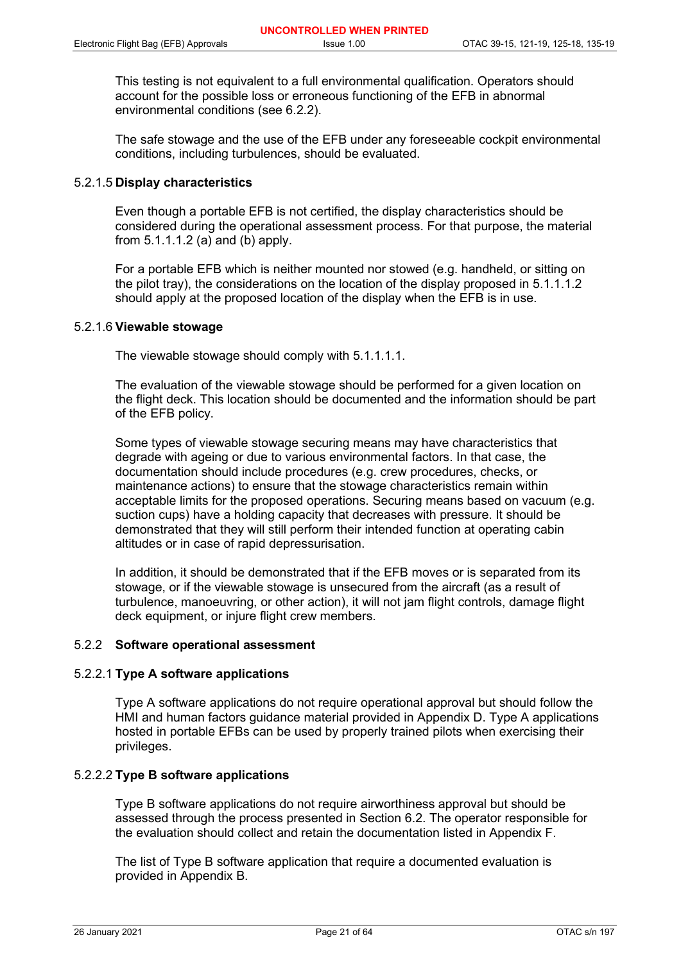This testing is not equivalent to a full environmental qualification. Operators should account for the possible loss or erroneous functioning of the EFB in abnormal environmental conditions (see 6.2.2).

The safe stowage and the use of the EFB under any foreseeable cockpit environmental conditions, including turbulences, should be evaluated.

#### 5.2.1.5 **Display characteristics**

Even though a portable EFB is not certified, the display characteristics should be considered during the operational assessment process. For that purpose, the material from  $5.1.1.1.2$  (a) and (b) apply.

For a portable EFB which is neither mounted nor stowed (e.g. handheld, or sitting on the pilot tray), the considerations on the location of the display proposed in 5.1.1.1.2 should apply at the proposed location of the display when the EFB is in use.

#### 5.2.1.6 **Viewable stowage**

The viewable stowage should comply with 5.1.1.1.1.

The evaluation of the viewable stowage should be performed for a given location on the flight deck. This location should be documented and the information should be part of the EFB policy.

Some types of viewable stowage securing means may have characteristics that degrade with ageing or due to various environmental factors. In that case, the documentation should include procedures (e.g. crew procedures, checks, or maintenance actions) to ensure that the stowage characteristics remain within acceptable limits for the proposed operations. Securing means based on vacuum (e.g. suction cups) have a holding capacity that decreases with pressure. It should be demonstrated that they will still perform their intended function at operating cabin altitudes or in case of rapid depressurisation.

In addition, it should be demonstrated that if the EFB moves or is separated from its stowage, or if the viewable stowage is unsecured from the aircraft (as a result of turbulence, manoeuvring, or other action), it will not jam flight controls, damage flight deck equipment, or injure flight crew members.

#### 5.2.2 **Software operational assessment**

#### 5.2.2.1 **Type A software applications**

Type A software applications do not require operational approval but should follow the HMI and human factors guidance material provided in Appendix D. Type A applications hosted in portable EFBs can be used by properly trained pilots when exercising their privileges.

#### 5.2.2.2 **Type B software applications**

Type B software applications do not require airworthiness approval but should be assessed through the process presented in Section 6.2. The operator responsible for the evaluation should collect and retain the documentation listed in Appendix F.

The list of Type B software application that require a documented evaluation is provided in Appendix B.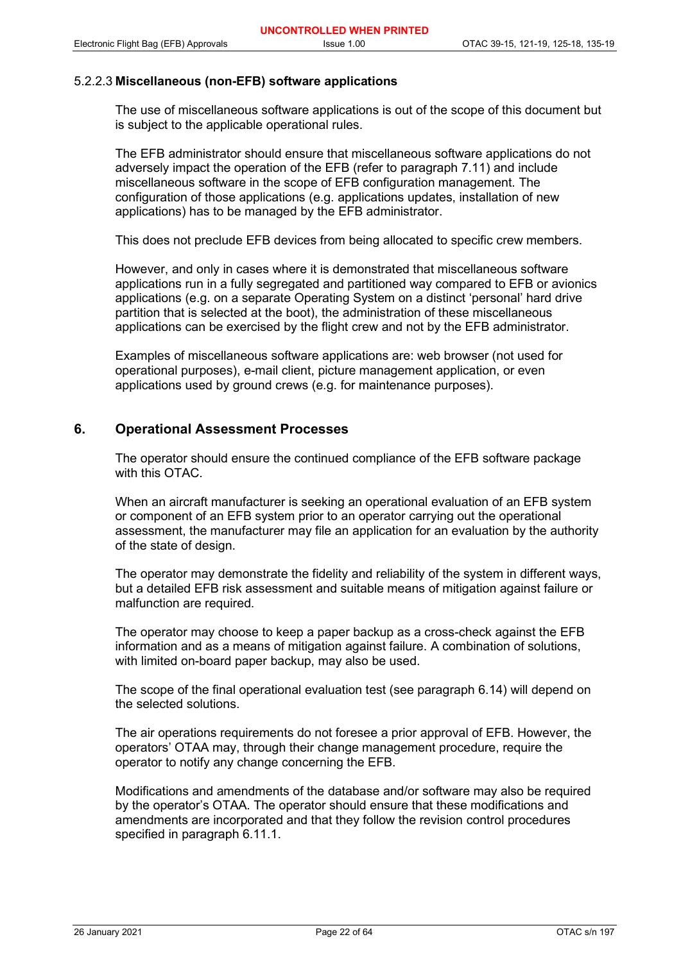## 5.2.2.3 **Miscellaneous (non-EFB) software applications**

The use of miscellaneous software applications is out of the scope of this document but is subject to the applicable operational rules.

The EFB administrator should ensure that miscellaneous software applications do not adversely impact the operation of the EFB (refer to paragraph 7.11) and include miscellaneous software in the scope of EFB configuration management. The configuration of those applications (e.g. applications updates, installation of new applications) has to be managed by the EFB administrator.

This does not preclude EFB devices from being allocated to specific crew members.

However, and only in cases where it is demonstrated that miscellaneous software applications run in a fully segregated and partitioned way compared to EFB or avionics applications (e.g. on a separate Operating System on a distinct 'personal' hard drive partition that is selected at the boot), the administration of these miscellaneous applications can be exercised by the flight crew and not by the EFB administrator.

Examples of miscellaneous software applications are: web browser (not used for operational purposes), e-mail client, picture management application, or even applications used by ground crews (e.g. for maintenance purposes).

## **6. Operational Assessment Processes**

The operator should ensure the continued compliance of the EFB software package with this OTAC.

When an aircraft manufacturer is seeking an operational evaluation of an EFB system or component of an EFB system prior to an operator carrying out the operational assessment, the manufacturer may file an application for an evaluation by the authority of the state of design.

The operator may demonstrate the fidelity and reliability of the system in different ways, but a detailed EFB risk assessment and suitable means of mitigation against failure or malfunction are required.

The operator may choose to keep a paper backup as a cross-check against the EFB information and as a means of mitigation against failure. A combination of solutions, with limited on-board paper backup, may also be used.

The scope of the final operational evaluation test (see paragraph 6.14) will depend on the selected solutions.

The air operations requirements do not foresee a prior approval of EFB. However, the operators' OTAA may, through their change management procedure, require the operator to notify any change concerning the EFB.

Modifications and amendments of the database and/or software may also be required by the operator's OTAA. The operator should ensure that these modifications and amendments are incorporated and that they follow the revision control procedures specified in paragraph 6.11.1.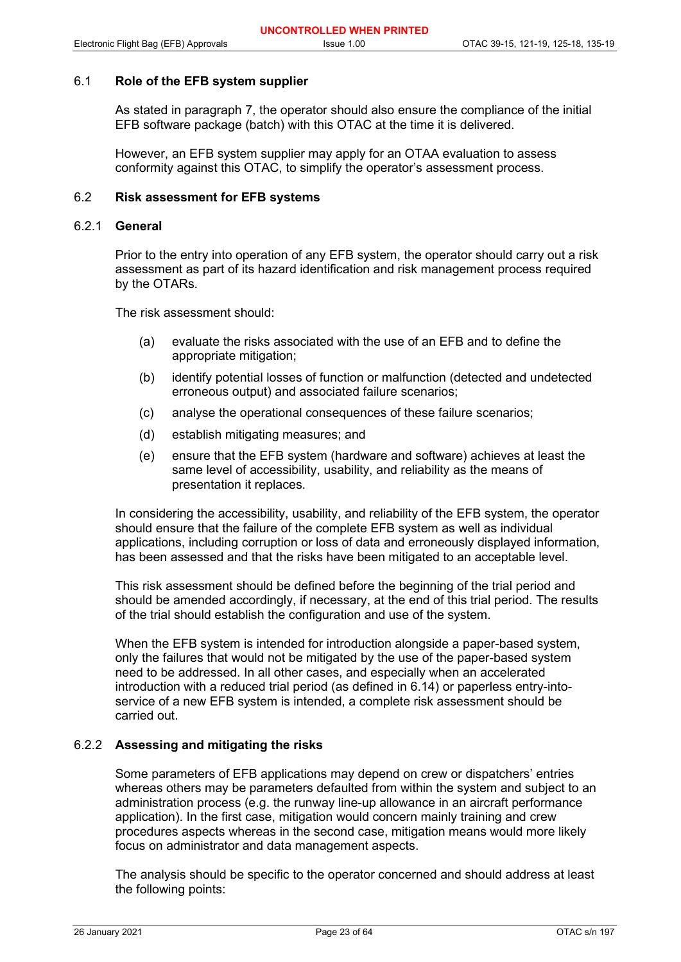#### 6.1 **Role of the EFB system supplier**

As stated in paragraph 7, the operator should also ensure the compliance of the initial EFB software package (batch) with this OTAC at the time it is delivered.

However, an EFB system supplier may apply for an OTAA evaluation to assess conformity against this OTAC, to simplify the operator's assessment process.

## 6.2 **Risk assessment for EFB systems**

#### 6.2.1 **General**

Prior to the entry into operation of any EFB system, the operator should carry out a risk assessment as part of its hazard identification and risk management process required by the OTARs.

The risk assessment should:

- (a) evaluate the risks associated with the use of an EFB and to define the appropriate mitigation;
- (b) identify potential losses of function or malfunction (detected and undetected erroneous output) and associated failure scenarios;
- (c) analyse the operational consequences of these failure scenarios;
- (d) establish mitigating measures; and
- (e) ensure that the EFB system (hardware and software) achieves at least the same level of accessibility, usability, and reliability as the means of presentation it replaces.

In considering the accessibility, usability, and reliability of the EFB system, the operator should ensure that the failure of the complete EFB system as well as individual applications, including corruption or loss of data and erroneously displayed information, has been assessed and that the risks have been mitigated to an acceptable level.

This risk assessment should be defined before the beginning of the trial period and should be amended accordingly, if necessary, at the end of this trial period. The results of the trial should establish the configuration and use of the system.

When the EFB system is intended for introduction alongside a paper-based system, only the failures that would not be mitigated by the use of the paper-based system need to be addressed. In all other cases, and especially when an accelerated introduction with a reduced trial period (as defined in 6.14) or paperless entry-intoservice of a new EFB system is intended, a complete risk assessment should be carried out.

## 6.2.2 **Assessing and mitigating the risks**

Some parameters of EFB applications may depend on crew or dispatchers' entries whereas others may be parameters defaulted from within the system and subject to an administration process (e.g. the runway line-up allowance in an aircraft performance application). In the first case, mitigation would concern mainly training and crew procedures aspects whereas in the second case, mitigation means would more likely focus on administrator and data management aspects.

The analysis should be specific to the operator concerned and should address at least the following points: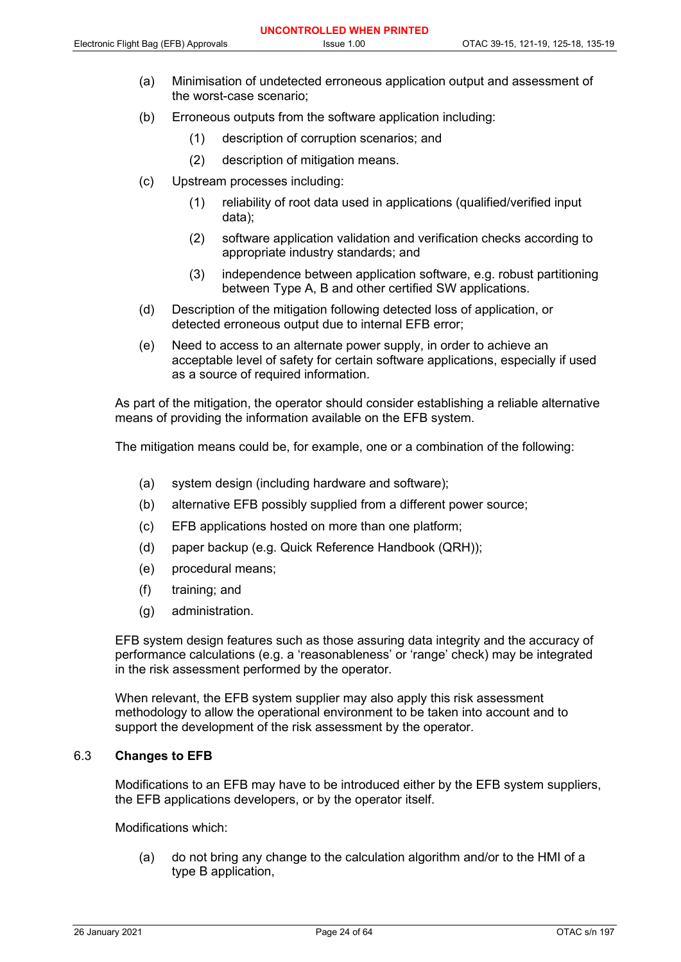- (a) Minimisation of undetected erroneous application output and assessment of the worst-case scenario;
- (b) Erroneous outputs from the software application including:
	- (1) description of corruption scenarios; and
	- (2) description of mitigation means.
- (c) Upstream processes including:
	- (1) reliability of root data used in applications (qualified/verified input data);
	- (2) software application validation and verification checks according to appropriate industry standards; and
	- (3) independence between application software, e.g. robust partitioning between Type A, B and other certified SW applications.
- (d) Description of the mitigation following detected loss of application, or detected erroneous output due to internal EFB error;
- (e) Need to access to an alternate power supply, in order to achieve an acceptable level of safety for certain software applications, especially if used as a source of required information.

As part of the mitigation, the operator should consider establishing a reliable alternative means of providing the information available on the EFB system.

The mitigation means could be, for example, one or a combination of the following:

- (a) system design (including hardware and software);
- (b) alternative EFB possibly supplied from a different power source;
- (c) EFB applications hosted on more than one platform;
- (d) paper backup (e.g. Quick Reference Handbook (QRH));
- (e) procedural means;
- (f) training; and
- (g) administration.

EFB system design features such as those assuring data integrity and the accuracy of performance calculations (e.g. a 'reasonableness' or 'range' check) may be integrated in the risk assessment performed by the operator.

When relevant, the EFB system supplier may also apply this risk assessment methodology to allow the operational environment to be taken into account and to support the development of the risk assessment by the operator.

#### 6.3 **Changes to EFB**

Modifications to an EFB may have to be introduced either by the EFB system suppliers, the EFB applications developers, or by the operator itself.

Modifications which:

(a) do not bring any change to the calculation algorithm and/or to the HMI of a type B application,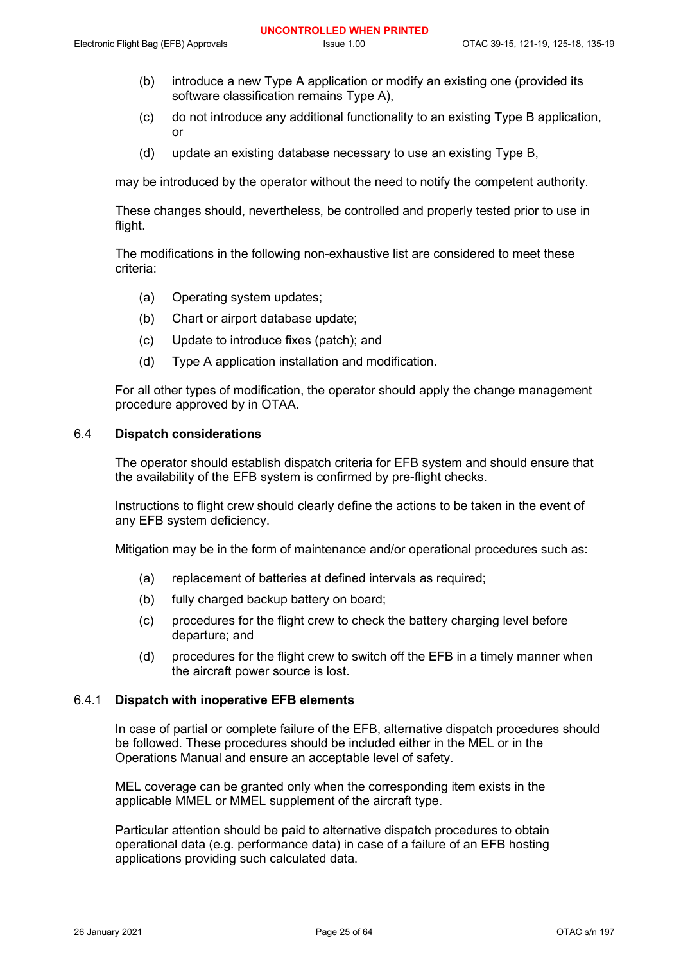- (b) introduce a new Type A application or modify an existing one (provided its software classification remains Type A),
- (c) do not introduce any additional functionality to an existing Type B application, or
- (d) update an existing database necessary to use an existing Type B,

may be introduced by the operator without the need to notify the competent authority.

These changes should, nevertheless, be controlled and properly tested prior to use in flight.

The modifications in the following non-exhaustive list are considered to meet these criteria:

- (a) Operating system updates;
- (b) Chart or airport database update;
- (c) Update to introduce fixes (patch); and
- (d) Type A application installation and modification.

For all other types of modification, the operator should apply the change management procedure approved by in OTAA.

#### 6.4 **Dispatch considerations**

The operator should establish dispatch criteria for EFB system and should ensure that the availability of the EFB system is confirmed by pre-flight checks.

Instructions to flight crew should clearly define the actions to be taken in the event of any EFB system deficiency.

Mitigation may be in the form of maintenance and/or operational procedures such as:

- (a) replacement of batteries at defined intervals as required;
- (b) fully charged backup battery on board;
- (c) procedures for the flight crew to check the battery charging level before departure; and
- (d) procedures for the flight crew to switch off the EFB in a timely manner when the aircraft power source is lost.

#### 6.4.1 **Dispatch with inoperative EFB elements**

In case of partial or complete failure of the EFB, alternative dispatch procedures should be followed. These procedures should be included either in the MEL or in the Operations Manual and ensure an acceptable level of safety.

MEL coverage can be granted only when the corresponding item exists in the applicable MMEL or MMEL supplement of the aircraft type.

Particular attention should be paid to alternative dispatch procedures to obtain operational data (e.g. performance data) in case of a failure of an EFB hosting applications providing such calculated data.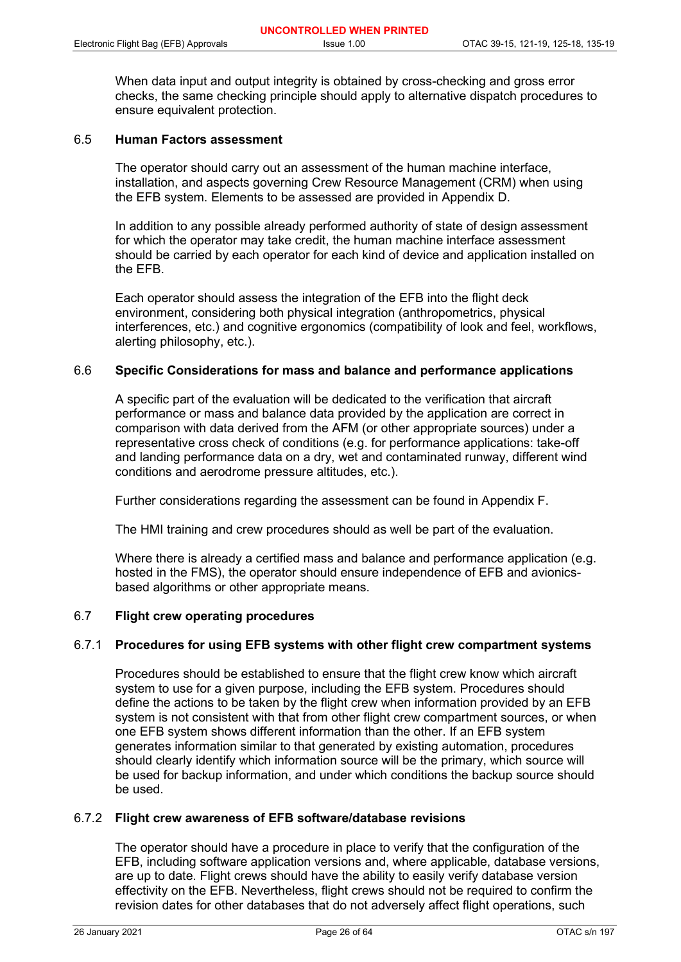When data input and output integrity is obtained by cross-checking and gross error checks, the same checking principle should apply to alternative dispatch procedures to ensure equivalent protection.

## 6.5 **Human Factors assessment**

The operator should carry out an assessment of the human machine interface, installation, and aspects governing Crew Resource Management (CRM) when using the EFB system. Elements to be assessed are provided in Appendix D.

In addition to any possible already performed authority of state of design assessment for which the operator may take credit, the human machine interface assessment should be carried by each operator for each kind of device and application installed on the EFB.

Each operator should assess the integration of the EFB into the flight deck environment, considering both physical integration (anthropometrics, physical interferences, etc.) and cognitive ergonomics (compatibility of look and feel, workflows, alerting philosophy, etc.).

#### 6.6 **Specific Considerations for mass and balance and performance applications**

A specific part of the evaluation will be dedicated to the verification that aircraft performance or mass and balance data provided by the application are correct in comparison with data derived from the AFM (or other appropriate sources) under a representative cross check of conditions (e.g. for performance applications: take-off and landing performance data on a dry, wet and contaminated runway, different wind conditions and aerodrome pressure altitudes, etc.).

Further considerations regarding the assessment can be found in Appendix F.

The HMI training and crew procedures should as well be part of the evaluation.

Where there is already a certified mass and balance and performance application (e.g. hosted in the FMS), the operator should ensure independence of EFB and avionicsbased algorithms or other appropriate means.

#### 6.7 **Flight crew operating procedures**

#### 6.7.1 **Procedures for using EFB systems with other flight crew compartment systems**

Procedures should be established to ensure that the flight crew know which aircraft system to use for a given purpose, including the EFB system. Procedures should define the actions to be taken by the flight crew when information provided by an EFB system is not consistent with that from other flight crew compartment sources, or when one EFB system shows different information than the other. If an EFB system generates information similar to that generated by existing automation, procedures should clearly identify which information source will be the primary, which source will be used for backup information, and under which conditions the backup source should be used.

## 6.7.2 **Flight crew awareness of EFB software/database revisions**

The operator should have a procedure in place to verify that the configuration of the EFB, including software application versions and, where applicable, database versions, are up to date. Flight crews should have the ability to easily verify database version effectivity on the EFB. Nevertheless, flight crews should not be required to confirm the revision dates for other databases that do not adversely affect flight operations, such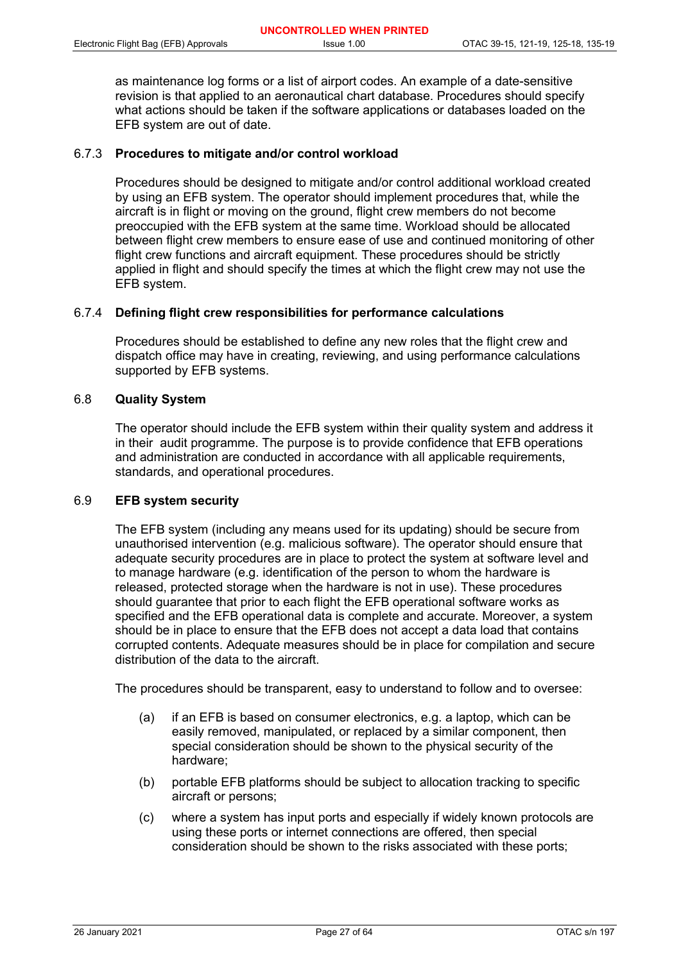as maintenance log forms or a list of airport codes. An example of a date-sensitive revision is that applied to an aeronautical chart database. Procedures should specify what actions should be taken if the software applications or databases loaded on the EFB system are out of date.

## 6.7.3 **Procedures to mitigate and/or control workload**

Procedures should be designed to mitigate and/or control additional workload created by using an EFB system. The operator should implement procedures that, while the aircraft is in flight or moving on the ground, flight crew members do not become preoccupied with the EFB system at the same time. Workload should be allocated between flight crew members to ensure ease of use and continued monitoring of other flight crew functions and aircraft equipment. These procedures should be strictly applied in flight and should specify the times at which the flight crew may not use the EFB system.

## 6.7.4 **Defining flight crew responsibilities for performance calculations**

Procedures should be established to define any new roles that the flight crew and dispatch office may have in creating, reviewing, and using performance calculations supported by EFB systems.

## 6.8 **Quality System**

The operator should include the EFB system within their quality system and address it in their audit programme. The purpose is to provide confidence that EFB operations and administration are conducted in accordance with all applicable requirements, standards, and operational procedures.

## 6.9 **EFB system security**

The EFB system (including any means used for its updating) should be secure from unauthorised intervention (e.g. malicious software). The operator should ensure that adequate security procedures are in place to protect the system at software level and to manage hardware (e.g. identification of the person to whom the hardware is released, protected storage when the hardware is not in use). These procedures should guarantee that prior to each flight the EFB operational software works as specified and the EFB operational data is complete and accurate. Moreover, a system should be in place to ensure that the EFB does not accept a data load that contains corrupted contents. Adequate measures should be in place for compilation and secure distribution of the data to the aircraft.

The procedures should be transparent, easy to understand to follow and to oversee:

- (a) if an EFB is based on consumer electronics, e.g. a laptop, which can be easily removed, manipulated, or replaced by a similar component, then special consideration should be shown to the physical security of the hardware;
- (b) portable EFB platforms should be subject to allocation tracking to specific aircraft or persons;
- (c) where a system has input ports and especially if widely known protocols are using these ports or internet connections are offered, then special consideration should be shown to the risks associated with these ports;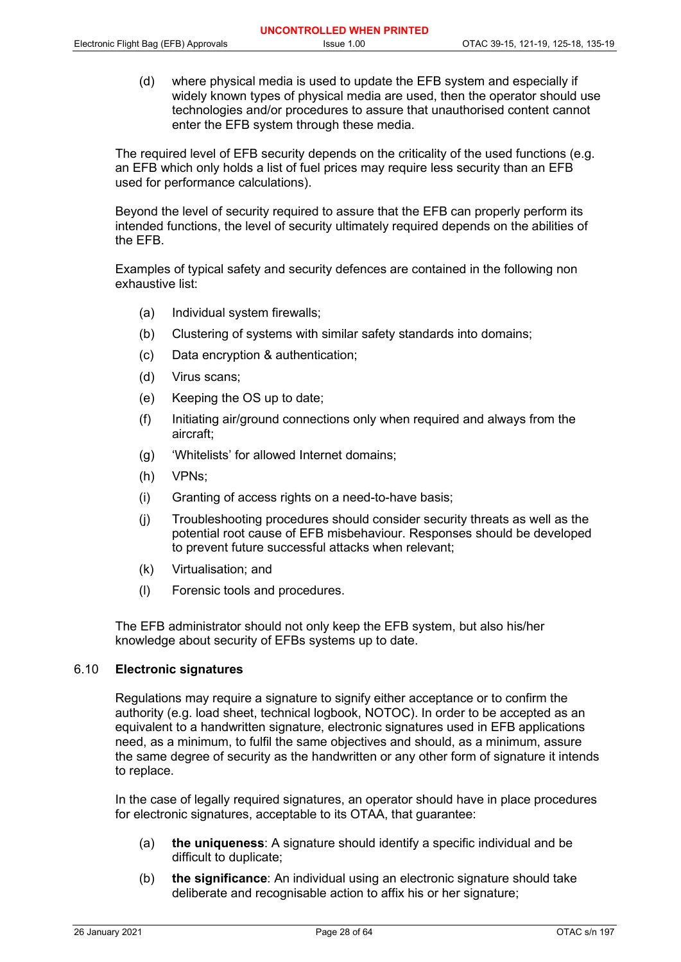(d) where physical media is used to update the EFB system and especially if widely known types of physical media are used, then the operator should use technologies and/or procedures to assure that unauthorised content cannot enter the EFB system through these media.

The required level of EFB security depends on the criticality of the used functions (e.g. an EFB which only holds a list of fuel prices may require less security than an EFB used for performance calculations).

Beyond the level of security required to assure that the EFB can properly perform its intended functions, the level of security ultimately required depends on the abilities of the EFB.

Examples of typical safety and security defences are contained in the following non exhaustive list:

- (a) Individual system firewalls;
- (b) Clustering of systems with similar safety standards into domains;
- (c) Data encryption & authentication;
- (d) Virus scans;
- (e) Keeping the OS up to date;
- (f) Initiating air/ground connections only when required and always from the aircraft;
- (g) 'Whitelists' for allowed Internet domains;
- (h) VPNs;
- (i) Granting of access rights on a need-to-have basis;
- (j) Troubleshooting procedures should consider security threats as well as the potential root cause of EFB misbehaviour. Responses should be developed to prevent future successful attacks when relevant;
- (k) Virtualisation; and
- (l) Forensic tools and procedures.

The EFB administrator should not only keep the EFB system, but also his/her knowledge about security of EFBs systems up to date.

## 6.10 **Electronic signatures**

Regulations may require a signature to signify either acceptance or to confirm the authority (e.g. load sheet, technical logbook, NOTOC). In order to be accepted as an equivalent to a handwritten signature, electronic signatures used in EFB applications need, as a minimum, to fulfil the same objectives and should, as a minimum, assure the same degree of security as the handwritten or any other form of signature it intends to replace.

In the case of legally required signatures, an operator should have in place procedures for electronic signatures, acceptable to its OTAA, that guarantee:

- (a) **the uniqueness**: A signature should identify a specific individual and be difficult to duplicate;
- (b) **the significance**: An individual using an electronic signature should take deliberate and recognisable action to affix his or her signature;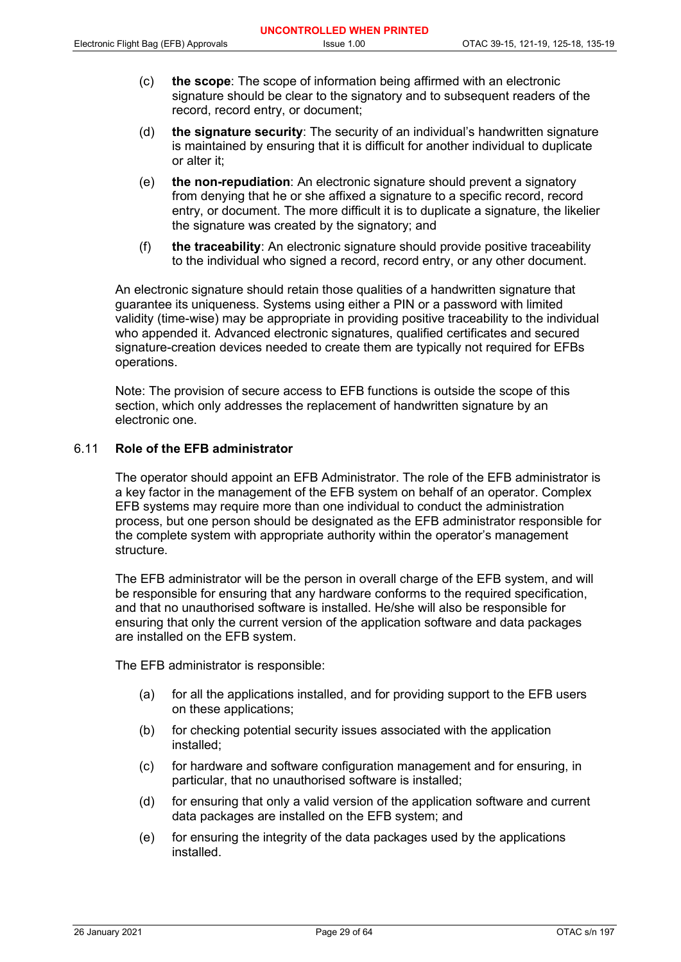- (c) **the scope**: The scope of information being affirmed with an electronic signature should be clear to the signatory and to subsequent readers of the record, record entry, or document;
- (d) **the signature security**: The security of an individual's handwritten signature is maintained by ensuring that it is difficult for another individual to duplicate or alter it;
- (e) **the non-repudiation**: An electronic signature should prevent a signatory from denying that he or she affixed a signature to a specific record, record entry, or document. The more difficult it is to duplicate a signature, the likelier the signature was created by the signatory; and
- (f) **the traceability**: An electronic signature should provide positive traceability to the individual who signed a record, record entry, or any other document.

An electronic signature should retain those qualities of a handwritten signature that guarantee its uniqueness. Systems using either a PIN or a password with limited validity (time-wise) may be appropriate in providing positive traceability to the individual who appended it. Advanced electronic signatures, qualified certificates and secured signature-creation devices needed to create them are typically not required for EFBs operations.

Note: The provision of secure access to EFB functions is outside the scope of this section, which only addresses the replacement of handwritten signature by an electronic one.

## 6.11 **Role of the EFB administrator**

The operator should appoint an EFB Administrator. The role of the EFB administrator is a key factor in the management of the EFB system on behalf of an operator. Complex EFB systems may require more than one individual to conduct the administration process, but one person should be designated as the EFB administrator responsible for the complete system with appropriate authority within the operator's management structure.

The EFB administrator will be the person in overall charge of the EFB system, and will be responsible for ensuring that any hardware conforms to the required specification, and that no unauthorised software is installed. He/she will also be responsible for ensuring that only the current version of the application software and data packages are installed on the EFB system.

The EFB administrator is responsible:

- (a) for all the applications installed, and for providing support to the EFB users on these applications;
- (b) for checking potential security issues associated with the application installed;
- (c) for hardware and software configuration management and for ensuring, in particular, that no unauthorised software is installed;
- (d) for ensuring that only a valid version of the application software and current data packages are installed on the EFB system; and
- (e) for ensuring the integrity of the data packages used by the applications installed.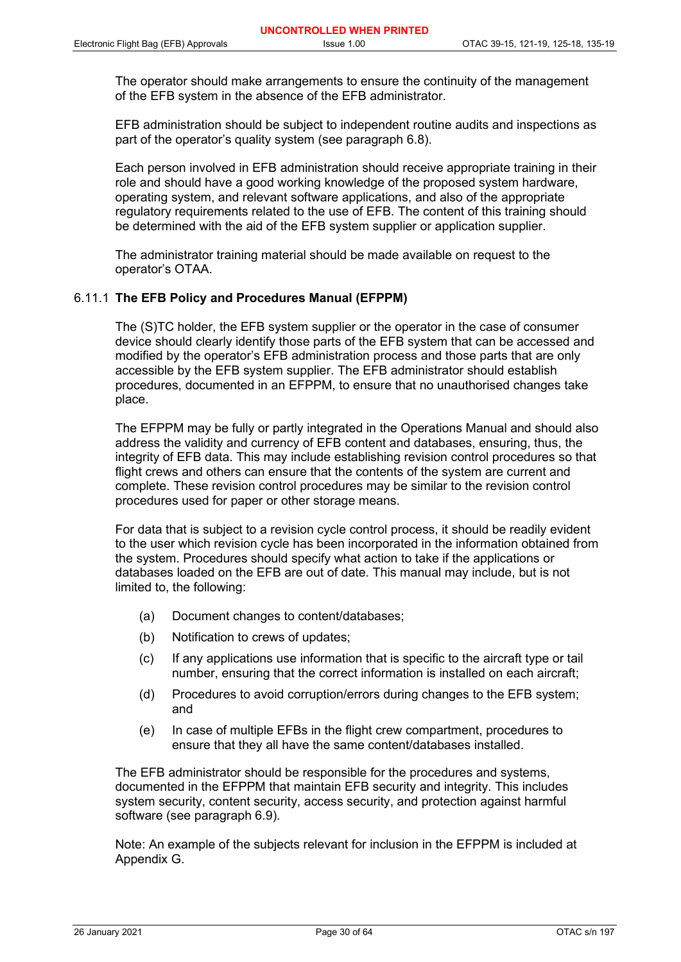The operator should make arrangements to ensure the continuity of the management of the EFB system in the absence of the EFB administrator.

EFB administration should be subject to independent routine audits and inspections as part of the operator's quality system (see paragraph 6.8).

Each person involved in EFB administration should receive appropriate training in their role and should have a good working knowledge of the proposed system hardware, operating system, and relevant software applications, and also of the appropriate regulatory requirements related to the use of EFB. The content of this training should be determined with the aid of the EFB system supplier or application supplier.

The administrator training material should be made available on request to the operator's OTAA.

#### 6.11.1 **The EFB Policy and Procedures Manual (EFPPM)**

The (S)TC holder, the EFB system supplier or the operator in the case of consumer device should clearly identify those parts of the EFB system that can be accessed and modified by the operator's EFB administration process and those parts that are only accessible by the EFB system supplier. The EFB administrator should establish procedures, documented in an EFPPM, to ensure that no unauthorised changes take place.

The EFPPM may be fully or partly integrated in the Operations Manual and should also address the validity and currency of EFB content and databases, ensuring, thus, the integrity of EFB data. This may include establishing revision control procedures so that flight crews and others can ensure that the contents of the system are current and complete. These revision control procedures may be similar to the revision control procedures used for paper or other storage means.

For data that is subject to a revision cycle control process, it should be readily evident to the user which revision cycle has been incorporated in the information obtained from the system. Procedures should specify what action to take if the applications or databases loaded on the EFB are out of date. This manual may include, but is not limited to, the following:

- (a) Document changes to content/databases;
- (b) Notification to crews of updates;
- (c) If any applications use information that is specific to the aircraft type or tail number, ensuring that the correct information is installed on each aircraft;
- (d) Procedures to avoid corruption/errors during changes to the EFB system; and
- (e) In case of multiple EFBs in the flight crew compartment, procedures to ensure that they all have the same content/databases installed.

The EFB administrator should be responsible for the procedures and systems, documented in the EFPPM that maintain EFB security and integrity. This includes system security, content security, access security, and protection against harmful software (see paragraph 6.9).

Note: An example of the subjects relevant for inclusion in the EFPPM is included at Appendix G.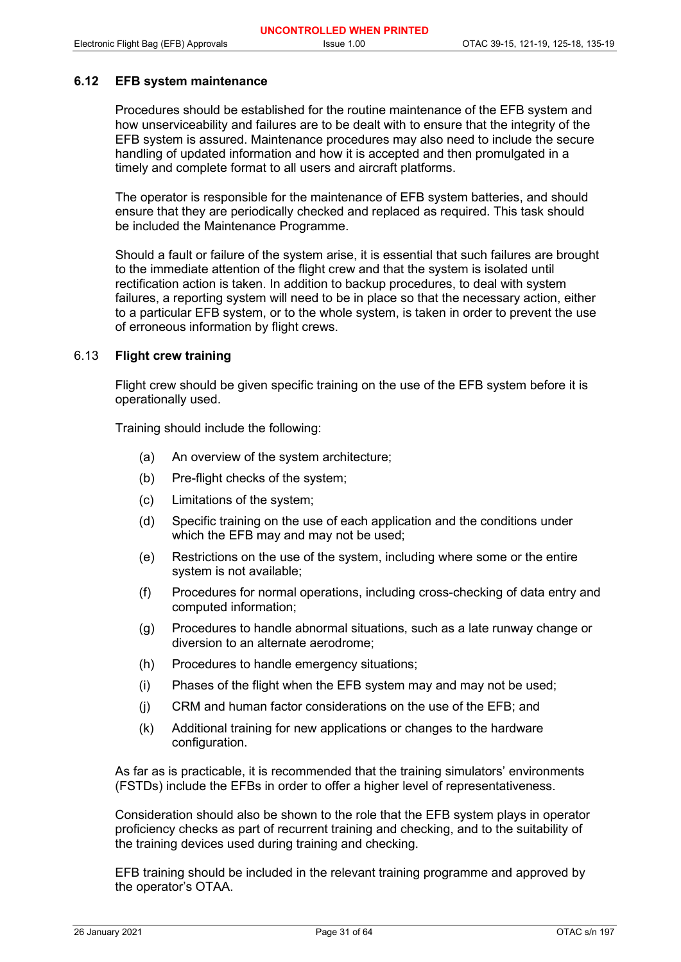#### **6.12 EFB system maintenance**

Procedures should be established for the routine maintenance of the EFB system and how unserviceability and failures are to be dealt with to ensure that the integrity of the EFB system is assured. Maintenance procedures may also need to include the secure handling of updated information and how it is accepted and then promulgated in a timely and complete format to all users and aircraft platforms.

The operator is responsible for the maintenance of EFB system batteries, and should ensure that they are periodically checked and replaced as required. This task should be included the Maintenance Programme.

Should a fault or failure of the system arise, it is essential that such failures are brought to the immediate attention of the flight crew and that the system is isolated until rectification action is taken. In addition to backup procedures, to deal with system failures, a reporting system will need to be in place so that the necessary action, either to a particular EFB system, or to the whole system, is taken in order to prevent the use of erroneous information by flight crews.

#### 6.13 **Flight crew training**

Flight crew should be given specific training on the use of the EFB system before it is operationally used.

Training should include the following:

- (a) An overview of the system architecture;
- (b) Pre-flight checks of the system;
- (c) Limitations of the system;
- (d) Specific training on the use of each application and the conditions under which the EFB may and may not be used;
- (e) Restrictions on the use of the system, including where some or the entire system is not available;
- (f) Procedures for normal operations, including cross-checking of data entry and computed information;
- (g) Procedures to handle abnormal situations, such as a late runway change or diversion to an alternate aerodrome;
- (h) Procedures to handle emergency situations;
- (i) Phases of the flight when the EFB system may and may not be used;
- (j) CRM and human factor considerations on the use of the EFB; and
- (k) Additional training for new applications or changes to the hardware configuration.

As far as is practicable, it is recommended that the training simulators' environments (FSTDs) include the EFBs in order to offer a higher level of representativeness.

Consideration should also be shown to the role that the EFB system plays in operator proficiency checks as part of recurrent training and checking, and to the suitability of the training devices used during training and checking.

EFB training should be included in the relevant training programme and approved by the operator's OTAA.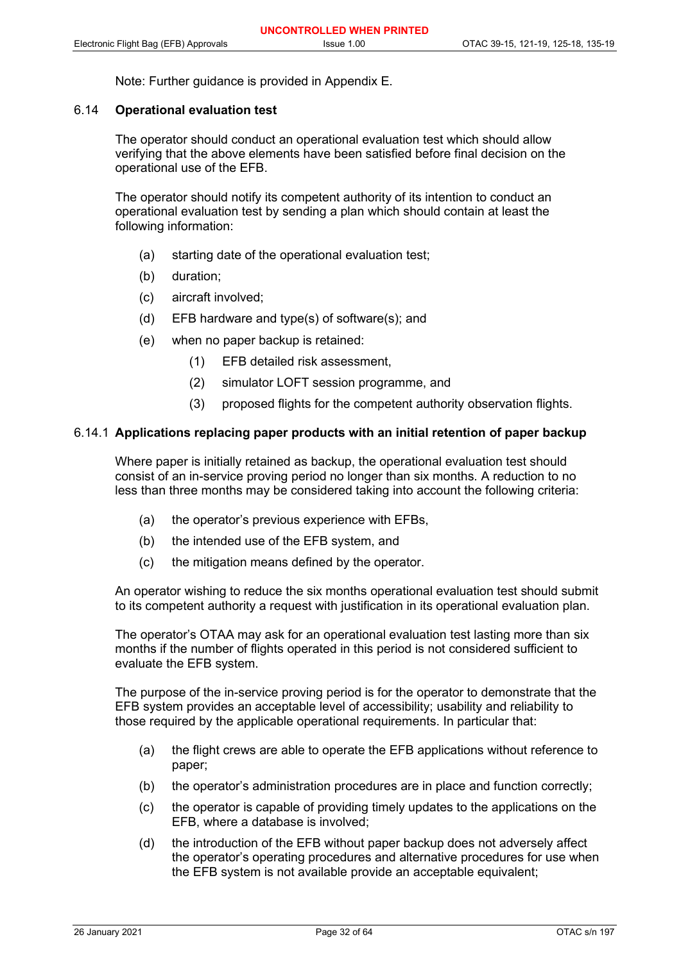Note: Further guidance is provided in Appendix E.

#### 6.14 **Operational evaluation test**

The operator should conduct an operational evaluation test which should allow verifying that the above elements have been satisfied before final decision on the operational use of the EFB.

The operator should notify its competent authority of its intention to conduct an operational evaluation test by sending a plan which should contain at least the following information:

- (a) starting date of the operational evaluation test;
- (b) duration;
- (c) aircraft involved;
- (d) EFB hardware and type(s) of software(s); and
- (e) when no paper backup is retained:
	- (1) EFB detailed risk assessment,
	- (2) simulator LOFT session programme, and
	- (3) proposed flights for the competent authority observation flights.

#### 6.14.1 **Applications replacing paper products with an initial retention of paper backup**

Where paper is initially retained as backup, the operational evaluation test should consist of an in-service proving period no longer than six months. A reduction to no less than three months may be considered taking into account the following criteria:

- (a) the operator's previous experience with EFBs,
- (b) the intended use of the EFB system, and
- (c) the mitigation means defined by the operator.

An operator wishing to reduce the six months operational evaluation test should submit to its competent authority a request with justification in its operational evaluation plan.

The operator's OTAA may ask for an operational evaluation test lasting more than six months if the number of flights operated in this period is not considered sufficient to evaluate the EFB system.

The purpose of the in-service proving period is for the operator to demonstrate that the EFB system provides an acceptable level of accessibility; usability and reliability to those required by the applicable operational requirements. In particular that:

- (a) the flight crews are able to operate the EFB applications without reference to paper;
- (b) the operator's administration procedures are in place and function correctly;
- (c) the operator is capable of providing timely updates to the applications on the EFB, where a database is involved;
- (d) the introduction of the EFB without paper backup does not adversely affect the operator's operating procedures and alternative procedures for use when the EFB system is not available provide an acceptable equivalent: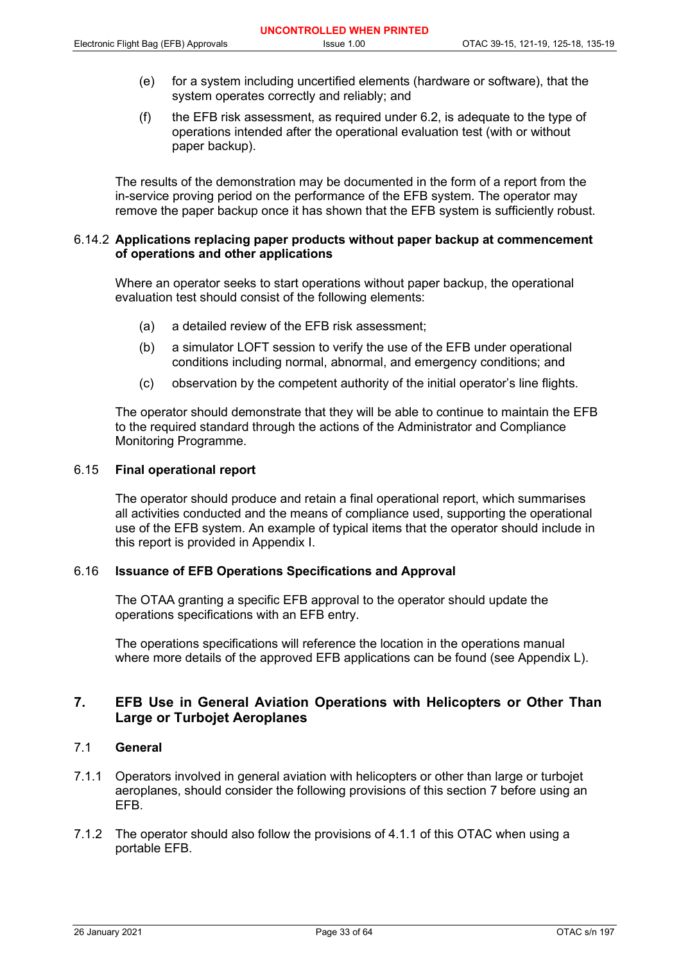- (e) for a system including uncertified elements (hardware or software), that the system operates correctly and reliably; and
- (f) the EFB risk assessment, as required under 6.2, is adequate to the type of operations intended after the operational evaluation test (with or without paper backup).

The results of the demonstration may be documented in the form of a report from the in-service proving period on the performance of the EFB system. The operator may remove the paper backup once it has shown that the EFB system is sufficiently robust.

#### 6.14.2 **Applications replacing paper products without paper backup at commencement of operations and other applications**

Where an operator seeks to start operations without paper backup, the operational evaluation test should consist of the following elements:

- (a) a detailed review of the EFB risk assessment;
- (b) a simulator LOFT session to verify the use of the EFB under operational conditions including normal, abnormal, and emergency conditions; and
- (c) observation by the competent authority of the initial operator's line flights.

The operator should demonstrate that they will be able to continue to maintain the EFB to the required standard through the actions of the Administrator and Compliance Monitoring Programme.

#### 6.15 **Final operational report**

The operator should produce and retain a final operational report, which summarises all activities conducted and the means of compliance used, supporting the operational use of the EFB system. An example of typical items that the operator should include in this report is provided in Appendix I.

## 6.16 **Issuance of EFB Operations Specifications and Approval**

The OTAA granting a specific EFB approval to the operator should update the operations specifications with an EFB entry.

The operations specifications will reference the location in the operations manual where more details of the approved EFB applications can be found (see Appendix L).

## **7. EFB Use in General Aviation Operations with Helicopters or Other Than Large or Turbojet Aeroplanes**

## 7.1 **General**

- 7.1.1 Operators involved in general aviation with helicopters or other than large or turbojet aeroplanes, should consider the following provisions of this section 7 before using an EFB.
- 7.1.2 The operator should also follow the provisions of 4.1.1 of this OTAC when using a portable EFB.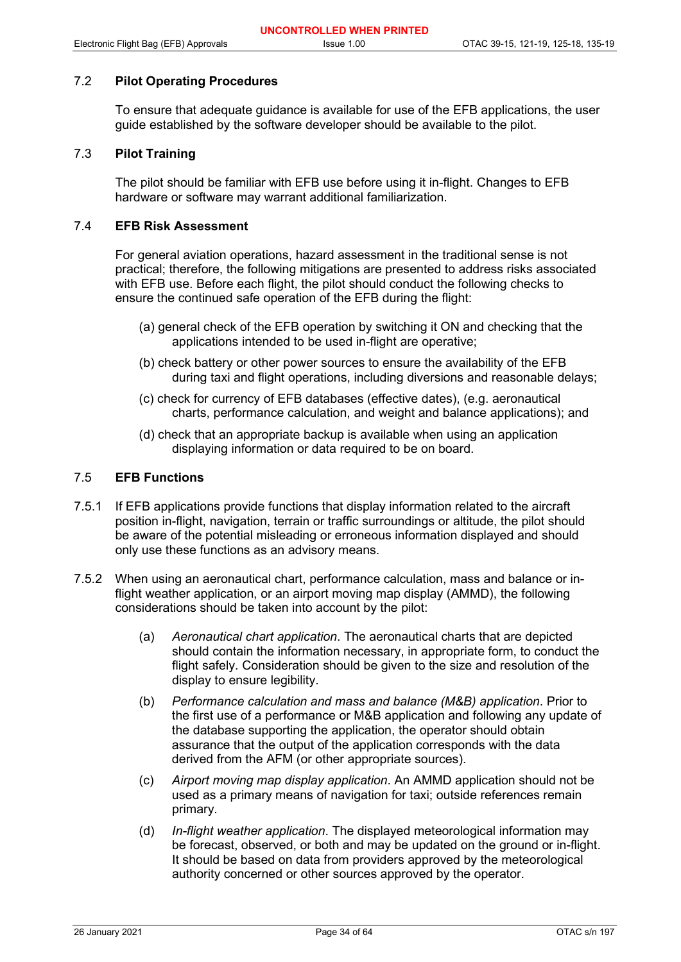## 7.2 **Pilot Operating Procedures**

To ensure that adequate guidance is available for use of the EFB applications, the user guide established by the software developer should be available to the pilot.

#### 7.3 **Pilot Training**

The pilot should be familiar with EFB use before using it in-flight. Changes to EFB hardware or software may warrant additional familiarization.

## 7.4 **EFB Risk Assessment**

For general aviation operations, hazard assessment in the traditional sense is not practical; therefore, the following mitigations are presented to address risks associated with EFB use. Before each flight, the pilot should conduct the following checks to ensure the continued safe operation of the EFB during the flight:

- (a) general check of the EFB operation by switching it ON and checking that the applications intended to be used in-flight are operative;
- (b) check battery or other power sources to ensure the availability of the EFB during taxi and flight operations, including diversions and reasonable delays;
- (c) check for currency of EFB databases (effective dates), (e.g. aeronautical charts, performance calculation, and weight and balance applications); and
- (d) check that an appropriate backup is available when using an application displaying information or data required to be on board.

## 7.5 **EFB Functions**

- 7.5.1 If EFB applications provide functions that display information related to the aircraft position in-flight, navigation, terrain or traffic surroundings or altitude, the pilot should be aware of the potential misleading or erroneous information displayed and should only use these functions as an advisory means.
- 7.5.2 When using an aeronautical chart, performance calculation, mass and balance or inflight weather application, or an airport moving map display (AMMD), the following considerations should be taken into account by the pilot:
	- (a) *Aeronautical chart application*. The aeronautical charts that are depicted should contain the information necessary, in appropriate form, to conduct the flight safely. Consideration should be given to the size and resolution of the display to ensure legibility.
	- (b) *Performance calculation and mass and balance (M&B) application*. Prior to the first use of a performance or M&B application and following any update of the database supporting the application, the operator should obtain assurance that the output of the application corresponds with the data derived from the AFM (or other appropriate sources).
	- (c) *Airport moving map display application*. An AMMD application should not be used as a primary means of navigation for taxi; outside references remain primary.
	- (d) *In-flight weather application*. The displayed meteorological information may be forecast, observed, or both and may be updated on the ground or in-flight. It should be based on data from providers approved by the meteorological authority concerned or other sources approved by the operator.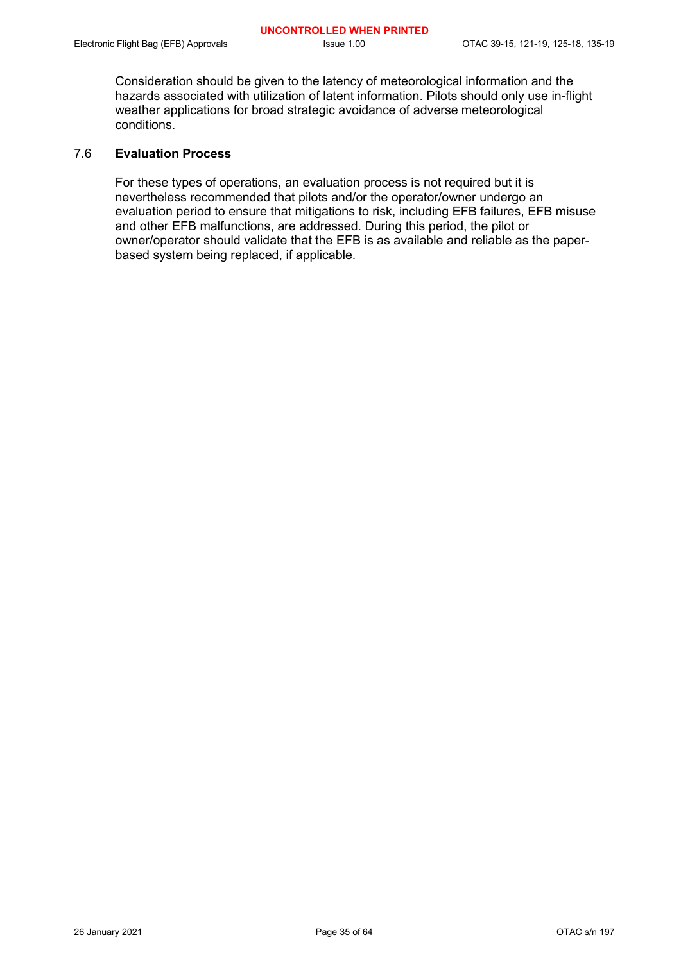Consideration should be given to the latency of meteorological information and the hazards associated with utilization of latent information. Pilots should only use in-flight weather applications for broad strategic avoidance of adverse meteorological conditions.

## 7.6 **Evaluation Process**

For these types of operations, an evaluation process is not required but it is nevertheless recommended that pilots and/or the operator/owner undergo an evaluation period to ensure that mitigations to risk, including EFB failures, EFB misuse and other EFB malfunctions, are addressed. During this period, the pilot or owner/operator should validate that the EFB is as available and reliable as the paperbased system being replaced, if applicable.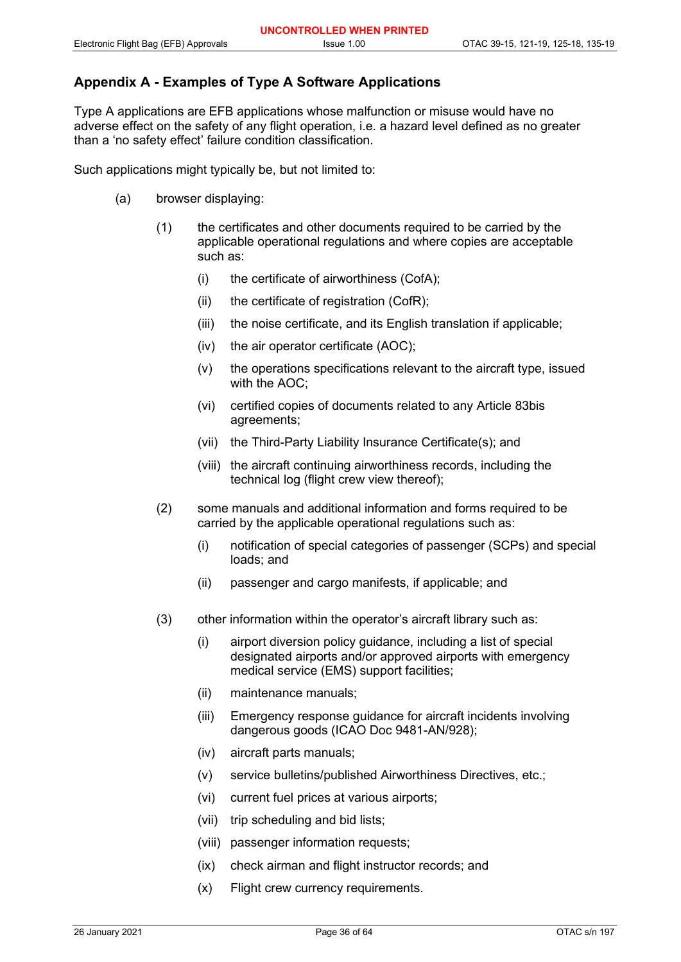## **Appendix A - Examples of Type A Software Applications**

Type A applications are EFB applications whose malfunction or misuse would have no adverse effect on the safety of any flight operation, i.e. a hazard level defined as no greater than a 'no safety effect' failure condition classification.

Such applications might typically be, but not limited to:

- (a) browser displaying:
	- (1) the certificates and other documents required to be carried by the applicable operational regulations and where copies are acceptable such as:
		- (i) the certificate of airworthiness (CofA);
		- $(ii)$  the certificate of registration (CofR);
		- (iii) the noise certificate, and its English translation if applicable;
		- (iv) the air operator certificate (AOC);
		- (v) the operations specifications relevant to the aircraft type, issued with the AOC;
		- (vi) certified copies of documents related to any Article 83bis agreements;
		- (vii) the Third-Party Liability Insurance Certificate(s); and
		- (viii) the aircraft continuing airworthiness records, including the technical log (flight crew view thereof);
	- (2) some manuals and additional information and forms required to be carried by the applicable operational regulations such as:
		- (i) notification of special categories of passenger (SCPs) and special loads; and
		- (ii) passenger and cargo manifests, if applicable; and
	- (3) other information within the operator's aircraft library such as:
		- (i) airport diversion policy guidance, including a list of special designated airports and/or approved airports with emergency medical service (EMS) support facilities;
		- (ii) maintenance manuals;
		- (iii) Emergency response guidance for aircraft incidents involving dangerous goods (ICAO Doc 9481-AN/928);
		- (iv) aircraft parts manuals;
		- (v) service bulletins/published Airworthiness Directives, etc.;
		- (vi) current fuel prices at various airports;
		- (vii) trip scheduling and bid lists;
		- (viii) passenger information requests;
		- (ix) check airman and flight instructor records; and
		- (x) Flight crew currency requirements.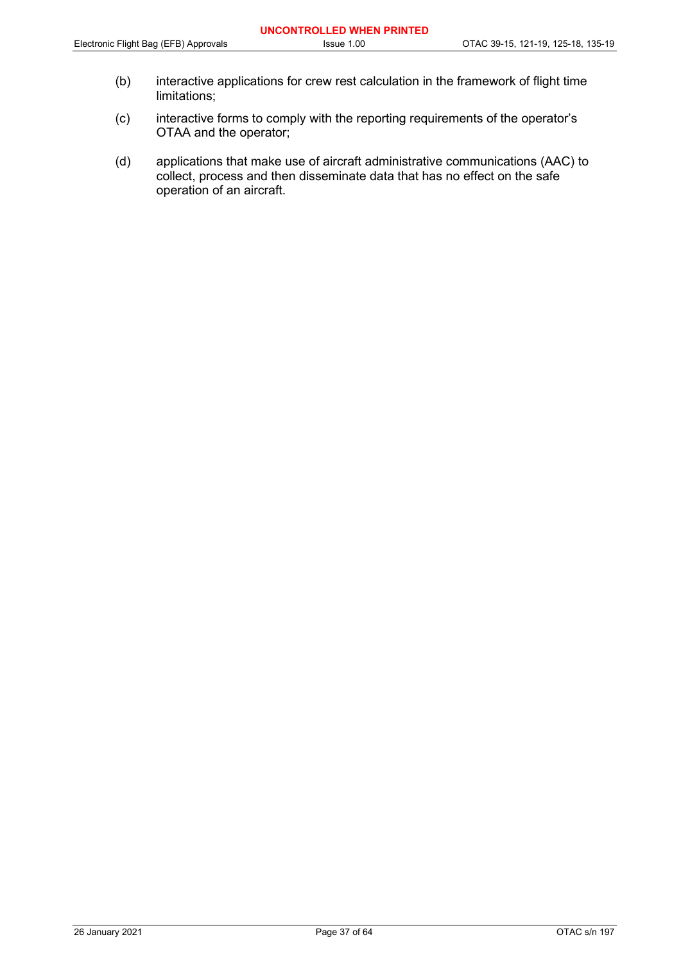- (b) interactive applications for crew rest calculation in the framework of flight time limitations;
- (c) interactive forms to comply with the reporting requirements of the operator's OTAA and the operator;
- (d) applications that make use of aircraft administrative communications (AAC) to collect, process and then disseminate data that has no effect on the safe operation of an aircraft.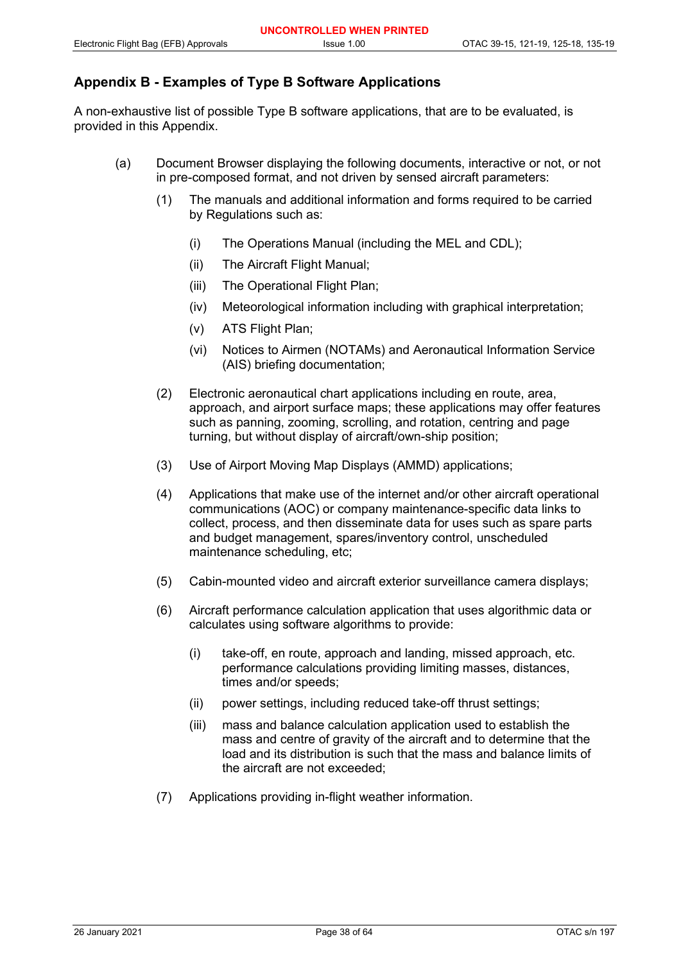## **Appendix B - Examples of Type B Software Applications**

A non-exhaustive list of possible Type B software applications, that are to be evaluated, is provided in this Appendix.

- (a) Document Browser displaying the following documents, interactive or not, or not in pre-composed format, and not driven by sensed aircraft parameters:
	- (1) The manuals and additional information and forms required to be carried by Regulations such as:
		- (i) The Operations Manual (including the MEL and CDL);
		- (ii) The Aircraft Flight Manual;
		- (iii) The Operational Flight Plan;
		- (iv) Meteorological information including with graphical interpretation;
		- (v) ATS Flight Plan;
		- (vi) Notices to Airmen (NOTAMs) and Aeronautical Information Service (AIS) briefing documentation;
	- (2) Electronic aeronautical chart applications including en route, area, approach, and airport surface maps; these applications may offer features such as panning, zooming, scrolling, and rotation, centring and page turning, but without display of aircraft/own-ship position;
	- (3) Use of Airport Moving Map Displays (AMMD) applications;
	- (4) Applications that make use of the internet and/or other aircraft operational communications (AOC) or company maintenance-specific data links to collect, process, and then disseminate data for uses such as spare parts and budget management, spares/inventory control, unscheduled maintenance scheduling, etc;
	- (5) Cabin-mounted video and aircraft exterior surveillance camera displays;
	- (6) Aircraft performance calculation application that uses algorithmic data or calculates using software algorithms to provide:
		- (i) take-off, en route, approach and landing, missed approach, etc. performance calculations providing limiting masses, distances, times and/or speeds;
		- (ii) power settings, including reduced take-off thrust settings;
		- (iii) mass and balance calculation application used to establish the mass and centre of gravity of the aircraft and to determine that the load and its distribution is such that the mass and balance limits of the aircraft are not exceeded;
	- (7) Applications providing in-flight weather information.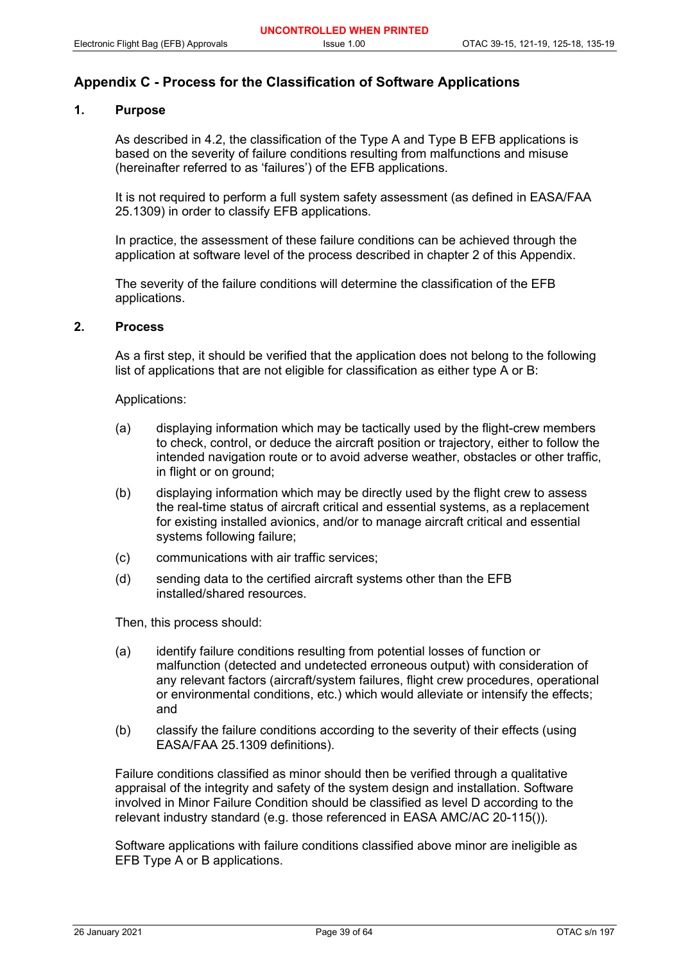## **Appendix C - Process for the Classification of Software Applications**

## **1. Purpose**

As described in 4.2, the classification of the Type A and Type B EFB applications is based on the severity of failure conditions resulting from malfunctions and misuse (hereinafter referred to as 'failures') of the EFB applications.

It is not required to perform a full system safety assessment (as defined in EASA/FAA 25.1309) in order to classify EFB applications.

In practice, the assessment of these failure conditions can be achieved through the application at software level of the process described in chapter 2 of this Appendix.

The severity of the failure conditions will determine the classification of the EFB applications.

## **2. Process**

As a first step, it should be verified that the application does not belong to the following list of applications that are not eligible for classification as either type A or B:

Applications:

- (a) displaying information which may be tactically used by the flight-crew members to check, control, or deduce the aircraft position or trajectory, either to follow the intended navigation route or to avoid adverse weather, obstacles or other traffic, in flight or on ground;
- (b) displaying information which may be directly used by the flight crew to assess the real-time status of aircraft critical and essential systems, as a replacement for existing installed avionics, and/or to manage aircraft critical and essential systems following failure;
- (c) communications with air traffic services;
- (d) sending data to the certified aircraft systems other than the EFB installed/shared resources.

Then, this process should:

- (a) identify failure conditions resulting from potential losses of function or malfunction (detected and undetected erroneous output) with consideration of any relevant factors (aircraft/system failures, flight crew procedures, operational or environmental conditions, etc.) which would alleviate or intensify the effects; and
- (b) classify the failure conditions according to the severity of their effects (using EASA/FAA 25.1309 definitions).

Failure conditions classified as minor should then be verified through a qualitative appraisal of the integrity and safety of the system design and installation. Software involved in Minor Failure Condition should be classified as level D according to the relevant industry standard (e.g. those referenced in EASA AMC/AC 20-115()).

Software applications with failure conditions classified above minor are ineligible as EFB Type A or B applications.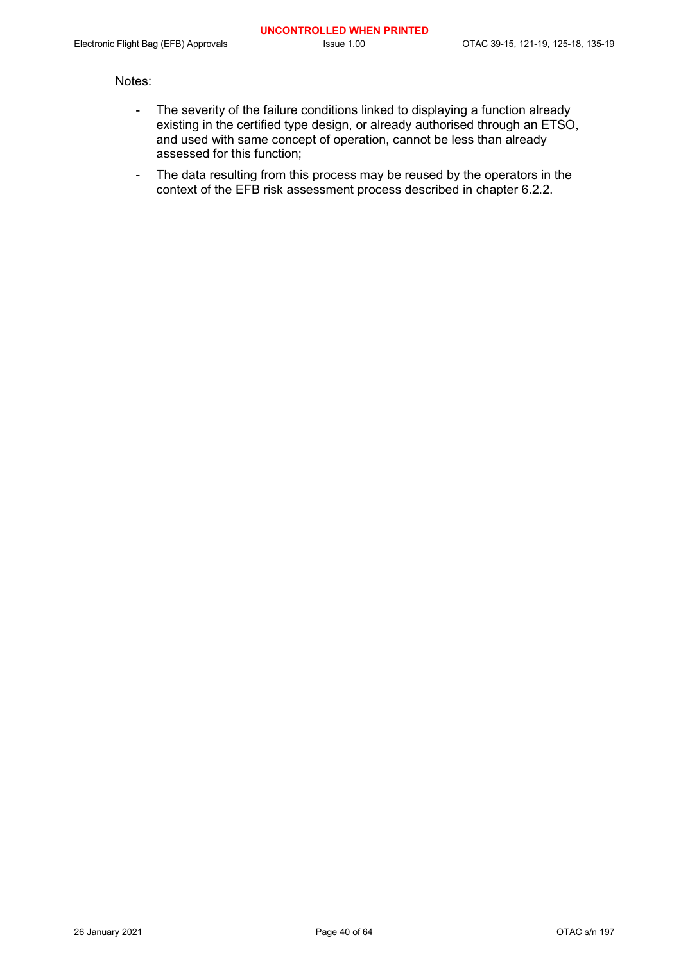#### Notes:

- The severity of the failure conditions linked to displaying a function already existing in the certified type design, or already authorised through an ETSO, and used with same concept of operation, cannot be less than already assessed for this function;
- The data resulting from this process may be reused by the operators in the context of the EFB risk assessment process described in chapter 6.2.2.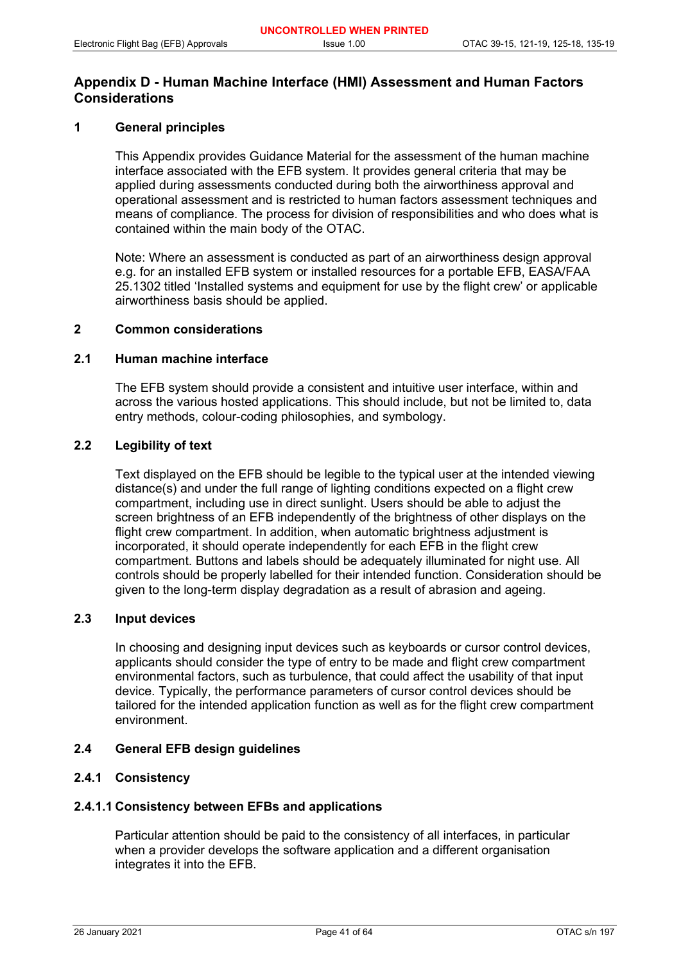## **Appendix D - Human Machine Interface (HMI) Assessment and Human Factors Considerations**

## **1 General principles**

This Appendix provides Guidance Material for the assessment of the human machine interface associated with the EFB system. It provides general criteria that may be applied during assessments conducted during both the airworthiness approval and operational assessment and is restricted to human factors assessment techniques and means of compliance. The process for division of responsibilities and who does what is contained within the main body of the OTAC.

Note: Where an assessment is conducted as part of an airworthiness design approval e.g. for an installed EFB system or installed resources for a portable EFB, EASA/FAA 25.1302 titled 'Installed systems and equipment for use by the flight crew' or applicable airworthiness basis should be applied.

## **2 Common considerations**

## **2.1 Human machine interface**

The EFB system should provide a consistent and intuitive user interface, within and across the various hosted applications. This should include, but not be limited to, data entry methods, colour-coding philosophies, and symbology.

## **2.2 Legibility of text**

Text displayed on the EFB should be legible to the typical user at the intended viewing distance(s) and under the full range of lighting conditions expected on a flight crew compartment, including use in direct sunlight. Users should be able to adjust the screen brightness of an EFB independently of the brightness of other displays on the flight crew compartment. In addition, when automatic brightness adjustment is incorporated, it should operate independently for each EFB in the flight crew compartment. Buttons and labels should be adequately illuminated for night use. All controls should be properly labelled for their intended function. Consideration should be given to the long-term display degradation as a result of abrasion and ageing.

#### **2.3 Input devices**

In choosing and designing input devices such as keyboards or cursor control devices, applicants should consider the type of entry to be made and flight crew compartment environmental factors, such as turbulence, that could affect the usability of that input device. Typically, the performance parameters of cursor control devices should be tailored for the intended application function as well as for the flight crew compartment environment.

#### **2.4 General EFB design guidelines**

## **2.4.1 Consistency**

## **2.4.1.1 Consistency between EFBs and applications**

Particular attention should be paid to the consistency of all interfaces, in particular when a provider develops the software application and a different organisation integrates it into the EFB.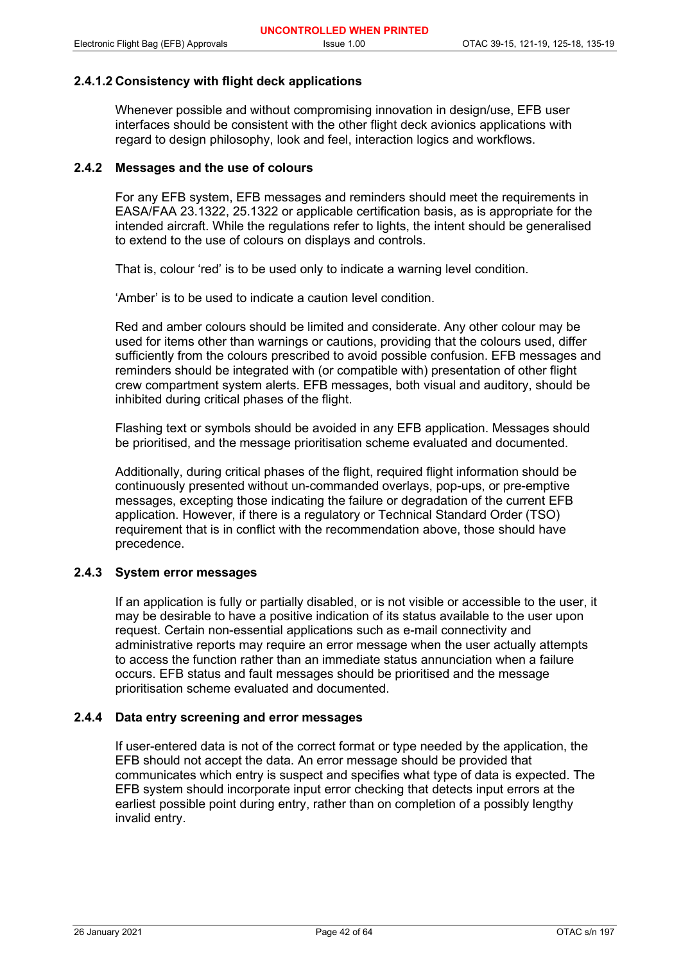## **2.4.1.2 Consistency with flight deck applications**

Whenever possible and without compromising innovation in design/use, EFB user interfaces should be consistent with the other flight deck avionics applications with regard to design philosophy, look and feel, interaction logics and workflows.

## **2.4.2 Messages and the use of colours**

For any EFB system, EFB messages and reminders should meet the requirements in EASA/FAA 23.1322, 25.1322 or applicable certification basis, as is appropriate for the intended aircraft. While the regulations refer to lights, the intent should be generalised to extend to the use of colours on displays and controls.

That is, colour 'red' is to be used only to indicate a warning level condition.

'Amber' is to be used to indicate a caution level condition.

Red and amber colours should be limited and considerate. Any other colour may be used for items other than warnings or cautions, providing that the colours used, differ sufficiently from the colours prescribed to avoid possible confusion. EFB messages and reminders should be integrated with (or compatible with) presentation of other flight crew compartment system alerts. EFB messages, both visual and auditory, should be inhibited during critical phases of the flight.

Flashing text or symbols should be avoided in any EFB application. Messages should be prioritised, and the message prioritisation scheme evaluated and documented.

Additionally, during critical phases of the flight, required flight information should be continuously presented without un-commanded overlays, pop-ups, or pre-emptive messages, excepting those indicating the failure or degradation of the current EFB application. However, if there is a regulatory or Technical Standard Order (TSO) requirement that is in conflict with the recommendation above, those should have precedence.

#### **2.4.3 System error messages**

If an application is fully or partially disabled, or is not visible or accessible to the user, it may be desirable to have a positive indication of its status available to the user upon request. Certain non-essential applications such as e-mail connectivity and administrative reports may require an error message when the user actually attempts to access the function rather than an immediate status annunciation when a failure occurs. EFB status and fault messages should be prioritised and the message prioritisation scheme evaluated and documented.

#### **2.4.4 Data entry screening and error messages**

If user-entered data is not of the correct format or type needed by the application, the EFB should not accept the data. An error message should be provided that communicates which entry is suspect and specifies what type of data is expected. The EFB system should incorporate input error checking that detects input errors at the earliest possible point during entry, rather than on completion of a possibly lengthy invalid entry.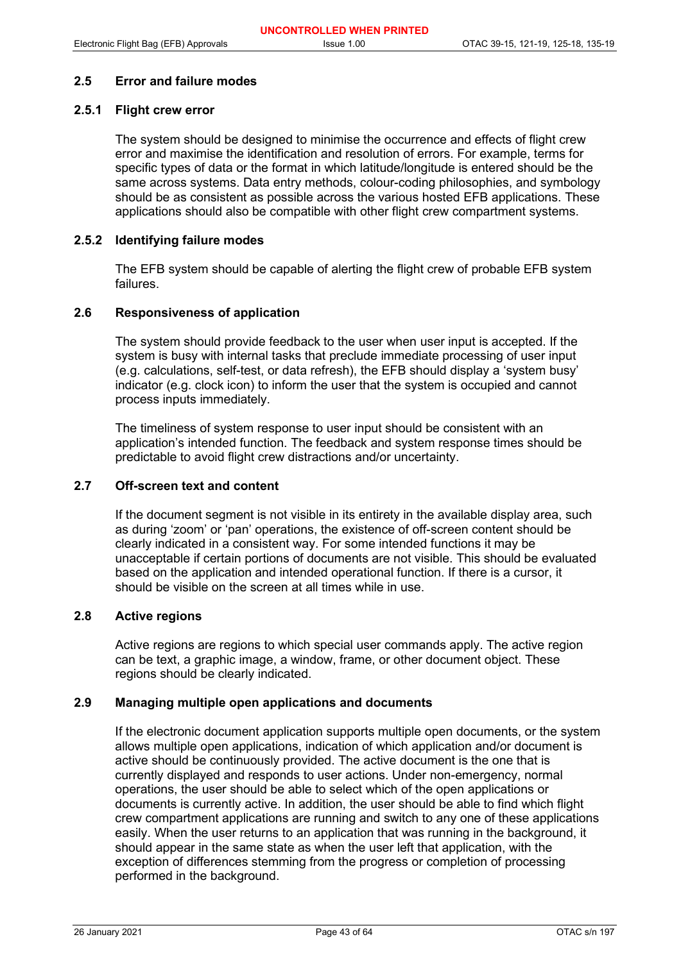#### **2.5 Error and failure modes**

## **2.5.1 Flight crew error**

The system should be designed to minimise the occurrence and effects of flight crew error and maximise the identification and resolution of errors. For example, terms for specific types of data or the format in which latitude/longitude is entered should be the same across systems. Data entry methods, colour-coding philosophies, and symbology should be as consistent as possible across the various hosted EFB applications. These applications should also be compatible with other flight crew compartment systems.

## **2.5.2 Identifying failure modes**

The EFB system should be capable of alerting the flight crew of probable EFB system failures.

## **2.6 Responsiveness of application**

The system should provide feedback to the user when user input is accepted. If the system is busy with internal tasks that preclude immediate processing of user input (e.g. calculations, self-test, or data refresh), the EFB should display a 'system busy' indicator (e.g. clock icon) to inform the user that the system is occupied and cannot process inputs immediately.

The timeliness of system response to user input should be consistent with an application's intended function. The feedback and system response times should be predictable to avoid flight crew distractions and/or uncertainty.

## **2.7 Off-screen text and content**

If the document segment is not visible in its entirety in the available display area, such as during 'zoom' or 'pan' operations, the existence of off-screen content should be clearly indicated in a consistent way. For some intended functions it may be unacceptable if certain portions of documents are not visible. This should be evaluated based on the application and intended operational function. If there is a cursor, it should be visible on the screen at all times while in use.

#### **2.8 Active regions**

Active regions are regions to which special user commands apply. The active region can be text, a graphic image, a window, frame, or other document object. These regions should be clearly indicated.

#### **2.9 Managing multiple open applications and documents**

If the electronic document application supports multiple open documents, or the system allows multiple open applications, indication of which application and/or document is active should be continuously provided. The active document is the one that is currently displayed and responds to user actions. Under non-emergency, normal operations, the user should be able to select which of the open applications or documents is currently active. In addition, the user should be able to find which flight crew compartment applications are running and switch to any one of these applications easily. When the user returns to an application that was running in the background, it should appear in the same state as when the user left that application, with the exception of differences stemming from the progress or completion of processing performed in the background.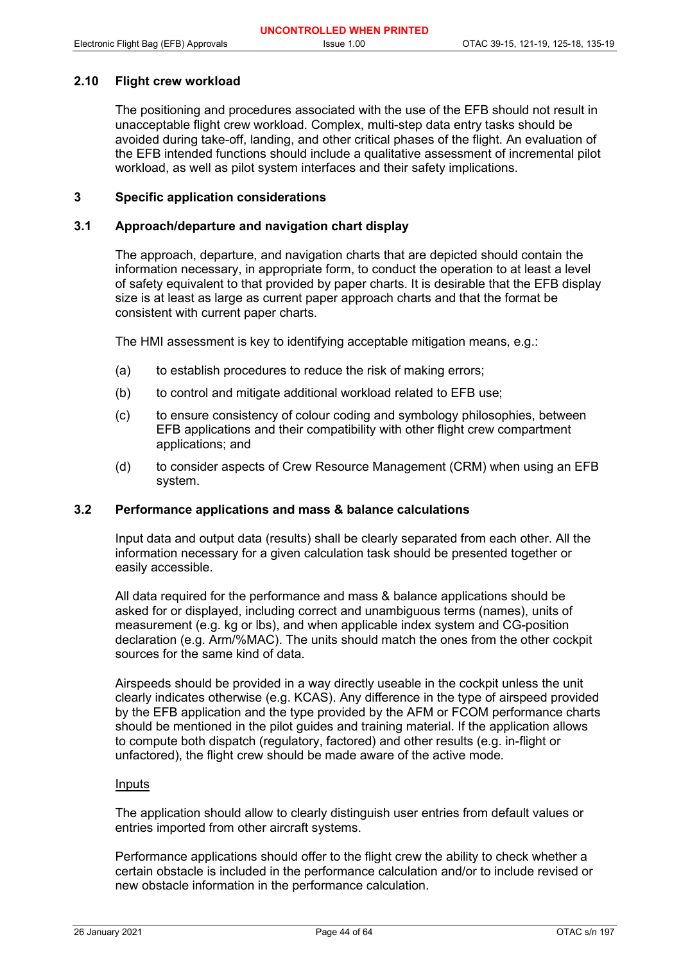## **2.10 Flight crew workload**

The positioning and procedures associated with the use of the EFB should not result in unacceptable flight crew workload. Complex, multi-step data entry tasks should be avoided during take-off, landing, and other critical phases of the flight. An evaluation of the EFB intended functions should include a qualitative assessment of incremental pilot workload, as well as pilot system interfaces and their safety implications.

#### **3 Specific application considerations**

#### **3.1 Approach/departure and navigation chart display**

The approach, departure, and navigation charts that are depicted should contain the information necessary, in appropriate form, to conduct the operation to at least a level of safety equivalent to that provided by paper charts. It is desirable that the EFB display size is at least as large as current paper approach charts and that the format be consistent with current paper charts.

The HMI assessment is key to identifying acceptable mitigation means, e.g.:

- (a) to establish procedures to reduce the risk of making errors;
- (b) to control and mitigate additional workload related to EFB use;
- (c) to ensure consistency of colour coding and symbology philosophies, between EFB applications and their compatibility with other flight crew compartment applications; and
- (d) to consider aspects of Crew Resource Management (CRM) when using an EFB system.

#### **3.2 Performance applications and mass & balance calculations**

Input data and output data (results) shall be clearly separated from each other. All the information necessary for a given calculation task should be presented together or easily accessible.

All data required for the performance and mass & balance applications should be asked for or displayed, including correct and unambiguous terms (names), units of measurement (e.g. kg or lbs), and when applicable index system and CG-position declaration (e.g. Arm/%MAC). The units should match the ones from the other cockpit sources for the same kind of data.

Airspeeds should be provided in a way directly useable in the cockpit unless the unit clearly indicates otherwise (e.g. KCAS). Any difference in the type of airspeed provided by the EFB application and the type provided by the AFM or FCOM performance charts should be mentioned in the pilot guides and training material. If the application allows to compute both dispatch (regulatory, factored) and other results (e.g. in-flight or unfactored), the flight crew should be made aware of the active mode.

#### Inputs

The application should allow to clearly distinguish user entries from default values or entries imported from other aircraft systems.

Performance applications should offer to the flight crew the ability to check whether a certain obstacle is included in the performance calculation and/or to include revised or new obstacle information in the performance calculation.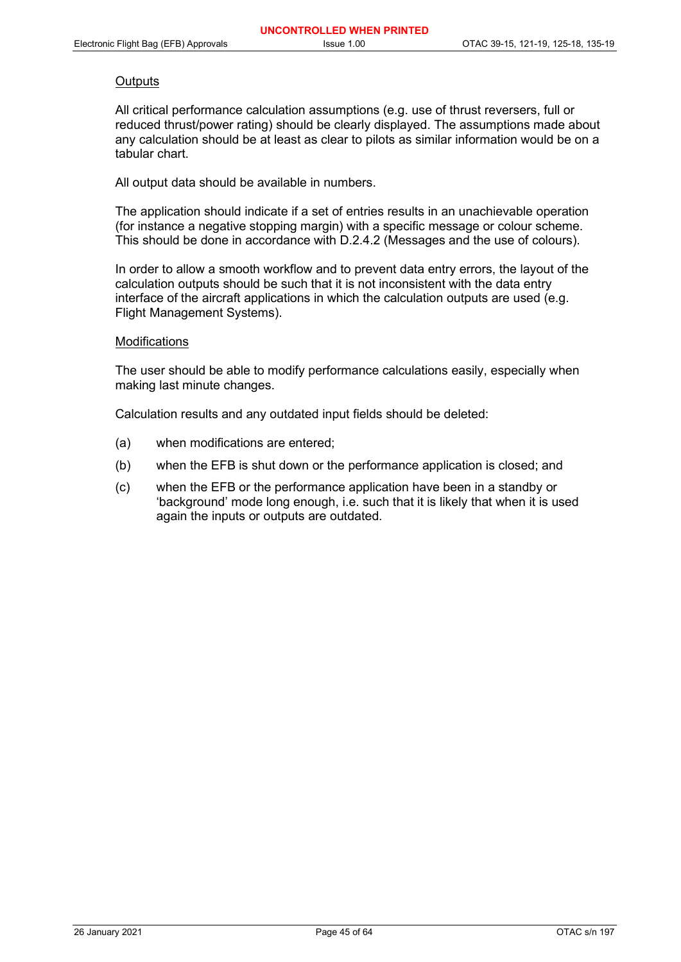#### **Outputs**

All critical performance calculation assumptions (e.g. use of thrust reversers, full or reduced thrust/power rating) should be clearly displayed. The assumptions made about any calculation should be at least as clear to pilots as similar information would be on a tabular chart.

All output data should be available in numbers.

The application should indicate if a set of entries results in an unachievable operation (for instance a negative stopping margin) with a specific message or colour scheme. This should be done in accordance with D.2.4.2 (Messages and the use of colours).

In order to allow a smooth workflow and to prevent data entry errors, the layout of the calculation outputs should be such that it is not inconsistent with the data entry interface of the aircraft applications in which the calculation outputs are used (e.g. Flight Management Systems).

#### Modifications

The user should be able to modify performance calculations easily, especially when making last minute changes.

Calculation results and any outdated input fields should be deleted:

- (a) when modifications are entered;
- (b) when the EFB is shut down or the performance application is closed; and
- (c) when the EFB or the performance application have been in a standby or 'background' mode long enough, i.e. such that it is likely that when it is used again the inputs or outputs are outdated.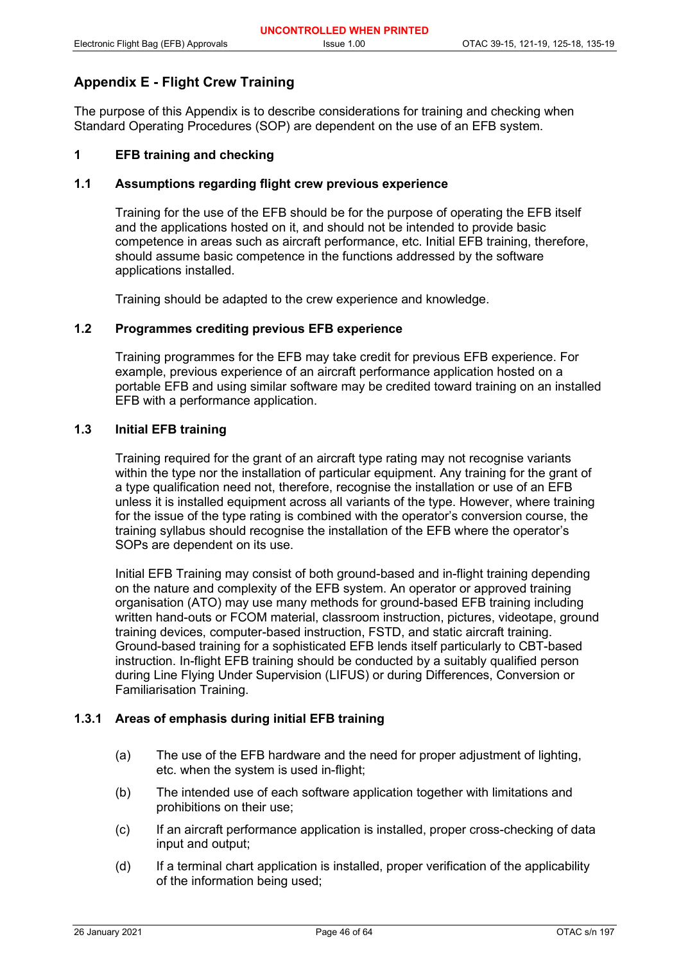## **Appendix E - Flight Crew Training**

The purpose of this Appendix is to describe considerations for training and checking when Standard Operating Procedures (SOP) are dependent on the use of an EFB system.

## **1 EFB training and checking**

## **1.1 Assumptions regarding flight crew previous experience**

Training for the use of the EFB should be for the purpose of operating the EFB itself and the applications hosted on it, and should not be intended to provide basic competence in areas such as aircraft performance, etc. Initial EFB training, therefore, should assume basic competence in the functions addressed by the software applications installed.

Training should be adapted to the crew experience and knowledge.

#### **1.2 Programmes crediting previous EFB experience**

Training programmes for the EFB may take credit for previous EFB experience. For example, previous experience of an aircraft performance application hosted on a portable EFB and using similar software may be credited toward training on an installed EFB with a performance application.

## **1.3 Initial EFB training**

Training required for the grant of an aircraft type rating may not recognise variants within the type nor the installation of particular equipment. Any training for the grant of a type qualification need not, therefore, recognise the installation or use of an EFB unless it is installed equipment across all variants of the type. However, where training for the issue of the type rating is combined with the operator's conversion course, the training syllabus should recognise the installation of the EFB where the operator's SOPs are dependent on its use.

Initial EFB Training may consist of both ground-based and in-flight training depending on the nature and complexity of the EFB system. An operator or approved training organisation (ATO) may use many methods for ground-based EFB training including written hand-outs or FCOM material, classroom instruction, pictures, videotape, ground training devices, computer-based instruction, FSTD, and static aircraft training. Ground-based training for a sophisticated EFB lends itself particularly to CBT-based instruction. In-flight EFB training should be conducted by a suitably qualified person during Line Flying Under Supervision (LIFUS) or during Differences, Conversion or Familiarisation Training.

## **1.3.1 Areas of emphasis during initial EFB training**

- (a) The use of the EFB hardware and the need for proper adjustment of lighting, etc. when the system is used in-flight;
- (b) The intended use of each software application together with limitations and prohibitions on their use;
- (c) If an aircraft performance application is installed, proper cross-checking of data input and output;
- (d) If a terminal chart application is installed, proper verification of the applicability of the information being used;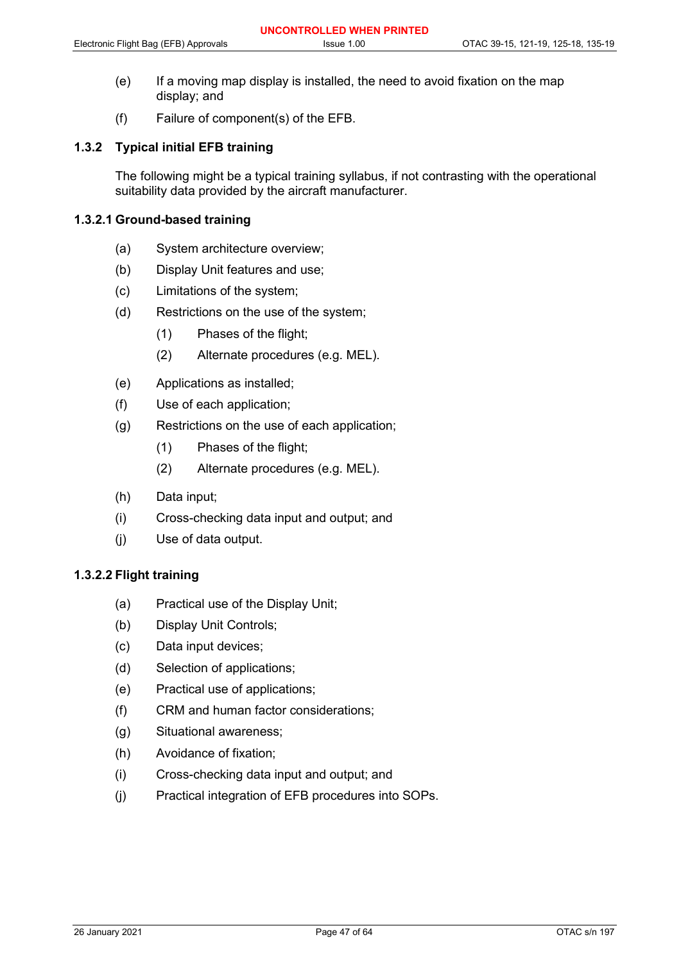- (e) If a moving map display is installed, the need to avoid fixation on the map display; and
- (f) Failure of component(s) of the EFB.

## **1.3.2 Typical initial EFB training**

The following might be a typical training syllabus, if not contrasting with the operational suitability data provided by the aircraft manufacturer.

## **1.3.2.1 Ground-based training**

- (a) System architecture overview;
- (b) Display Unit features and use;
- (c) Limitations of the system;
- (d) Restrictions on the use of the system;
	- (1) Phases of the flight;
	- (2) Alternate procedures (e.g. MEL).
- (e) Applications as installed;
- (f) Use of each application;
- (g) Restrictions on the use of each application;
	- (1) Phases of the flight;
	- (2) Alternate procedures (e.g. MEL).
- (h) Data input;
- (i) Cross-checking data input and output; and
- (j) Use of data output.

#### **1.3.2.2 Flight training**

- (a) Practical use of the Display Unit;
- (b) Display Unit Controls;
- (c) Data input devices;
- (d) Selection of applications;
- (e) Practical use of applications;
- (f) CRM and human factor considerations;
- (g) Situational awareness;
- (h) Avoidance of fixation;
- (i) Cross-checking data input and output; and
- (j) Practical integration of EFB procedures into SOPs.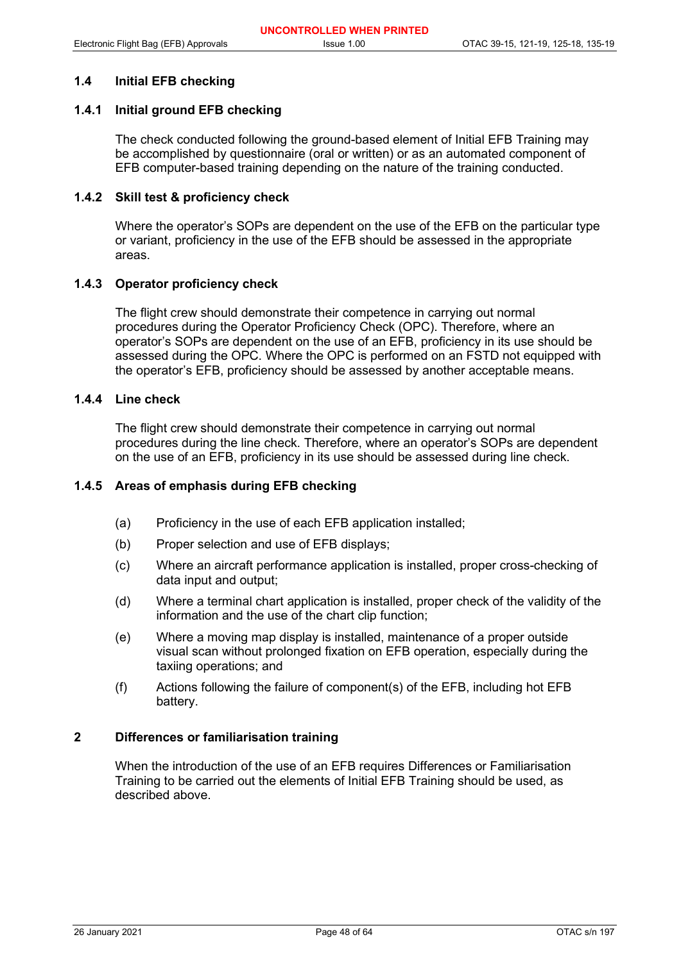## **1.4 Initial EFB checking**

## **1.4.1 Initial ground EFB checking**

The check conducted following the ground-based element of Initial EFB Training may be accomplished by questionnaire (oral or written) or as an automated component of EFB computer-based training depending on the nature of the training conducted.

#### **1.4.2 Skill test & proficiency check**

Where the operator's SOPs are dependent on the use of the EFB on the particular type or variant, proficiency in the use of the EFB should be assessed in the appropriate areas.

## **1.4.3 Operator proficiency check**

The flight crew should demonstrate their competence in carrying out normal procedures during the Operator Proficiency Check (OPC). Therefore, where an operator's SOPs are dependent on the use of an EFB, proficiency in its use should be assessed during the OPC. Where the OPC is performed on an FSTD not equipped with the operator's EFB, proficiency should be assessed by another acceptable means.

## **1.4.4 Line check**

The flight crew should demonstrate their competence in carrying out normal procedures during the line check. Therefore, where an operator's SOPs are dependent on the use of an EFB, proficiency in its use should be assessed during line check.

#### **1.4.5 Areas of emphasis during EFB checking**

- (a) Proficiency in the use of each EFB application installed;
- (b) Proper selection and use of EFB displays;
- (c) Where an aircraft performance application is installed, proper cross-checking of data input and output;
- (d) Where a terminal chart application is installed, proper check of the validity of the information and the use of the chart clip function;
- (e) Where a moving map display is installed, maintenance of a proper outside visual scan without prolonged fixation on EFB operation, especially during the taxiing operations; and
- (f) Actions following the failure of component(s) of the EFB, including hot EFB battery.

#### **2 Differences or familiarisation training**

When the introduction of the use of an EFB requires Differences or Familiarisation Training to be carried out the elements of Initial EFB Training should be used, as described above.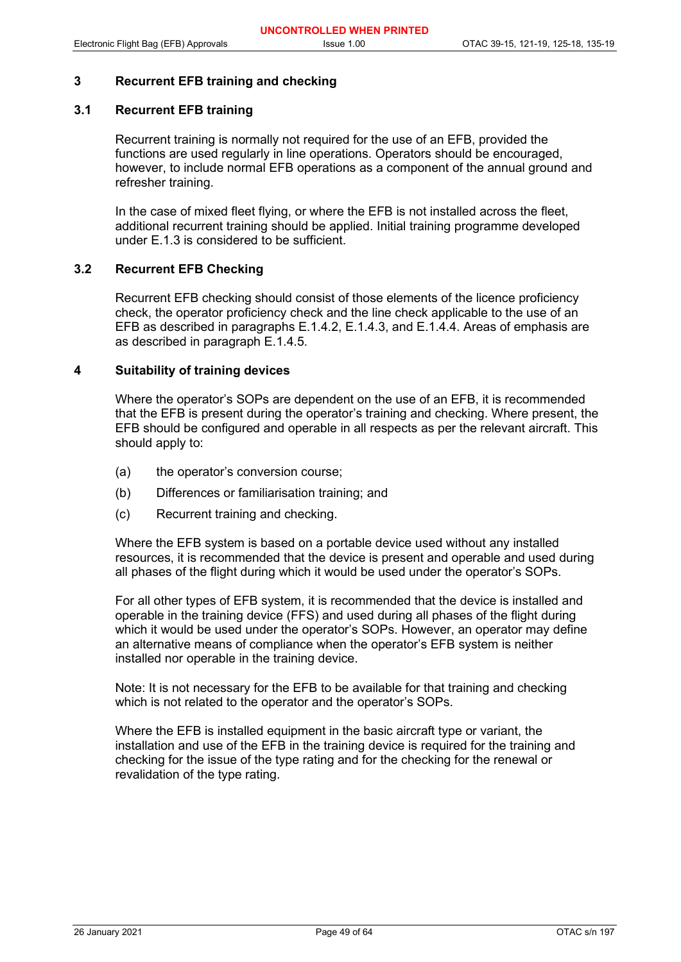## **3 Recurrent EFB training and checking**

## **3.1 Recurrent EFB training**

Recurrent training is normally not required for the use of an EFB, provided the functions are used regularly in line operations. Operators should be encouraged, however, to include normal EFB operations as a component of the annual ground and refresher training.

In the case of mixed fleet flying, or where the EFB is not installed across the fleet, additional recurrent training should be applied. Initial training programme developed under E.1.3 is considered to be sufficient.

## **3.2 Recurrent EFB Checking**

Recurrent EFB checking should consist of those elements of the licence proficiency check, the operator proficiency check and the line check applicable to the use of an EFB as described in paragraphs E.1.4.2, E.1.4.3, and E.1.4.4. Areas of emphasis are as described in paragraph E.1.4.5.

#### **4 Suitability of training devices**

Where the operator's SOPs are dependent on the use of an EFB, it is recommended that the EFB is present during the operator's training and checking. Where present, the EFB should be configured and operable in all respects as per the relevant aircraft. This should apply to:

- (a) the operator's conversion course;
- (b) Differences or familiarisation training; and
- (c) Recurrent training and checking.

Where the EFB system is based on a portable device used without any installed resources, it is recommended that the device is present and operable and used during all phases of the flight during which it would be used under the operator's SOPs.

For all other types of EFB system, it is recommended that the device is installed and operable in the training device (FFS) and used during all phases of the flight during which it would be used under the operator's SOPs. However, an operator may define an alternative means of compliance when the operator's EFB system is neither installed nor operable in the training device.

Note: It is not necessary for the EFB to be available for that training and checking which is not related to the operator and the operator's SOPs.

Where the EFB is installed equipment in the basic aircraft type or variant, the installation and use of the EFB in the training device is required for the training and checking for the issue of the type rating and for the checking for the renewal or revalidation of the type rating.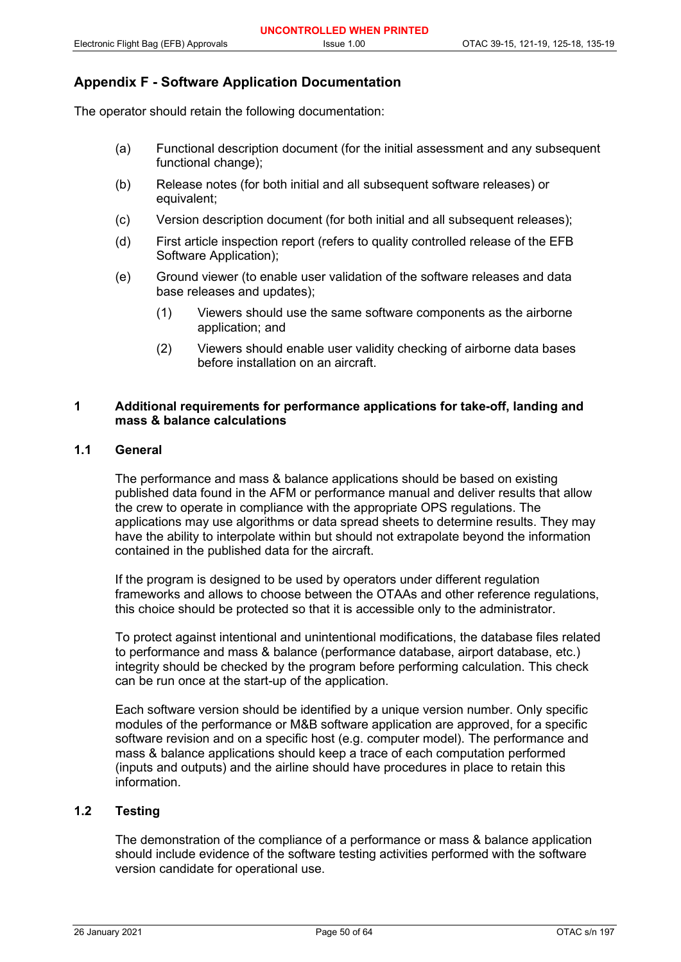## **Appendix F - Software Application Documentation**

The operator should retain the following documentation:

- (a) Functional description document (for the initial assessment and any subsequent functional change);
- (b) Release notes (for both initial and all subsequent software releases) or equivalent;
- (c) Version description document (for both initial and all subsequent releases);
- (d) First article inspection report (refers to quality controlled release of the EFB Software Application);
- (e) Ground viewer (to enable user validation of the software releases and data base releases and updates);
	- (1) Viewers should use the same software components as the airborne application; and
	- (2) Viewers should enable user validity checking of airborne data bases before installation on an aircraft.

## **1 Additional requirements for performance applications for take-off, landing and mass & balance calculations**

#### **1.1 General**

The performance and mass & balance applications should be based on existing published data found in the AFM or performance manual and deliver results that allow the crew to operate in compliance with the appropriate OPS regulations. The applications may use algorithms or data spread sheets to determine results. They may have the ability to interpolate within but should not extrapolate beyond the information contained in the published data for the aircraft.

If the program is designed to be used by operators under different regulation frameworks and allows to choose between the OTAAs and other reference regulations, this choice should be protected so that it is accessible only to the administrator.

To protect against intentional and unintentional modifications, the database files related to performance and mass & balance (performance database, airport database, etc.) integrity should be checked by the program before performing calculation. This check can be run once at the start-up of the application.

Each software version should be identified by a unique version number. Only specific modules of the performance or M&B software application are approved, for a specific software revision and on a specific host (e.g. computer model). The performance and mass & balance applications should keep a trace of each computation performed (inputs and outputs) and the airline should have procedures in place to retain this information.

## **1.2 Testing**

The demonstration of the compliance of a performance or mass & balance application should include evidence of the software testing activities performed with the software version candidate for operational use.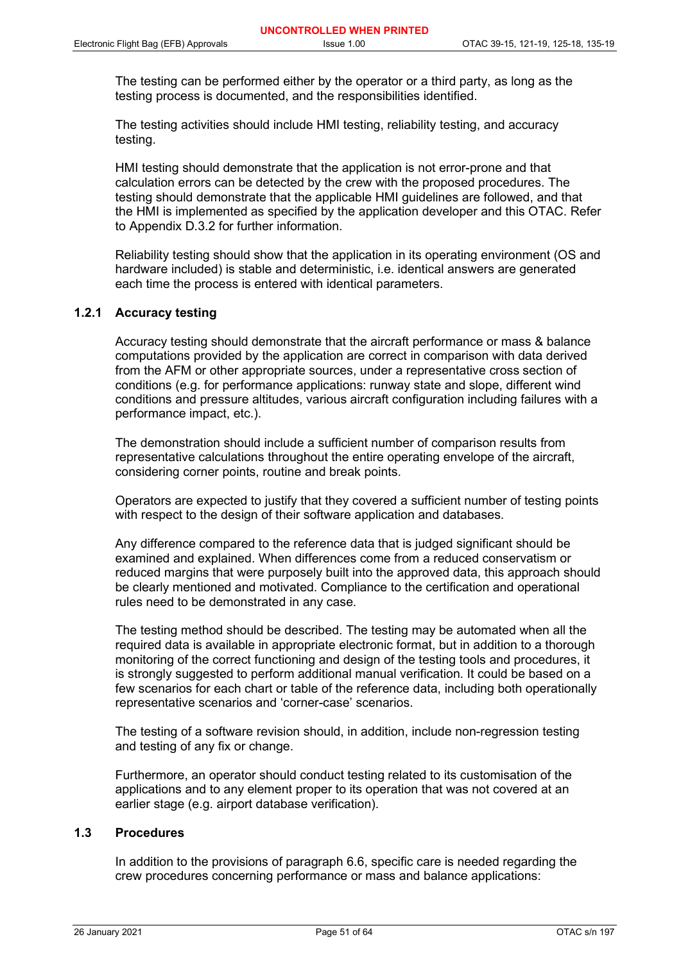The testing can be performed either by the operator or a third party, as long as the testing process is documented, and the responsibilities identified.

The testing activities should include HMI testing, reliability testing, and accuracy testing.

HMI testing should demonstrate that the application is not error-prone and that calculation errors can be detected by the crew with the proposed procedures. The testing should demonstrate that the applicable HMI guidelines are followed, and that the HMI is implemented as specified by the application developer and this OTAC. Refer to Appendix D.3.2 for further information.

Reliability testing should show that the application in its operating environment (OS and hardware included) is stable and deterministic, i.e. identical answers are generated each time the process is entered with identical parameters.

## **1.2.1 Accuracy testing**

Accuracy testing should demonstrate that the aircraft performance or mass & balance computations provided by the application are correct in comparison with data derived from the AFM or other appropriate sources, under a representative cross section of conditions (e.g. for performance applications: runway state and slope, different wind conditions and pressure altitudes, various aircraft configuration including failures with a performance impact, etc.).

The demonstration should include a sufficient number of comparison results from representative calculations throughout the entire operating envelope of the aircraft, considering corner points, routine and break points.

Operators are expected to justify that they covered a sufficient number of testing points with respect to the design of their software application and databases.

Any difference compared to the reference data that is judged significant should be examined and explained. When differences come from a reduced conservatism or reduced margins that were purposely built into the approved data, this approach should be clearly mentioned and motivated. Compliance to the certification and operational rules need to be demonstrated in any case.

The testing method should be described. The testing may be automated when all the required data is available in appropriate electronic format, but in addition to a thorough monitoring of the correct functioning and design of the testing tools and procedures, it is strongly suggested to perform additional manual verification. It could be based on a few scenarios for each chart or table of the reference data, including both operationally representative scenarios and 'corner-case' scenarios.

The testing of a software revision should, in addition, include non-regression testing and testing of any fix or change.

Furthermore, an operator should conduct testing related to its customisation of the applications and to any element proper to its operation that was not covered at an earlier stage (e.g. airport database verification).

## **1.3 Procedures**

In addition to the provisions of paragraph 6.6, specific care is needed regarding the crew procedures concerning performance or mass and balance applications: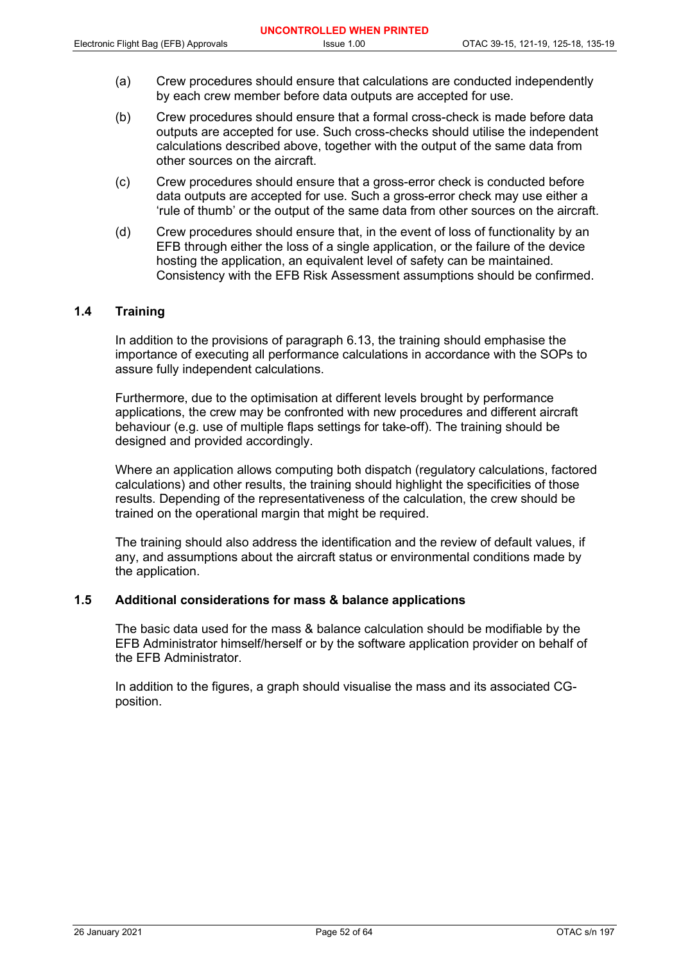- (a) Crew procedures should ensure that calculations are conducted independently by each crew member before data outputs are accepted for use.
- (b) Crew procedures should ensure that a formal cross-check is made before data outputs are accepted for use. Such cross-checks should utilise the independent calculations described above, together with the output of the same data from other sources on the aircraft.
- (c) Crew procedures should ensure that a gross-error check is conducted before data outputs are accepted for use. Such a gross-error check may use either a 'rule of thumb' or the output of the same data from other sources on the aircraft.
- (d) Crew procedures should ensure that, in the event of loss of functionality by an EFB through either the loss of a single application, or the failure of the device hosting the application, an equivalent level of safety can be maintained. Consistency with the EFB Risk Assessment assumptions should be confirmed.

## **1.4 Training**

In addition to the provisions of paragraph 6.13, the training should emphasise the importance of executing all performance calculations in accordance with the SOPs to assure fully independent calculations.

Furthermore, due to the optimisation at different levels brought by performance applications, the crew may be confronted with new procedures and different aircraft behaviour (e.g. use of multiple flaps settings for take-off). The training should be designed and provided accordingly.

Where an application allows computing both dispatch (regulatory calculations, factored calculations) and other results, the training should highlight the specificities of those results. Depending of the representativeness of the calculation, the crew should be trained on the operational margin that might be required.

The training should also address the identification and the review of default values, if any, and assumptions about the aircraft status or environmental conditions made by the application.

#### **1.5 Additional considerations for mass & balance applications**

The basic data used for the mass & balance calculation should be modifiable by the EFB Administrator himself/herself or by the software application provider on behalf of the EFB Administrator.

In addition to the figures, a graph should visualise the mass and its associated CGposition.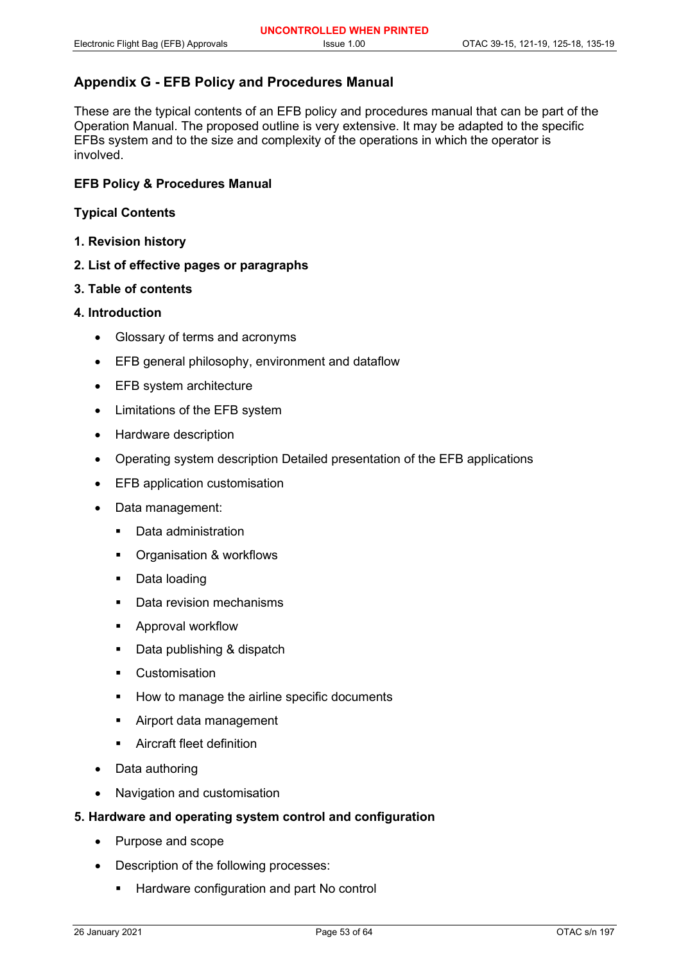## **Appendix G - EFB Policy and Procedures Manual**

These are the typical contents of an EFB policy and procedures manual that can be part of the Operation Manual. The proposed outline is very extensive. It may be adapted to the specific EFBs system and to the size and complexity of the operations in which the operator is involved.

## **EFB Policy & Procedures Manual**

## **Typical Contents**

- **1. Revision history**
- **2. List of effective pages or paragraphs**

#### **3. Table of contents**

## **4. Introduction**

- Glossary of terms and acronyms
- EFB general philosophy, environment and dataflow
- EFB system architecture
- Limitations of the EFB system
- Hardware description
- Operating system description Detailed presentation of the EFB applications
- **EFB** application customisation
- Data management:
	- **•** Data administration
	- Organisation & workflows
	- Data loading
	- Data revision mechanisms
	- Approval workflow
	- Data publishing & dispatch
	- **•** Customisation
	- How to manage the airline specific documents
	- **Airport data management**
	- Aircraft fleet definition
- Data authoring
- Navigation and customisation

## **5. Hardware and operating system control and configuration**

- Purpose and scope
- Description of the following processes:
	- Hardware configuration and part No control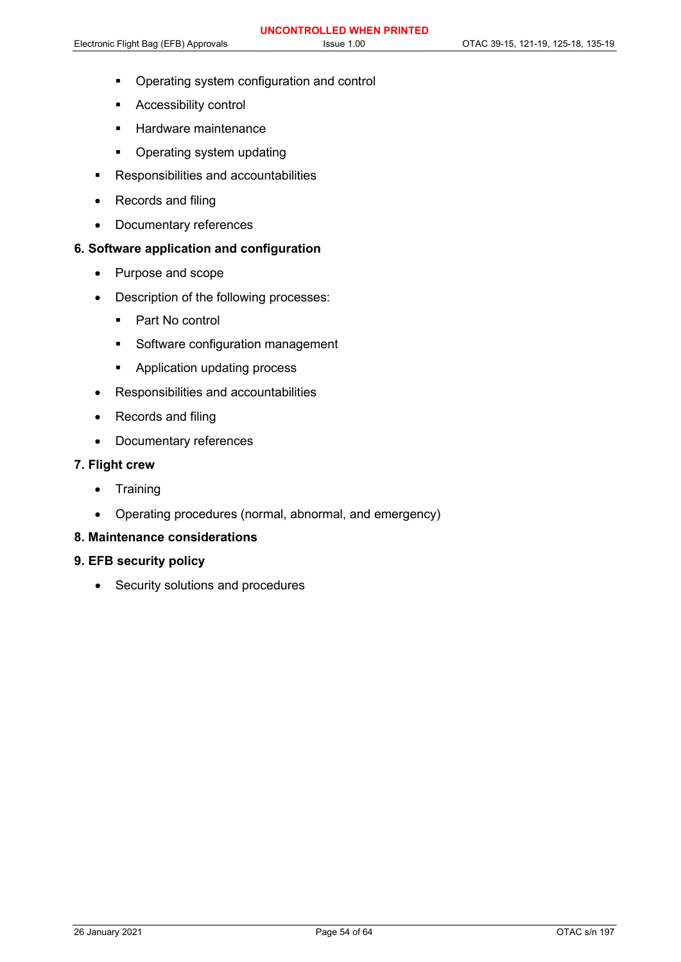- **•** Operating system configuration and control
- Accessibility control
- **Hardware maintenance**
- Operating system updating
- Responsibilities and accountabilities
- Records and filing
- Documentary references

## **6. Software application and configuration**

- Purpose and scope
- Description of the following processes:
	- Part No control
	- **Software configuration management**
	- **Application updating process**
- Responsibilities and accountabilities
- Records and filing
- Documentary references

## **7. Flight crew**

- Training
- Operating procedures (normal, abnormal, and emergency)

## **8. Maintenance considerations**

## **9. EFB security policy**

• Security solutions and procedures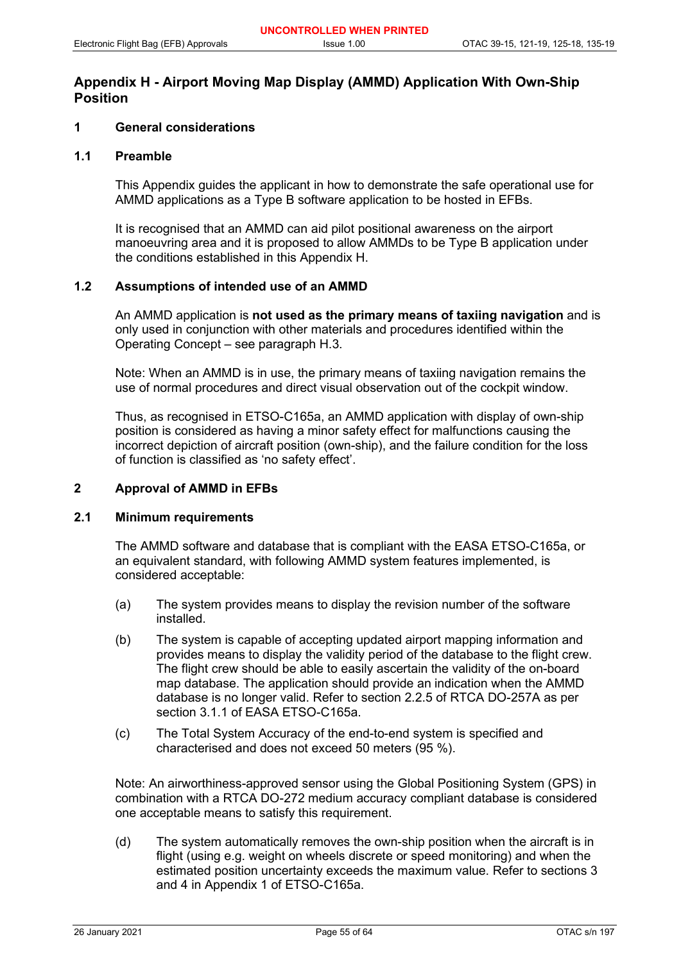## **Appendix H - Airport Moving Map Display (AMMD) Application With Own-Ship Position**

## **1 General considerations**

## **1.1 Preamble**

This Appendix guides the applicant in how to demonstrate the safe operational use for AMMD applications as a Type B software application to be hosted in EFBs.

It is recognised that an AMMD can aid pilot positional awareness on the airport manoeuvring area and it is proposed to allow AMMDs to be Type B application under the conditions established in this Appendix H.

## **1.2 Assumptions of intended use of an AMMD**

An AMMD application is **not used as the primary means of taxiing navigation** and is only used in conjunction with other materials and procedures identified within the Operating Concept – see paragraph H.3.

Note: When an AMMD is in use, the primary means of taxiing navigation remains the use of normal procedures and direct visual observation out of the cockpit window.

Thus, as recognised in ETSO-C165a, an AMMD application with display of own-ship position is considered as having a minor safety effect for malfunctions causing the incorrect depiction of aircraft position (own-ship), and the failure condition for the loss of function is classified as 'no safety effect'.

#### **2 Approval of AMMD in EFBs**

#### **2.1 Minimum requirements**

The AMMD software and database that is compliant with the EASA ETSO-C165a, or an equivalent standard, with following AMMD system features implemented, is considered acceptable:

- (a) The system provides means to display the revision number of the software installed.
- (b) The system is capable of accepting updated airport mapping information and provides means to display the validity period of the database to the flight crew. The flight crew should be able to easily ascertain the validity of the on-board map database. The application should provide an indication when the AMMD database is no longer valid. Refer to section 2.2.5 of RTCA DO-257A as per section 3.1.1 of EASA ETSO-C165a.
- (c) The Total System Accuracy of the end-to-end system is specified and characterised and does not exceed 50 meters (95 %).

Note: An airworthiness-approved sensor using the Global Positioning System (GPS) in combination with a RTCA DO-272 medium accuracy compliant database is considered one acceptable means to satisfy this requirement.

(d) The system automatically removes the own-ship position when the aircraft is in flight (using e.g. weight on wheels discrete or speed monitoring) and when the estimated position uncertainty exceeds the maximum value. Refer to sections 3 and 4 in Appendix 1 of ETSO-C165a.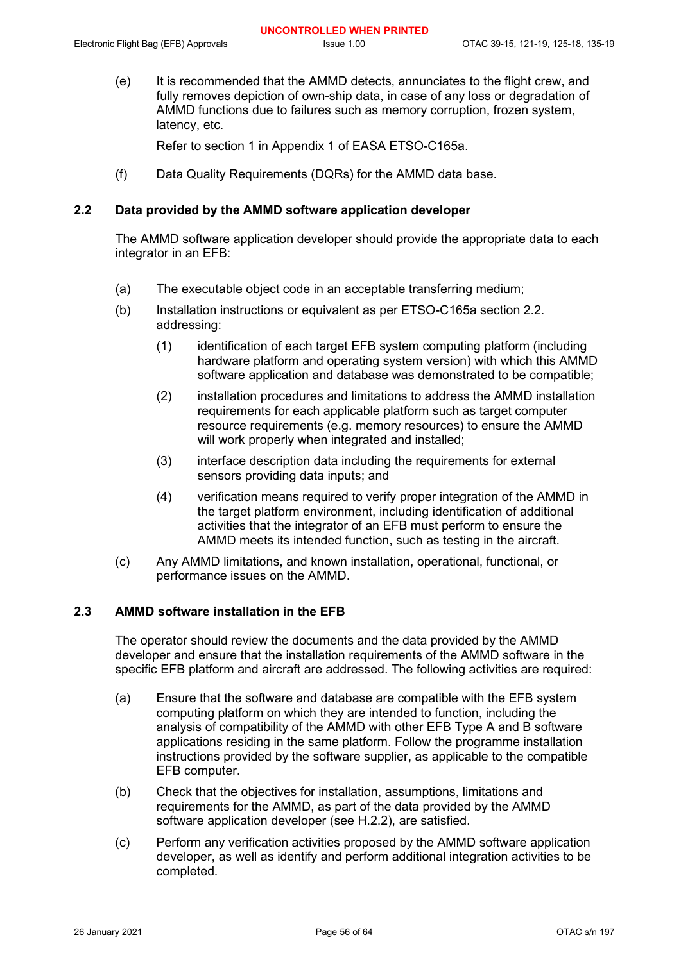(e) It is recommended that the AMMD detects, annunciates to the flight crew, and fully removes depiction of own-ship data, in case of any loss or degradation of AMMD functions due to failures such as memory corruption, frozen system, latency, etc.

Refer to section 1 in Appendix 1 of EASA ETSO-C165a.

(f) Data Quality Requirements (DQRs) for the AMMD data base.

## **2.2 Data provided by the AMMD software application developer**

The AMMD software application developer should provide the appropriate data to each integrator in an EFB:

- (a) The executable object code in an acceptable transferring medium;
- (b) Installation instructions or equivalent as per ETSO-C165a section 2.2. addressing:
	- (1) identification of each target EFB system computing platform (including hardware platform and operating system version) with which this AMMD software application and database was demonstrated to be compatible;
	- (2) installation procedures and limitations to address the AMMD installation requirements for each applicable platform such as target computer resource requirements (e.g. memory resources) to ensure the AMMD will work properly when integrated and installed;
	- (3) interface description data including the requirements for external sensors providing data inputs; and
	- (4) verification means required to verify proper integration of the AMMD in the target platform environment, including identification of additional activities that the integrator of an EFB must perform to ensure the AMMD meets its intended function, such as testing in the aircraft.
- (c) Any AMMD limitations, and known installation, operational, functional, or performance issues on the AMMD.

## **2.3 AMMD software installation in the EFB**

The operator should review the documents and the data provided by the AMMD developer and ensure that the installation requirements of the AMMD software in the specific EFB platform and aircraft are addressed. The following activities are required:

- (a) Ensure that the software and database are compatible with the EFB system computing platform on which they are intended to function, including the analysis of compatibility of the AMMD with other EFB Type A and B software applications residing in the same platform. Follow the programme installation instructions provided by the software supplier, as applicable to the compatible EFB computer.
- (b) Check that the objectives for installation, assumptions, limitations and requirements for the AMMD, as part of the data provided by the AMMD software application developer (see H.2.2), are satisfied.
- (c) Perform any verification activities proposed by the AMMD software application developer, as well as identify and perform additional integration activities to be completed.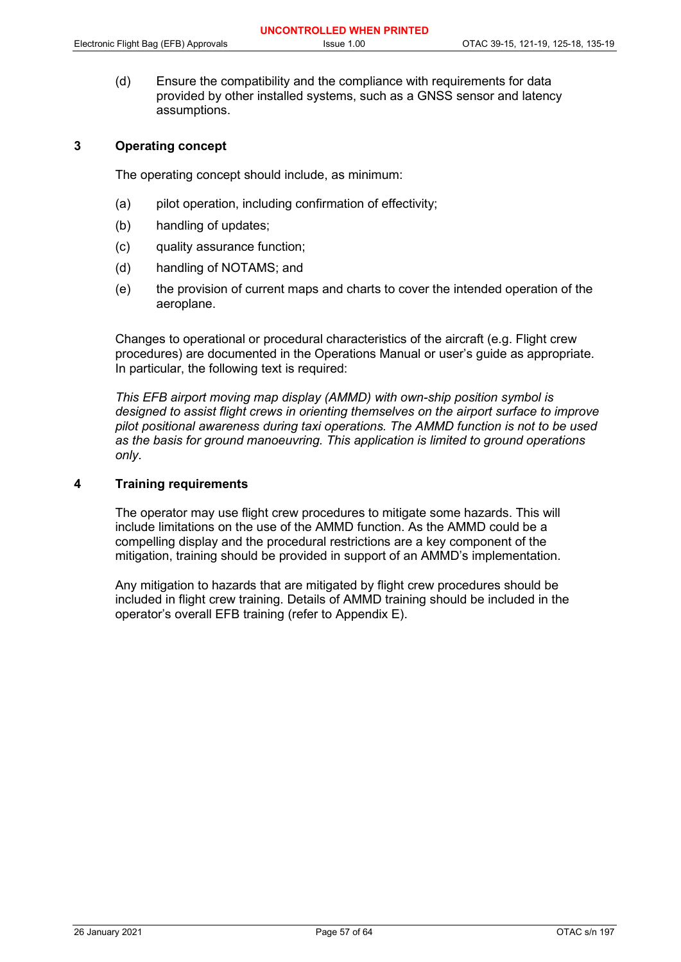(d) Ensure the compatibility and the compliance with requirements for data provided by other installed systems, such as a GNSS sensor and latency assumptions.

## **3 Operating concept**

The operating concept should include, as minimum:

- (a) pilot operation, including confirmation of effectivity;
- (b) handling of updates;
- (c) quality assurance function;
- (d) handling of NOTAMS; and
- (e) the provision of current maps and charts to cover the intended operation of the aeroplane.

Changes to operational or procedural characteristics of the aircraft (e.g. Flight crew procedures) are documented in the Operations Manual or user's guide as appropriate. In particular, the following text is required:

*This EFB airport moving map display (AMMD) with own-ship position symbol is designed to assist flight crews in orienting themselves on the airport surface to improve pilot positional awareness during taxi operations. The AMMD function is not to be used as the basis for ground manoeuvring. This application is limited to ground operations only*.

## **4 Training requirements**

The operator may use flight crew procedures to mitigate some hazards. This will include limitations on the use of the AMMD function. As the AMMD could be a compelling display and the procedural restrictions are a key component of the mitigation, training should be provided in support of an AMMD's implementation.

Any mitigation to hazards that are mitigated by flight crew procedures should be included in flight crew training. Details of AMMD training should be included in the operator's overall EFB training (refer to Appendix E).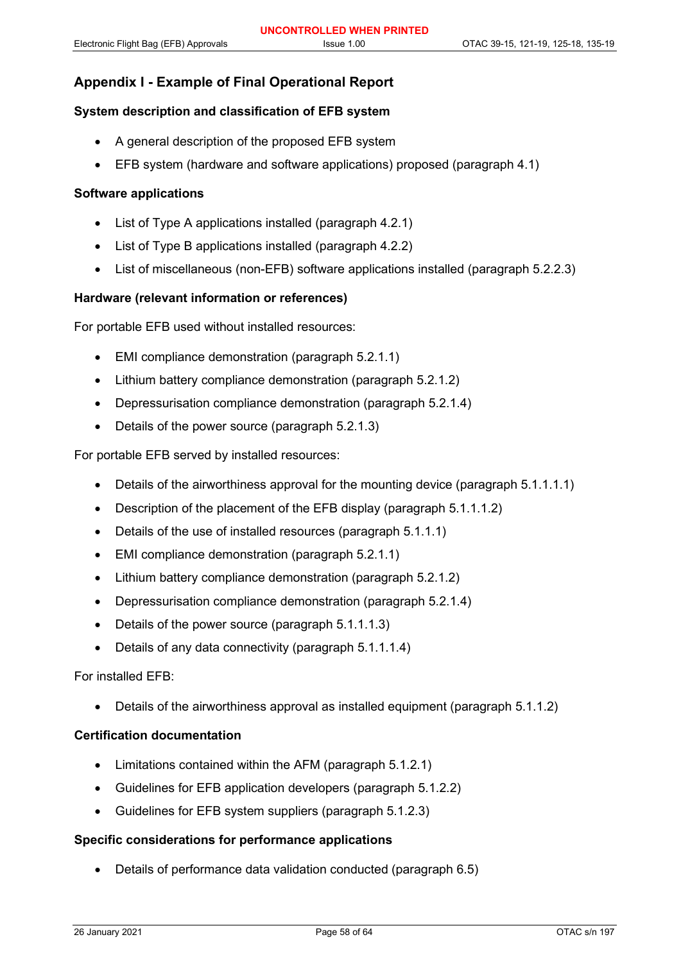## **Appendix I - Example of Final Operational Report**

#### **System description and classification of EFB system**

- A general description of the proposed EFB system
- EFB system (hardware and software applications) proposed (paragraph 4.1)

## **Software applications**

- List of Type A applications installed (paragraph 4.2.1)
- List of Type B applications installed (paragraph 4.2.2)
- List of miscellaneous (non-EFB) software applications installed (paragraph 5.2.2.3)

#### **Hardware (relevant information or references)**

For portable EFB used without installed resources:

- EMI compliance demonstration (paragraph 5.2.1.1)
- Lithium battery compliance demonstration (paragraph 5.2.1.2)
- Depressurisation compliance demonstration (paragraph 5.2.1.4)
- Details of the power source (paragraph 5.2.1.3)

For portable EFB served by installed resources:

- Details of the airworthiness approval for the mounting device (paragraph 5.1.1.1.1)
- Description of the placement of the EFB display (paragraph 5.1.1.1.2)
- Details of the use of installed resources (paragraph 5.1.1.1)
- EMI compliance demonstration (paragraph 5.2.1.1)
- Lithium battery compliance demonstration (paragraph 5.2.1.2)
- Depressurisation compliance demonstration (paragraph 5.2.1.4)
- Details of the power source (paragraph 5.1.1.1.3)
- Details of any data connectivity (paragraph 5.1.1.1.4)

#### For installed EFB:

• Details of the airworthiness approval as installed equipment (paragraph 5.1.1.2)

#### **Certification documentation**

- Limitations contained within the AFM (paragraph 5.1.2.1)
- Guidelines for EFB application developers (paragraph 5.1.2.2)
- Guidelines for EFB system suppliers (paragraph 5.1.2.3)

#### **Specific considerations for performance applications**

• Details of performance data validation conducted (paragraph 6.5)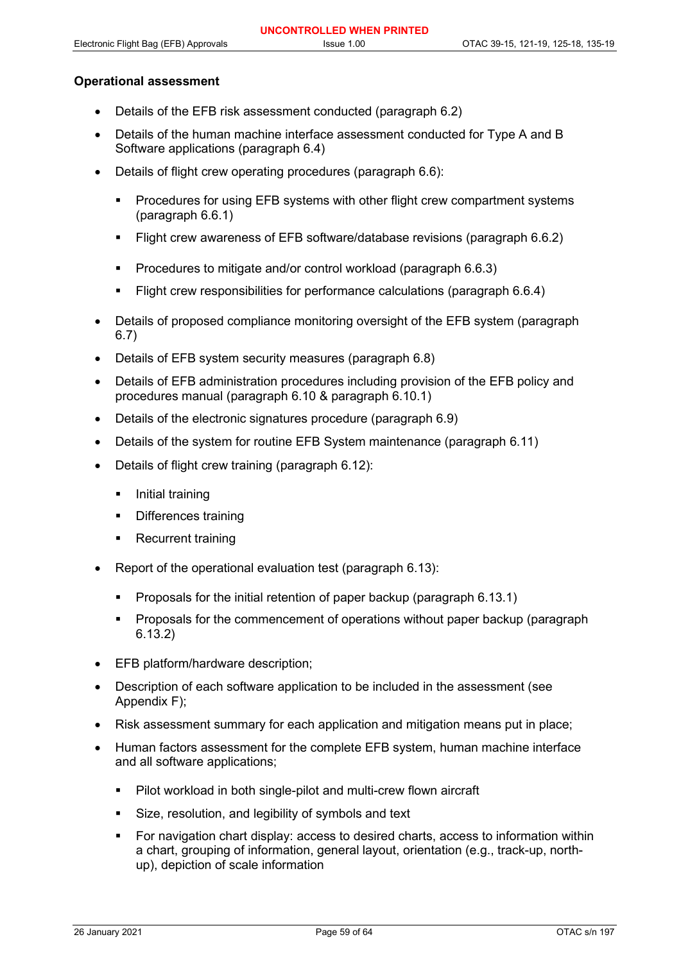## **Operational assessment**

- Details of the EFB risk assessment conducted (paragraph 6.2)
- Details of the human machine interface assessment conducted for Type A and B Software applications (paragraph 6.4)
- Details of flight crew operating procedures (paragraph 6.6):
	- Procedures for using EFB systems with other flight crew compartment systems (paragraph 6.6.1)
	- Flight crew awareness of EFB software/database revisions (paragraph 6.6.2)
	- **Procedures to mitigate and/or control workload (paragraph 6.6.3)**
	- Flight crew responsibilities for performance calculations (paragraph 6.6.4)
- Details of proposed compliance monitoring oversight of the EFB system (paragraph 6.7)
- Details of EFB system security measures (paragraph 6.8)
- Details of EFB administration procedures including provision of the EFB policy and procedures manual (paragraph 6.10 & paragraph 6.10.1)
- Details of the electronic signatures procedure (paragraph 6.9)
- Details of the system for routine EFB System maintenance (paragraph 6.11)
- Details of flight crew training (paragraph 6.12):
	- Initial training
	- Differences training
	- Recurrent training
- Report of the operational evaluation test (paragraph 6.13):
	- Proposals for the initial retention of paper backup (paragraph 6.13.1)
	- Proposals for the commencement of operations without paper backup (paragraph 6.13.2)
- EFB platform/hardware description;
- Description of each software application to be included in the assessment (see Appendix F);
- Risk assessment summary for each application and mitigation means put in place;
- Human factors assessment for the complete EFB system, human machine interface and all software applications;
	- **Pilot workload in both single-pilot and multi-crew flown aircraft**
	- Size, resolution, and legibility of symbols and text
	- For navigation chart display: access to desired charts, access to information within a chart, grouping of information, general layout, orientation (e.g., track-up, northup), depiction of scale information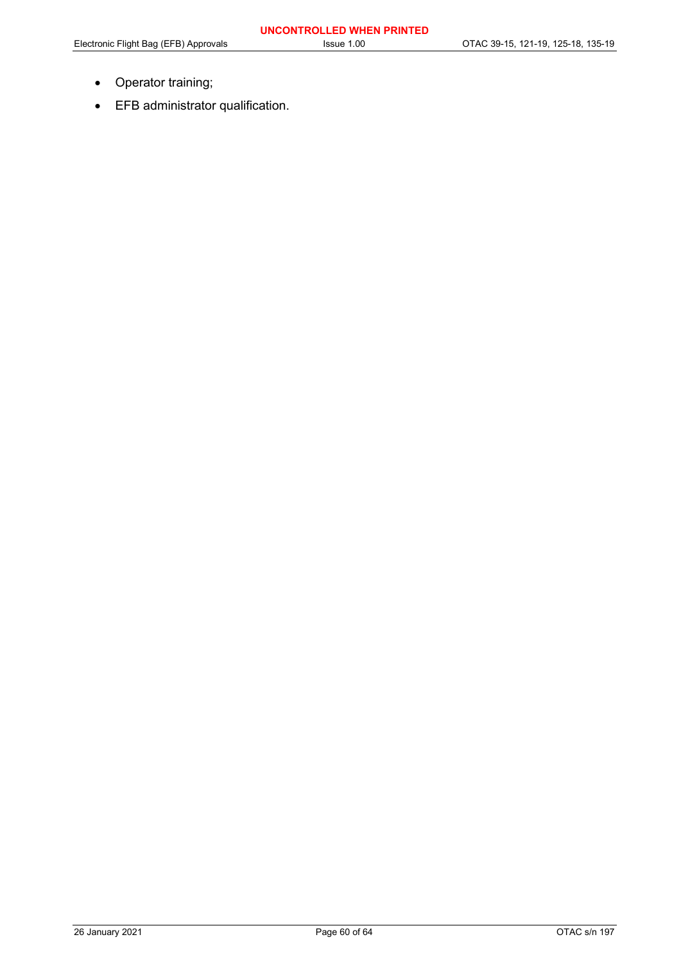- Operator training;
- EFB administrator qualification.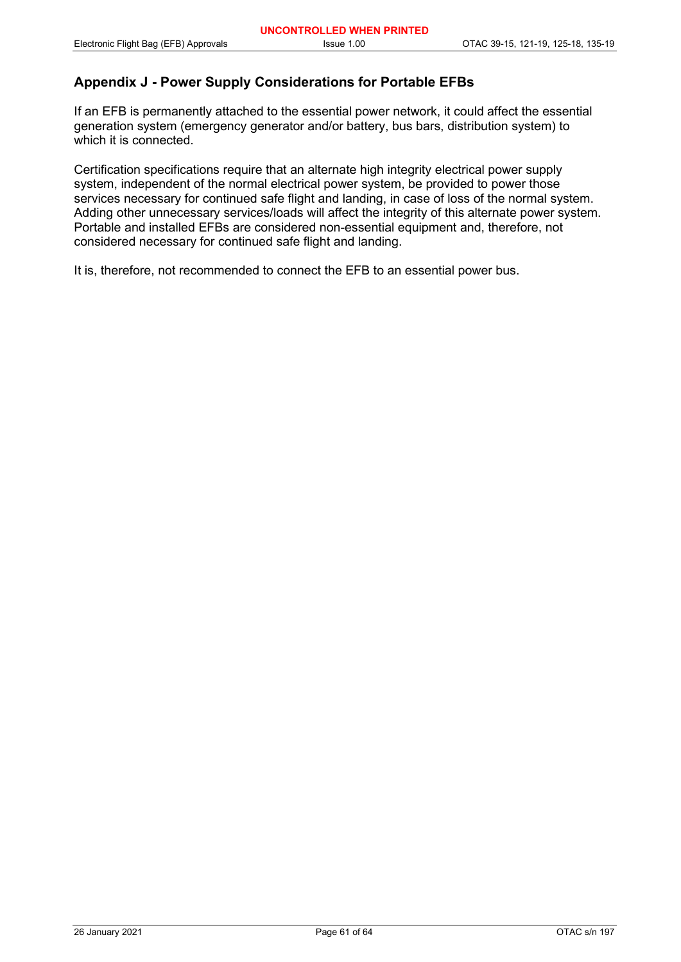## **Appendix J - Power Supply Considerations for Portable EFBs**

If an EFB is permanently attached to the essential power network, it could affect the essential generation system (emergency generator and/or battery, bus bars, distribution system) to which it is connected.

Certification specifications require that an alternate high integrity electrical power supply system, independent of the normal electrical power system, be provided to power those services necessary for continued safe flight and landing, in case of loss of the normal system. Adding other unnecessary services/loads will affect the integrity of this alternate power system. Portable and installed EFBs are considered non-essential equipment and, therefore, not considered necessary for continued safe flight and landing.

It is, therefore, not recommended to connect the EFB to an essential power bus.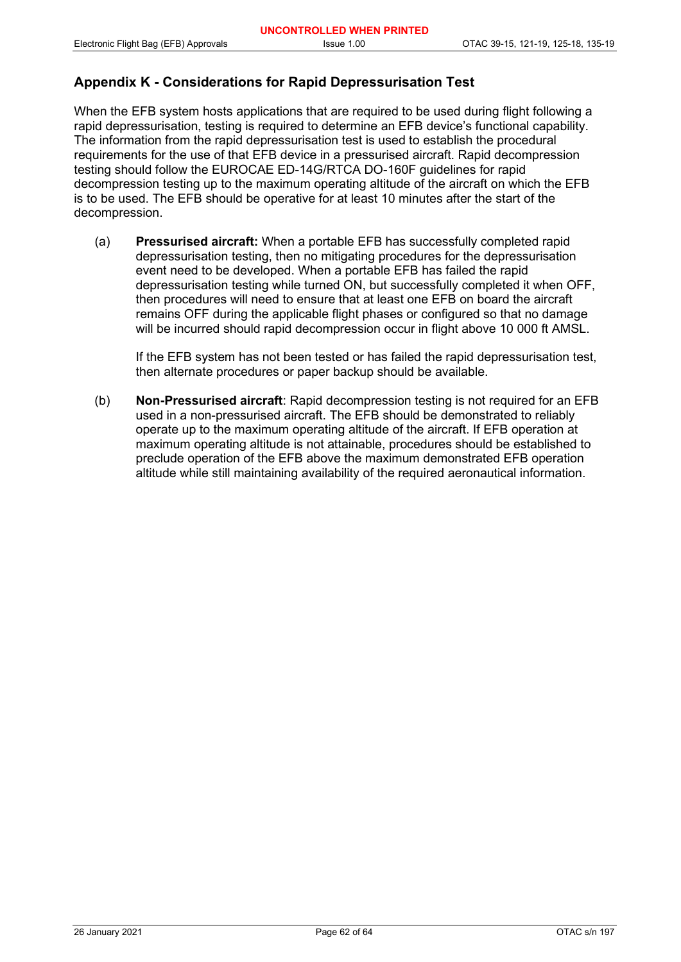## **Appendix K - Considerations for Rapid Depressurisation Test**

When the EFB system hosts applications that are required to be used during flight following a rapid depressurisation, testing is required to determine an EFB device's functional capability. The information from the rapid depressurisation test is used to establish the procedural requirements for the use of that EFB device in a pressurised aircraft. Rapid decompression testing should follow the EUROCAE ED-14G/RTCA DO-160F guidelines for rapid decompression testing up to the maximum operating altitude of the aircraft on which the EFB is to be used. The EFB should be operative for at least 10 minutes after the start of the decompression.

(a) **Pressurised aircraft:** When a portable EFB has successfully completed rapid depressurisation testing, then no mitigating procedures for the depressurisation event need to be developed. When a portable EFB has failed the rapid depressurisation testing while turned ON, but successfully completed it when OFF, then procedures will need to ensure that at least one EFB on board the aircraft remains OFF during the applicable flight phases or configured so that no damage will be incurred should rapid decompression occur in flight above 10 000 ft AMSL.

If the EFB system has not been tested or has failed the rapid depressurisation test, then alternate procedures or paper backup should be available.

(b) **Non-Pressurised aircraft**: Rapid decompression testing is not required for an EFB used in a non-pressurised aircraft. The EFB should be demonstrated to reliably operate up to the maximum operating altitude of the aircraft. If EFB operation at maximum operating altitude is not attainable, procedures should be established to preclude operation of the EFB above the maximum demonstrated EFB operation altitude while still maintaining availability of the required aeronautical information.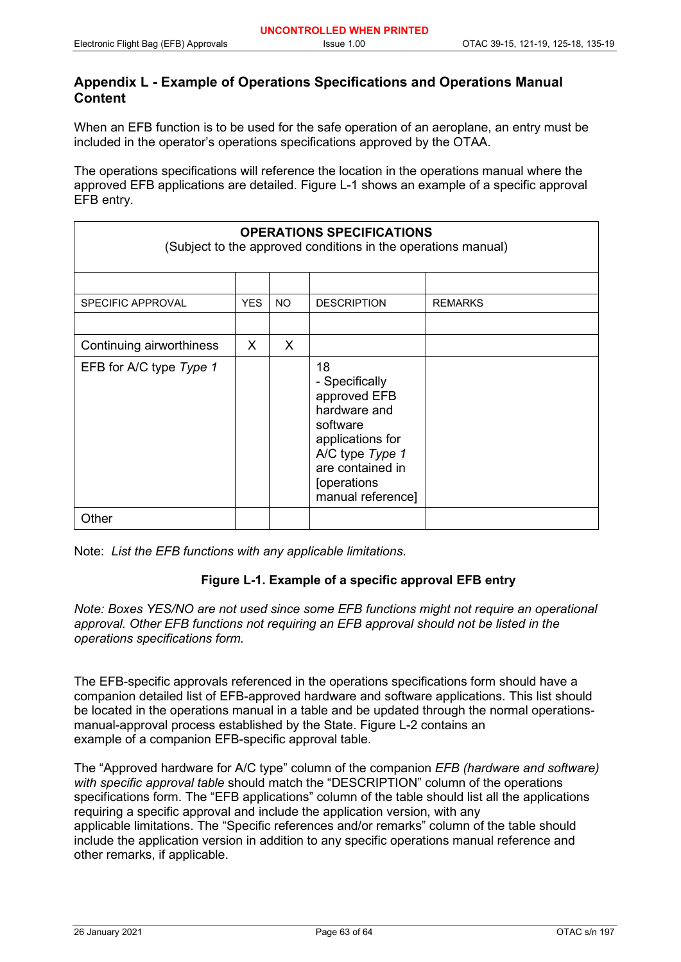## **Appendix L - Example of Operations Specifications and Operations Manual Content**

When an EFB function is to be used for the safe operation of an aeroplane, an entry must be included in the operator's operations specifications approved by the OTAA.

The operations specifications will reference the location in the operations manual where the approved EFB applications are detailed. Figure L-1 shows an example of a specific approval EFB entry.

| <b>OPERATIONS SPECIFICATIONS</b><br>(Subject to the approved conditions in the operations manual) |            |     |                                                                                                                                                                 |                |  |  |  |  |
|---------------------------------------------------------------------------------------------------|------------|-----|-----------------------------------------------------------------------------------------------------------------------------------------------------------------|----------------|--|--|--|--|
|                                                                                                   |            |     |                                                                                                                                                                 |                |  |  |  |  |
| <b>SPECIFIC APPROVAL</b>                                                                          | <b>YES</b> | NO. | <b>DESCRIPTION</b>                                                                                                                                              | <b>REMARKS</b> |  |  |  |  |
|                                                                                                   |            |     |                                                                                                                                                                 |                |  |  |  |  |
| Continuing airworthiness                                                                          | X.         | X.  |                                                                                                                                                                 |                |  |  |  |  |
| EFB for A/C type Type 1                                                                           |            |     | 18<br>- Specifically<br>approved EFB<br>hardware and<br>software<br>applications for<br>A/C type Type 1<br>are contained in<br>[operations<br>manual reference] |                |  |  |  |  |
| Other                                                                                             |            |     |                                                                                                                                                                 |                |  |  |  |  |

Note: *List the EFB functions with any applicable limitations*.

## **Figure L-1. Example of a specific approval EFB entry**

*Note: Boxes YES/NO are not used since some EFB functions might not require an operational approval. Other EFB functions not requiring an EFB approval should not be listed in the operations specifications form.*

The EFB-specific approvals referenced in the operations specifications form should have a companion detailed list of EFB-approved hardware and software applications. This list should be located in the operations manual in a table and be updated through the normal operationsmanual-approval process established by the State. Figure L-2 contains an example of a companion EFB-specific approval table.

The "Approved hardware for A/C type" column of the companion *EFB (hardware and software) with specific approval table* should match the "DESCRIPTION" column of the operations specifications form. The "EFB applications" column of the table should list all the applications requiring a specific approval and include the application version, with any applicable limitations. The "Specific references and/or remarks" column of the table should include the application version in addition to any specific operations manual reference and other remarks, if applicable.